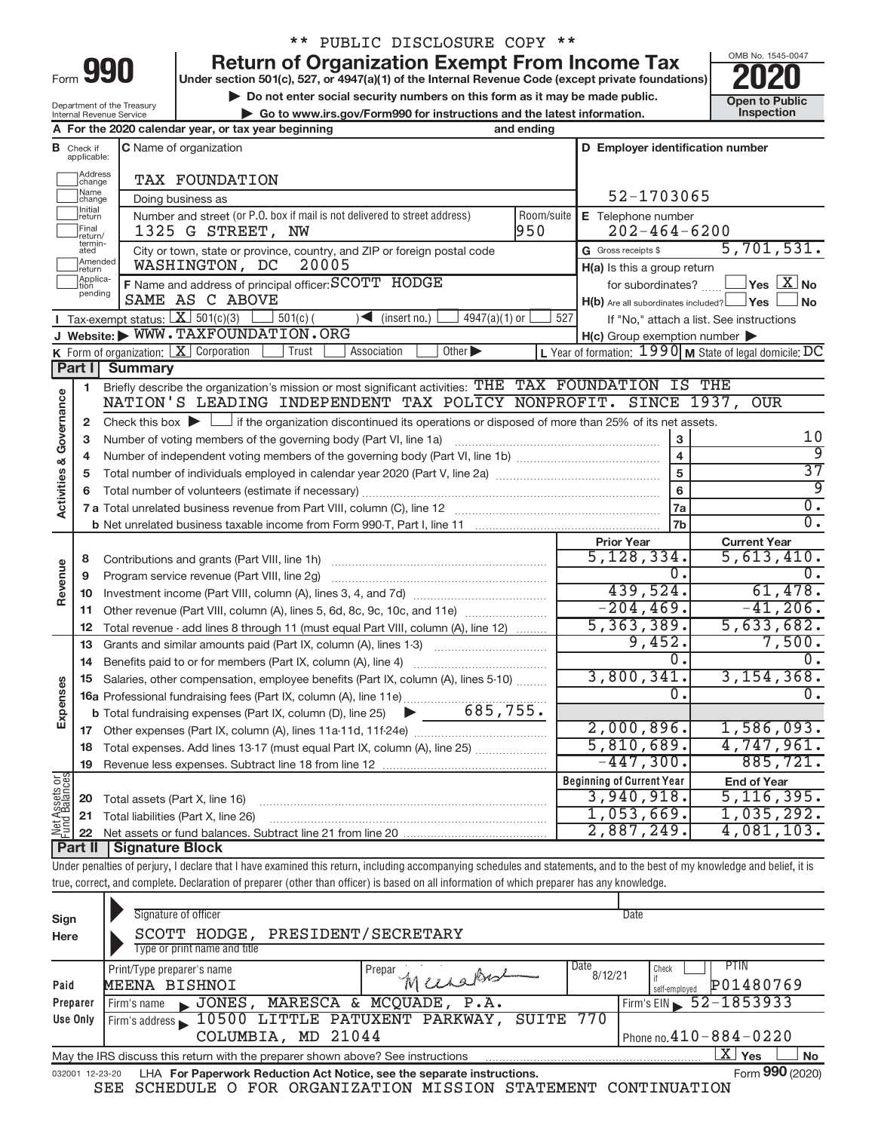| ∙orm |  |  |
|------|--|--|

## \*\* PUBLIC DISCLOSURE COPY \*\*

**990** Return of Organization Exempt From Income Tax **Punce 1845-004 2020** 

**Example 19 Do not enter social security numbers on this form as it may be made public.** 
<br>● Go to www.irs.gov/Form990 for instructions and the latest information. 
Inspection **| Go to www.irs.gov/Form990 for instructions and the latest information. Inspection**



Department of the Treasury Internal Revenue Service

|                                |                              | A For the 2020 calendar year, or tax year beginning                                                                                                                        | and ending |                                                     |                                                                   |
|--------------------------------|------------------------------|----------------------------------------------------------------------------------------------------------------------------------------------------------------------------|------------|-----------------------------------------------------|-------------------------------------------------------------------|
| В                              | Check if<br>applicable:      | <b>C</b> Name of organization                                                                                                                                              |            | D Employer identification number                    |                                                                   |
|                                | Address<br> change           | TAX FOUNDATION                                                                                                                                                             |            |                                                     |                                                                   |
|                                | Name<br>change               | Doing business as                                                                                                                                                          |            | 52-1703065                                          |                                                                   |
|                                | Initial<br> return           | Number and street (or P.O. box if mail is not delivered to street address)                                                                                                 | Room/suite | E Telephone number                                  |                                                                   |
|                                | Final<br>return/             | 1325 G STREET, NW                                                                                                                                                          | 950        | $202 - 464 - 6200$                                  |                                                                   |
|                                | termin-<br>ated              | City or town, state or province, country, and ZIP or foreign postal code                                                                                                   |            | G Gross receipts \$                                 | 5,701,531.                                                        |
|                                | Amended<br>return            | WASHINGTON, DC<br>20005                                                                                                                                                    |            | H(a) Is this a group return                         |                                                                   |
|                                | Applica-<br>Ition<br>pending | F Name and address of principal officer: SCOTT HODGE                                                                                                                       |            | for subordinates?                                   | $\blacksquare$ Yes $\boxed{\text{X}}$ No                          |
|                                |                              | SAME AS C ABOVE                                                                                                                                                            |            | H(b) Are all subordinates included? Ves             | <b>No</b>                                                         |
|                                |                              | <b>I</b> Tax-exempt status: $X \ 501(c)(3)$<br>$\Box$ 501(c) (<br>$\sum$ (insert no.)<br>$4947(a)(1)$ or                                                                   | 527        |                                                     | If "No," attach a list. See instructions                          |
|                                |                              | J Website: WWW.TAXFOUNDATION.ORG                                                                                                                                           |            | $H(c)$ Group exemption number $\blacktriangleright$ |                                                                   |
|                                |                              | <b>K</b> Form of organization: $X$ Corporation<br>Other<br>Trust<br>Association                                                                                            |            |                                                     | L Year of formation: $1990 \text{ M}$ State of legal domicile: DC |
|                                | Part I                       | <b>Summary</b>                                                                                                                                                             |            |                                                     |                                                                   |
|                                | 1                            | Briefly describe the organization's mission or most significant activities: THE TAX FOUNDATION IS THE                                                                      |            |                                                     | <b>OUR</b>                                                        |
|                                |                              | NATION'S LEADING INDEPENDENT TAX POLICY NONPROFIT. SINCE 1937,                                                                                                             |            |                                                     |                                                                   |
| Activities & Governance        | 2                            | Check this box $\blacktriangleright$ $\Box$ if the organization discontinued its operations or disposed of more than 25% of its net assets.                                |            |                                                     | 10                                                                |
|                                | 3                            |                                                                                                                                                                            |            |                                                     | $\overline{9}$                                                    |
|                                | 4                            |                                                                                                                                                                            |            | $\overline{\mathbf{4}}$                             | $\overline{37}$                                                   |
|                                | 5                            |                                                                                                                                                                            |            | 5                                                   | 9                                                                 |
|                                | 6                            |                                                                                                                                                                            |            | $6\phantom{1}6$                                     | $\overline{0}$ .                                                  |
|                                |                              |                                                                                                                                                                            |            | 7a                                                  | $\overline{0}$ .                                                  |
|                                |                              |                                                                                                                                                                            |            | 7b                                                  |                                                                   |
|                                |                              |                                                                                                                                                                            |            | <b>Prior Year</b><br>5,128,334.                     | <b>Current Year</b><br>5,613,410.                                 |
|                                | 8                            |                                                                                                                                                                            |            | Ο.                                                  | 0.                                                                |
| Revenue                        | 9                            | Program service revenue (Part VIII, line 2g)                                                                                                                               |            | 439,524.                                            | 61,478.                                                           |
|                                | 10                           |                                                                                                                                                                            |            | $-204, 469.$                                        | $-41,206.$                                                        |
|                                | 11                           | Other revenue (Part VIII, column (A), lines 5, 6d, 8c, 9c, 10c, and 11e)                                                                                                   |            | 5, 363, 389.                                        | 5,633,682.                                                        |
|                                | 12                           | Total revenue - add lines 8 through 11 (must equal Part VIII, column (A), line 12)                                                                                         |            | 9,452.                                              | 7,500.                                                            |
|                                | 13                           | Grants and similar amounts paid (Part IX, column (A), lines 1-3)                                                                                                           |            | 0.                                                  | $\overline{0}$ .                                                  |
|                                | 14                           |                                                                                                                                                                            |            | 3,800,341.                                          | 3, 154, 368.                                                      |
|                                | 15                           | Salaries, other compensation, employee benefits (Part IX, column (A), lines 5-10)                                                                                          |            | Ω.                                                  | 0.                                                                |
| Expenses                       |                              | 16a Professional fundraising fees (Part IX, column (A), line 11e)<br><b>b</b> Total fundraising expenses (Part IX, column (D), line 25) $\bullet$ 685, 755.                |            |                                                     |                                                                   |
|                                |                              |                                                                                                                                                                            |            | 2,000,896.                                          | 1,586,093.                                                        |
|                                | 17<br>18                     | Total expenses. Add lines 13-17 (must equal Part IX, column (A), line 25)                                                                                                  |            | 5,810,689.                                          | 4,747,961.                                                        |
|                                | 19                           |                                                                                                                                                                            |            | $-447,300.$                                         | 885,721.                                                          |
|                                |                              |                                                                                                                                                                            |            | <b>Beginning of Current Year</b>                    | <b>End of Year</b>                                                |
| Net Assets or<br>Fund Balances | 20                           |                                                                                                                                                                            |            | 3,940,918.                                          | 5, 116, 395.                                                      |
|                                | 21                           | Total assets (Part X, line 16)<br>Total liabilities (Part X, line 26)                                                                                                      |            | 1,053,669.                                          | 1,035,292.                                                        |
|                                | 22                           |                                                                                                                                                                            |            | 2,887,249.                                          | 4,081,103.                                                        |
|                                | Part II                      | <b>Signature Block</b>                                                                                                                                                     |            |                                                     |                                                                   |
|                                |                              | Under penalties of perjury, I declare that I have examined this return, including accompanying schedules and statements, and to the best of my knowledge and belief, it is |            |                                                     |                                                                   |
|                                |                              |                                                                                                                                                                            |            |                                                     |                                                                   |

true, correct, and complete. Declaration of preparer (other than officer) is based on all information of which preparer has any knowledge.

| Sign<br>Here     | Signature of officer<br>SCOTT HODGE, PRESIDENT/SECRETARY<br>Type or print name and title                                                         | Date                                                                               |
|------------------|--------------------------------------------------------------------------------------------------------------------------------------------------|------------------------------------------------------------------------------------|
| Paid<br>Preparer | Date<br>Print/Type preparer's name<br>Prepar<br>8/12/21<br>Mechano<br>MEENA BISHNOI<br>JONES, MARESCA & MCQUADE, P.A.<br>Firm's name             | PIIN<br>Check<br>P01480769<br>self-emploved<br>Firm's EIN $\frac{52 - 1853933}{ }$ |
| Use Only         | Firm's address 10500 LITTLE PATUXENT PARKWAY,<br>SUITE 770<br>COLUMBIA, MD 21044                                                                 | Phone no. $410 - 884 - 0220$                                                       |
|                  | May the IRS discuss this return with the preparer shown above? See instructions                                                                  | $\mathbf{X}$<br><b>No</b><br>Yes                                                   |
| 032001 12-23-20  | LHA For Paperwork Reduction Act Notice, see the separate instructions.<br>COUPDIII P O POD ODCANITZAMIONI MICCION CMAMPMEMM CONMINIUMIONI<br>CUT | Form 990 (2020)                                                                    |

SEE SCHEDULE O FOR ORGANIZATION MISSION STATEMENT CONTINUATION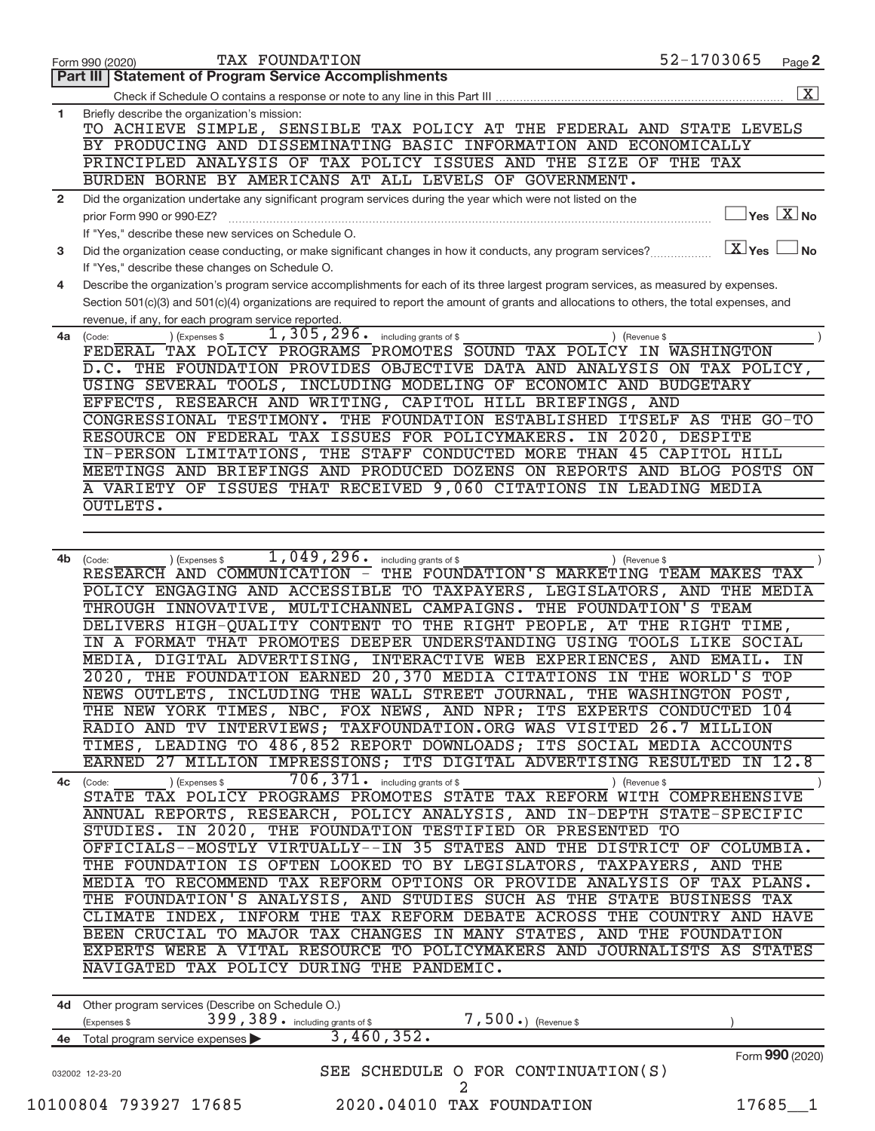|              | 52-1703065<br>TAX FOUNDATION<br>Page 2<br>Form 990 (2020)                                                                                    |
|--------------|----------------------------------------------------------------------------------------------------------------------------------------------|
|              | <b>Statement of Program Service Accomplishments</b><br>Part III<br>$\overline{\mathbf{X}}$                                                   |
|              |                                                                                                                                              |
| 1            | Briefly describe the organization's mission:                                                                                                 |
|              | TO ACHIEVE SIMPLE, SENSIBLE TAX POLICY AT THE FEDERAL AND STATE LEVELS                                                                       |
|              | BY PRODUCING AND DISSEMINATING BASIC INFORMATION AND ECONOMICALLY                                                                            |
|              | PRINCIPLED ANALYSIS OF TAX POLICY ISSUES AND THE SIZE OF THE TAX                                                                             |
|              | BURDEN BORNE BY AMERICANS AT ALL LEVELS OF GOVERNMENT.                                                                                       |
| $\mathbf{2}$ | Did the organization undertake any significant program services during the year which were not listed on the                                 |
|              | $\sqrt{\mathsf{Yes}\mathord{\;\mathbb{X}}\mathord{\;\mathsf{No}}}$<br>prior Form 990 or 990-EZ?                                              |
|              | If "Yes," describe these new services on Schedule O.                                                                                         |
| 3            | $X$ Yes $L$<br>Did the organization cease conducting, or make significant changes in how it conducts, any program services?                  |
|              | If "Yes," describe these changes on Schedule O.                                                                                              |
| 4            | Describe the organization's program service accomplishments for each of its three largest program services, as measured by expenses.         |
|              | Section 501(c)(3) and 501(c)(4) organizations are required to report the amount of grants and allocations to others, the total expenses, and |
|              | revenue, if any, for each program service reported.                                                                                          |
|              | 1, 305, 296. including grants of \$<br>) (Expenses \$<br>4a (Code:<br>) (Revenue \$                                                          |
|              | FEDERAL TAX POLICY PROGRAMS PROMOTES SOUND TAX POLICY IN WASHINGTON                                                                          |
|              | D.C. THE FOUNDATION PROVIDES OBJECTIVE DATA AND ANALYSIS ON TAX POLICY,                                                                      |
|              | USING SEVERAL TOOLS, INCLUDING MODELING OF ECONOMIC AND BUDGETARY                                                                            |
|              | EFFECTS, RESEARCH AND WRITING, CAPITOL HILL BRIEFINGS, AND                                                                                   |
|              | CONGRESSIONAL TESTIMONY. THE FOUNDATION ESTABLISHED ITSELF AS THE GO-TO                                                                      |
|              | RESOURCE ON FEDERAL TAX ISSUES FOR POLICYMAKERS. IN 2020, DESPITE                                                                            |
|              | IN-PERSON LIMITATIONS, THE STAFF CONDUCTED MORE THAN 45 CAPITOL HILL                                                                         |
|              | MEETINGS AND BRIEFINGS AND PRODUCED DOZENS ON REPORTS AND BLOG POSTS ON                                                                      |
|              | A VARIETY OF ISSUES THAT RECEIVED 9,060 CITATIONS IN LEADING MEDIA                                                                           |
|              | <b>OUTLETS.</b>                                                                                                                              |
|              |                                                                                                                                              |
|              |                                                                                                                                              |
|              | 1,049,296. including grants of \$<br>4b (Code:<br>(Expenses \$<br>) (Revenue \$                                                              |
|              | RESEARCH AND COMMUNICATION - THE FOUNDATION'S MARKETING TEAM MAKES TAX                                                                       |
|              | POLICY ENGAGING AND ACCESSIBLE TO TAXPAYERS, LEGISLATORS, AND THE MEDIA                                                                      |
|              | THROUGH INNOVATIVE, MULTICHANNEL CAMPAIGNS. THE FOUNDATION'S TEAM                                                                            |
|              | DELIVERS HIGH-QUALITY CONTENT TO THE RIGHT PEOPLE, AT THE RIGHT TIME,                                                                        |
|              | IN A FORMAT THAT PROMOTES DEEPER UNDERSTANDING USING TOOLS LIKE SOCIAL                                                                       |
|              | MEDIA, DIGITAL ADVERTISING, INTERACTIVE WEB EXPERIENCES, AND EMAIL.<br>IN                                                                    |
|              | 2020, THE FOUNDATION EARNED 20,370 MEDIA CITATIONS IN THE WORLD'S TOP                                                                        |
|              | NEWS OUTLETS, INCLUDING THE WALL STREET JOURNAL, THE WASHINGTON POST,                                                                        |
|              |                                                                                                                                              |
|              | THE NEW YORK TIMES, NBC, FOX NEWS, AND NPR; ITS EXPERTS CONDUCTED 104                                                                        |
|              | RADIO AND TV INTERVIEWS; TAXFOUNDATION.ORG WAS VISITED 26.7 MILLION                                                                          |
|              | TIMES, LEADING TO 486,852 REPORT DOWNLOADS; ITS SOCIAL MEDIA ACCOUNTS                                                                        |
|              | EARNED 27 MILLION IMPRESSIONS; ITS DIGITAL ADVERTISING RESULTED IN 12.8                                                                      |
|              | $706, 371$ $\cdot$ including grants of \$<br>) (Expenses \$<br>) (Revenue \$<br>4c (Code:                                                    |
|              | STATE TAX POLICY PROGRAMS PROMOTES STATE TAX REFORM WITH COMPREHENSIVE                                                                       |
|              | ANNUAL REPORTS, RESEARCH, POLICY ANALYSIS, AND IN-DEPTH STATE-SPECIFIC                                                                       |
|              | STUDIES. IN 2020, THE FOUNDATION TESTIFIED OR PRESENTED TO                                                                                   |
|              | OFFICIALS--MOSTLY VIRTUALLY--IN 35 STATES AND THE DISTRICT OF COLUMBIA.                                                                      |
|              | THE FOUNDATION IS OFTEN LOOKED TO BY LEGISLATORS, TAXPAYERS, AND THE                                                                         |
|              | MEDIA TO RECOMMEND TAX REFORM OPTIONS OR PROVIDE ANALYSIS OF TAX PLANS.                                                                      |
|              | THE FOUNDATION'S ANALYSIS, AND STUDIES SUCH AS THE STATE BUSINESS TAX                                                                        |
|              | CLIMATE INDEX, INFORM THE TAX REFORM DEBATE ACROSS THE COUNTRY AND HAVE                                                                      |
|              | BEEN CRUCIAL TO MAJOR TAX CHANGES IN MANY STATES, AND THE FOUNDATION                                                                         |
|              | EXPERTS WERE A VITAL RESOURCE TO POLICYMAKERS AND JOURNALISTS AS STATES                                                                      |
|              | NAVIGATED TAX POLICY DURING THE PANDEMIC.                                                                                                    |
|              |                                                                                                                                              |
|              |                                                                                                                                              |
|              | 4d Other program services (Describe on Schedule O.)<br>7,500.) (Revenue \$<br>399, 389. including grants of \$                               |
|              | (Expenses \$<br>3,460,352.                                                                                                                   |
| 4e           | Total program service expenses                                                                                                               |
|              | Form 990 (2020)<br>SEE SCHEDULE O FOR CONTINUATION(S)                                                                                        |
|              | 032002 12-23-20<br>2                                                                                                                         |
|              | 10100804 793927 17685<br>2020.04010 TAX FOUNDATION<br>17685 1                                                                                |
|              |                                                                                                                                              |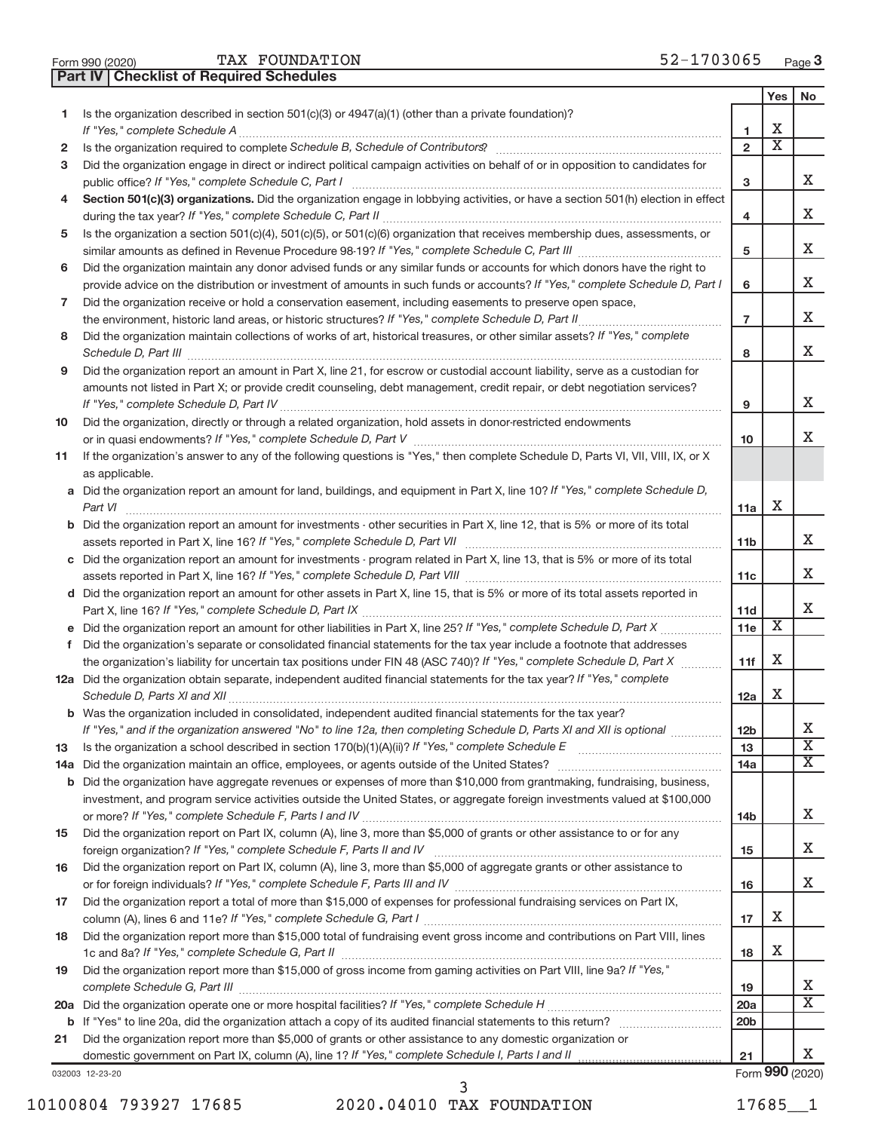|  | Form 990 (2020) |
|--|-----------------|

TAX FOUNDATION

**Part IV Checklist of Required Schedules**

|    |                                                                                                                                                     |                 | Yes                     | No.                     |
|----|-----------------------------------------------------------------------------------------------------------------------------------------------------|-----------------|-------------------------|-------------------------|
| 1  | Is the organization described in section 501(c)(3) or 4947(a)(1) (other than a private foundation)?                                                 | 1               | х                       |                         |
| 2  |                                                                                                                                                     | $\overline{2}$  | $\overline{\textbf{X}}$ |                         |
| 3  | Did the organization engage in direct or indirect political campaign activities on behalf of or in opposition to candidates for                     | 3               |                         | x                       |
| 4  | Section 501(c)(3) organizations. Did the organization engage in lobbying activities, or have a section 501(h) election in effect                    |                 |                         |                         |
|    |                                                                                                                                                     | 4               |                         | Χ                       |
| 5  | Is the organization a section 501(c)(4), 501(c)(5), or 501(c)(6) organization that receives membership dues, assessments, or                        |                 |                         |                         |
|    |                                                                                                                                                     | 5               |                         | х                       |
| 6  | Did the organization maintain any donor advised funds or any similar funds or accounts for which donors have the right to                           |                 |                         |                         |
|    | provide advice on the distribution or investment of amounts in such funds or accounts? If "Yes," complete Schedule D, Part I                        | 6               |                         | Χ                       |
| 7  | Did the organization receive or hold a conservation easement, including easements to preserve open space,                                           |                 |                         |                         |
|    |                                                                                                                                                     | $\overline{7}$  |                         | х                       |
| 8  | Did the organization maintain collections of works of art, historical treasures, or other similar assets? If "Yes," complete                        |                 |                         |                         |
|    |                                                                                                                                                     | 8               |                         | x                       |
| 9  | Did the organization report an amount in Part X, line 21, for escrow or custodial account liability, serve as a custodian for                       |                 |                         |                         |
|    | amounts not listed in Part X; or provide credit counseling, debt management, credit repair, or debt negotiation services?                           | 9               |                         | Χ                       |
| 10 | Did the organization, directly or through a related organization, hold assets in donor-restricted endowments                                        |                 |                         |                         |
|    |                                                                                                                                                     | 10              |                         | Χ                       |
| 11 | If the organization's answer to any of the following questions is "Yes," then complete Schedule D, Parts VI, VIII, VIII, IX, or X<br>as applicable. |                 |                         |                         |
|    | a Did the organization report an amount for land, buildings, and equipment in Part X, line 10? If "Yes," complete Schedule D,                       |                 |                         |                         |
|    |                                                                                                                                                     | 11a             | Х                       |                         |
|    | <b>b</b> Did the organization report an amount for investments - other securities in Part X, line 12, that is 5% or more of its total               |                 |                         |                         |
|    |                                                                                                                                                     | 11 <sub>b</sub> |                         | x                       |
|    | c Did the organization report an amount for investments - program related in Part X, line 13, that is 5% or more of its total                       |                 |                         |                         |
|    |                                                                                                                                                     | 11c             |                         | x                       |
|    | d Did the organization report an amount for other assets in Part X, line 15, that is 5% or more of its total assets reported in                     |                 |                         |                         |
|    |                                                                                                                                                     | 11d             |                         | Χ                       |
|    |                                                                                                                                                     | 11e             | х                       |                         |
| f. | Did the organization's separate or consolidated financial statements for the tax year include a footnote that addresses                             |                 |                         |                         |
|    | the organization's liability for uncertain tax positions under FIN 48 (ASC 740)? If "Yes," complete Schedule D, Part X                              | 11f             | Х                       |                         |
|    | 12a Did the organization obtain separate, independent audited financial statements for the tax year? If "Yes," complete                             | 12a             | х                       |                         |
|    | <b>b</b> Was the organization included in consolidated, independent audited financial statements for the tax year?                                  |                 |                         |                         |
|    | If "Yes," and if the organization answered "No" to line 12a, then completing Schedule D, Parts XI and XII is optional                               | 12 <sub>b</sub> |                         | х                       |
| 13 |                                                                                                                                                     | 13              |                         | $\overline{\textbf{X}}$ |
|    |                                                                                                                                                     | 14a             |                         | х                       |
|    | <b>b</b> Did the organization have aggregate revenues or expenses of more than \$10,000 from grantmaking, fundraising, business,                    |                 |                         |                         |
|    | investment, and program service activities outside the United States, or aggregate foreign investments valued at \$100,000                          |                 |                         |                         |
|    |                                                                                                                                                     | 14b             |                         | x                       |
| 15 | Did the organization report on Part IX, column (A), line 3, more than \$5,000 of grants or other assistance to or for any                           |                 |                         | х                       |
|    |                                                                                                                                                     | 15              |                         |                         |
| 16 | Did the organization report on Part IX, column (A), line 3, more than \$5,000 of aggregate grants or other assistance to                            | 16              |                         | X                       |
| 17 | Did the organization report a total of more than \$15,000 of expenses for professional fundraising services on Part IX,                             |                 |                         |                         |
|    |                                                                                                                                                     | 17              | Х                       |                         |
| 18 | Did the organization report more than \$15,000 total of fundraising event gross income and contributions on Part VIII, lines                        |                 |                         |                         |
|    |                                                                                                                                                     | 18              | X                       |                         |
| 19 | Did the organization report more than \$15,000 of gross income from gaming activities on Part VIII, line 9a? If "Yes,"                              | 19              |                         | x                       |
|    |                                                                                                                                                     | 20a             |                         | X                       |
|    |                                                                                                                                                     | 20 <sub>b</sub> |                         |                         |
| 21 | Did the organization report more than \$5,000 of grants or other assistance to any domestic organization or                                         |                 |                         |                         |
|    |                                                                                                                                                     | 21              |                         | x                       |
|    | 032003 12-23-20                                                                                                                                     |                 |                         | Form 990 (2020)         |

032003 12-23-20

10100804 793927 17685 2020.04010 TAX FOUNDATION 17685\_\_1 3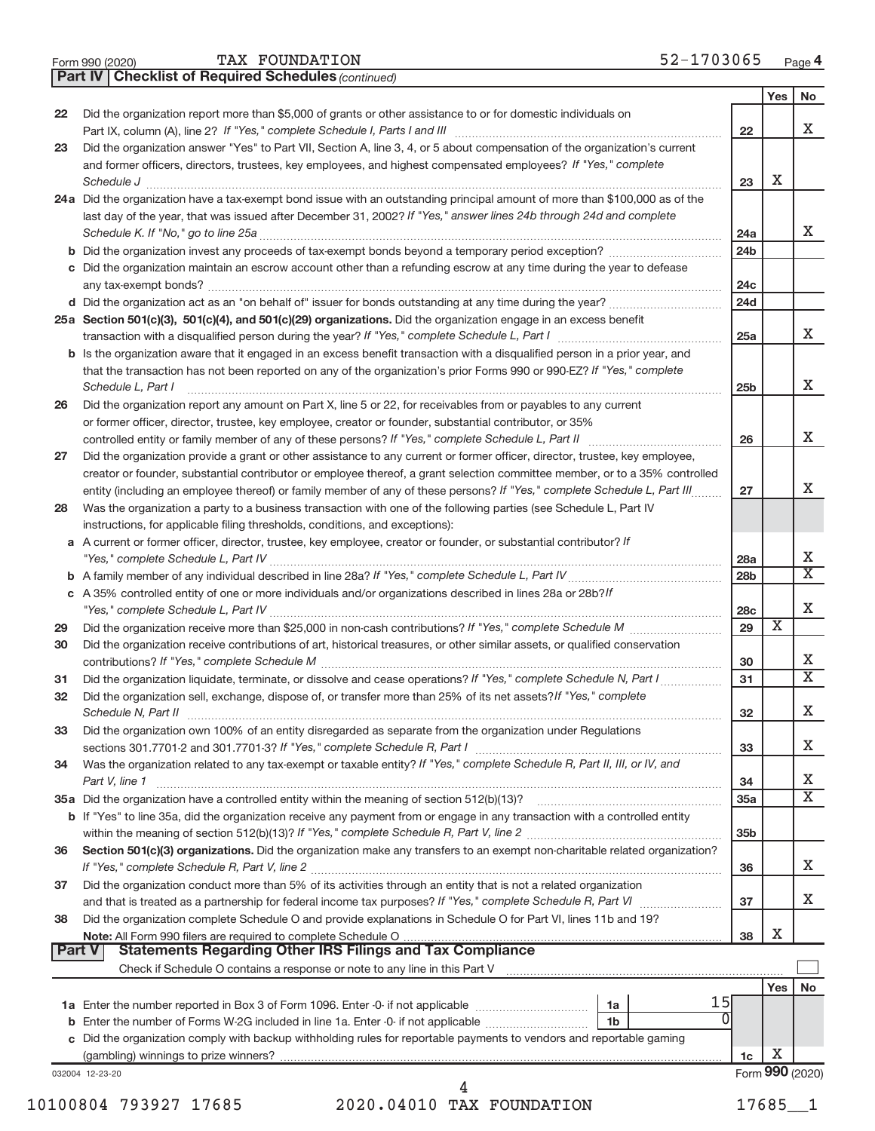|  | Form 990 (2020) |
|--|-----------------|
|  |                 |

TAX FOUNDATION

*(continued)* **Part IV Checklist of Required Schedules**

|        | <b>Part IV   Checklist of Required Schedules</b> (continued)                                                                 |                 |     |                             |
|--------|------------------------------------------------------------------------------------------------------------------------------|-----------------|-----|-----------------------------|
|        |                                                                                                                              |                 | Yes | No                          |
| 22     | Did the organization report more than \$5,000 of grants or other assistance to or for domestic individuals on                |                 |     |                             |
|        |                                                                                                                              | 22              |     | Χ                           |
| 23     | Did the organization answer "Yes" to Part VII, Section A, line 3, 4, or 5 about compensation of the organization's current   |                 |     |                             |
|        | and former officers, directors, trustees, key employees, and highest compensated employees? If "Yes," complete               |                 |     |                             |
|        | Schedule J                                                                                                                   | 23              | х   |                             |
|        | 24a Did the organization have a tax-exempt bond issue with an outstanding principal amount of more than \$100,000 as of the  |                 |     |                             |
|        | last day of the year, that was issued after December 31, 2002? If "Yes," answer lines 24b through 24d and complete           |                 |     |                             |
|        |                                                                                                                              | 24a             |     | X                           |
|        | b Did the organization invest any proceeds of tax-exempt bonds beyond a temporary period exception?                          | 24 <sub>b</sub> |     |                             |
|        | c Did the organization maintain an escrow account other than a refunding escrow at any time during the year to defease       |                 |     |                             |
|        |                                                                                                                              | 24c             |     |                             |
|        |                                                                                                                              | 24d             |     |                             |
|        | 25a Section 501(c)(3), 501(c)(4), and 501(c)(29) organizations. Did the organization engage in an excess benefit             |                 |     |                             |
|        |                                                                                                                              | 25a             |     | х                           |
|        | b Is the organization aware that it engaged in an excess benefit transaction with a disqualified person in a prior year, and |                 |     |                             |
|        | that the transaction has not been reported on any of the organization's prior Forms 990 or 990-EZ? If "Yes," complete        |                 |     |                             |
|        | Schedule L, Part I                                                                                                           | 25 <sub>b</sub> |     | х                           |
| 26     | Did the organization report any amount on Part X, line 5 or 22, for receivables from or payables to any current              |                 |     |                             |
|        | or former officer, director, trustee, key employee, creator or founder, substantial contributor, or 35%                      |                 |     |                             |
|        |                                                                                                                              | 26              |     | x                           |
| 27     | Did the organization provide a grant or other assistance to any current or former officer, director, trustee, key employee,  |                 |     |                             |
|        | creator or founder, substantial contributor or employee thereof, a grant selection committee member, or to a 35% controlled  |                 |     |                             |
|        | entity (including an employee thereof) or family member of any of these persons? If "Yes," complete Schedule L, Part III     | 27              |     | х                           |
| 28     | Was the organization a party to a business transaction with one of the following parties (see Schedule L, Part IV            |                 |     |                             |
|        | instructions, for applicable filing thresholds, conditions, and exceptions):                                                 |                 |     |                             |
|        | a A current or former officer, director, trustee, key employee, creator or founder, or substantial contributor? If           |                 |     |                             |
|        |                                                                                                                              | 28a             |     | Х                           |
|        |                                                                                                                              | 28 <sub>b</sub> |     | $\overline{\textnormal{x}}$ |
|        | c A 35% controlled entity of one or more individuals and/or organizations described in lines 28a or 28b?If                   |                 |     |                             |
|        |                                                                                                                              | 28c             |     | Χ                           |
| 29     |                                                                                                                              | 29              | X   |                             |
| 30     | Did the organization receive contributions of art, historical treasures, or other similar assets, or qualified conservation  |                 |     |                             |
|        |                                                                                                                              | 30              |     | х                           |
| 31     | Did the organization liquidate, terminate, or dissolve and cease operations? If "Yes," complete Schedule N, Part I           | 31              |     | $\overline{\textnormal{x}}$ |
| 32     | Did the organization sell, exchange, dispose of, or transfer more than 25% of its net assets? If "Yes," complete             |                 |     |                             |
|        | Schedule N, Part II                                                                                                          | 32              |     | X                           |
| 33     | Did the organization own 100% of an entity disregarded as separate from the organization under Regulations                   |                 |     |                             |
|        |                                                                                                                              | 33              |     | x                           |
| 34     | Was the organization related to any tax-exempt or taxable entity? If "Yes," complete Schedule R, Part II, III, or IV, and    |                 |     |                             |
|        | Part V, line 1                                                                                                               | 34              |     | х                           |
|        |                                                                                                                              | 35a             |     | $\overline{\textnormal{x}}$ |
|        | b If "Yes" to line 35a, did the organization receive any payment from or engage in any transaction with a controlled entity  |                 |     |                             |
|        |                                                                                                                              | 35 <sub>b</sub> |     |                             |
| 36     | Section 501(c)(3) organizations. Did the organization make any transfers to an exempt non-charitable related organization?   |                 |     |                             |
|        |                                                                                                                              | 36              |     | х                           |
| 37     | Did the organization conduct more than 5% of its activities through an entity that is not a related organization             |                 |     |                             |
|        |                                                                                                                              | 37              |     | X                           |
| 38     | Did the organization complete Schedule O and provide explanations in Schedule O for Part VI, lines 11b and 19?               |                 |     |                             |
|        |                                                                                                                              | 38              | х   |                             |
| Part V | <b>Statements Regarding Other IRS Filings and Tax Compliance</b>                                                             |                 |     |                             |
|        |                                                                                                                              |                 |     |                             |
|        |                                                                                                                              |                 | Yes | <b>No</b>                   |
|        | 15<br>1a                                                                                                                     |                 |     |                             |
|        | <b>b</b> Enter the number of Forms W-2G included in line 1a. Enter -0- if not applicable<br>1 <sub>b</sub>                   |                 |     |                             |
|        | c Did the organization comply with backup withholding rules for reportable payments to vendors and reportable gaming         |                 |     |                             |
|        | (gambling) winnings to prize winners?                                                                                        | 1c              | Х   |                             |
|        | 032004 12-23-20                                                                                                              |                 |     | Form 990 (2020)             |
|        |                                                                                                                              |                 |     |                             |

10100804 793927 17685 2020.04010 TAX FOUNDATION 17685\_\_1 4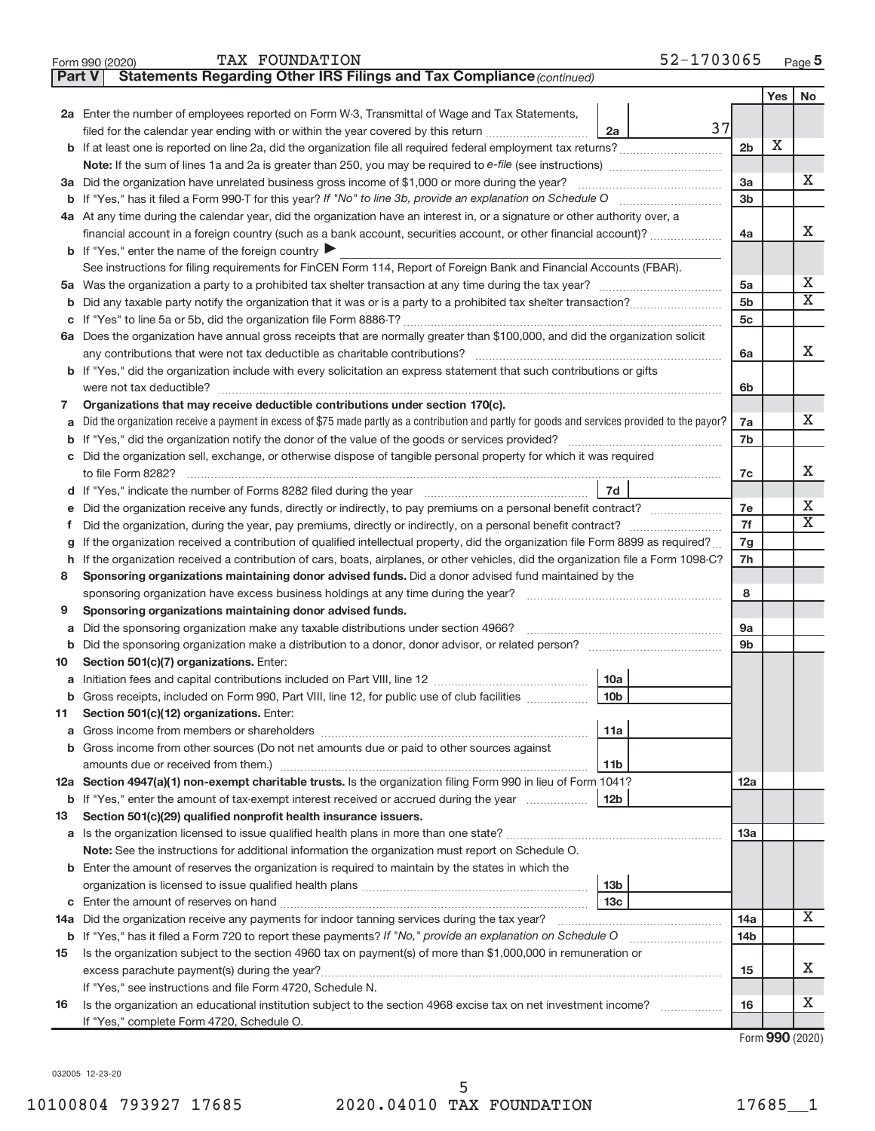| TAX FOUNDATION | 52-1703065 |
|----------------|------------|
|----------------|------------|

**Part V Statements Regarding Other IRS Filings and Tax Compliance**

*(continued)*

|     |                                                                                                                                                                                                                |                 |                 | Yes | <b>No</b> |
|-----|----------------------------------------------------------------------------------------------------------------------------------------------------------------------------------------------------------------|-----------------|-----------------|-----|-----------|
|     | 2a Enter the number of employees reported on Form W-3, Transmittal of Wage and Tax Statements,                                                                                                                 |                 |                 |     |           |
|     | filed for the calendar year ending with or within the year covered by this return <i>[[[[[[[[[[[[[]]]]</i>                                                                                                     | 37<br>2a        |                 |     |           |
|     |                                                                                                                                                                                                                |                 | 2 <sub>b</sub>  | X   |           |
|     |                                                                                                                                                                                                                |                 |                 |     |           |
|     | 3a Did the organization have unrelated business gross income of \$1,000 or more during the year?                                                                                                               |                 | 3a              |     | x         |
| b   |                                                                                                                                                                                                                |                 | 3 <sub>b</sub>  |     |           |
|     | 4a At any time during the calendar year, did the organization have an interest in, or a signature or other authority over, a                                                                                   |                 |                 |     |           |
|     | financial account in a foreign country (such as a bank account, securities account, or other financial account)?                                                                                               |                 | 4a              |     | х         |
|     | <b>b</b> If "Yes," enter the name of the foreign country $\blacktriangleright$                                                                                                                                 |                 |                 |     |           |
|     | See instructions for filing requirements for FinCEN Form 114, Report of Foreign Bank and Financial Accounts (FBAR).                                                                                            |                 |                 |     |           |
|     |                                                                                                                                                                                                                |                 | 5a              |     | Х         |
| b   |                                                                                                                                                                                                                |                 | 5 <sub>b</sub>  |     | х         |
| С   |                                                                                                                                                                                                                |                 | 5 <sub>c</sub>  |     |           |
|     | 6a Does the organization have annual gross receipts that are normally greater than \$100,000, and did the organization solicit                                                                                 |                 |                 |     |           |
|     |                                                                                                                                                                                                                |                 | 6a              |     | X         |
|     | b If "Yes," did the organization include with every solicitation an express statement that such contributions or gifts                                                                                         |                 |                 |     |           |
|     | were not tax deductible?                                                                                                                                                                                       |                 | 6b              |     |           |
| 7   | Organizations that may receive deductible contributions under section 170(c).                                                                                                                                  |                 |                 |     |           |
| а   | Did the organization receive a payment in excess of \$75 made partly as a contribution and partly for goods and services provided to the payor?                                                                |                 | 7a              |     | x         |
| b   |                                                                                                                                                                                                                |                 | 7b              |     |           |
|     | c Did the organization sell, exchange, or otherwise dispose of tangible personal property for which it was required                                                                                            |                 |                 |     | x         |
|     |                                                                                                                                                                                                                | 7d              | 7c              |     |           |
| е   |                                                                                                                                                                                                                |                 | 7e              |     | Х         |
| f.  |                                                                                                                                                                                                                |                 | 7f              |     | Χ         |
| g   | If the organization received a contribution of qualified intellectual property, did the organization file Form 8899 as required?                                                                               |                 | 7g              |     |           |
| h   | If the organization received a contribution of cars, boats, airplanes, or other vehicles, did the organization file a Form 1098-C?                                                                             |                 | 7h              |     |           |
| 8   | Sponsoring organizations maintaining donor advised funds. Did a donor advised fund maintained by the                                                                                                           |                 |                 |     |           |
|     |                                                                                                                                                                                                                |                 | 8               |     |           |
| 9   | Sponsoring organizations maintaining donor advised funds.                                                                                                                                                      |                 |                 |     |           |
| а   |                                                                                                                                                                                                                |                 | 9a              |     |           |
| b   |                                                                                                                                                                                                                |                 | 9 <sub>b</sub>  |     |           |
| 10  | Section 501(c)(7) organizations. Enter:                                                                                                                                                                        |                 |                 |     |           |
| а   |                                                                                                                                                                                                                | 10a             |                 |     |           |
|     | Gross receipts, included on Form 990, Part VIII, line 12, for public use of club facilities                                                                                                                    | 10 <sub>b</sub> |                 |     |           |
| 11. | Section 501(c)(12) organizations. Enter:                                                                                                                                                                       |                 |                 |     |           |
|     |                                                                                                                                                                                                                | 11a             |                 |     |           |
| b   | Gross income from other sources (Do not net amounts due or paid to other sources against                                                                                                                       |                 |                 |     |           |
|     |                                                                                                                                                                                                                | 11b             |                 |     |           |
|     | 12a Section 4947(a)(1) non-exempt charitable trusts. Is the organization filing Form 990 in lieu of Form 1041?                                                                                                 |                 | 12a             |     |           |
| b   | If "Yes," enter the amount of tax-exempt interest received or accrued during the year                                                                                                                          | 12 <sub>b</sub> |                 |     |           |
| 13  | Section 501(c)(29) qualified nonprofit health insurance issuers.                                                                                                                                               |                 |                 |     |           |
| а   |                                                                                                                                                                                                                |                 | <b>13a</b>      |     |           |
|     | Note: See the instructions for additional information the organization must report on Schedule O.<br><b>b</b> Enter the amount of reserves the organization is required to maintain by the states in which the |                 |                 |     |           |
|     |                                                                                                                                                                                                                | 13 <sub>b</sub> |                 |     |           |
| С   |                                                                                                                                                                                                                | 13 <sub>c</sub> |                 |     |           |
| 14a | Did the organization receive any payments for indoor tanning services during the tax year?                                                                                                                     |                 | 14a             |     | х         |
| b   | If "Yes," has it filed a Form 720 to report these payments? If "No," provide an explanation on Schedule O                                                                                                      |                 | 14 <sub>b</sub> |     |           |
| 15  | Is the organization subject to the section 4960 tax on payment(s) of more than \$1,000,000 in remuneration or                                                                                                  |                 |                 |     |           |
|     |                                                                                                                                                                                                                |                 | 15              |     | X.        |
|     | If "Yes," see instructions and file Form 4720, Schedule N.                                                                                                                                                     |                 |                 |     |           |
| 16  | Is the organization an educational institution subject to the section 4968 excise tax on net investment income?                                                                                                |                 | 16              |     | x         |
|     | If "Yes," complete Form 4720, Schedule O.                                                                                                                                                                      |                 |                 |     |           |

Form (2020) **990**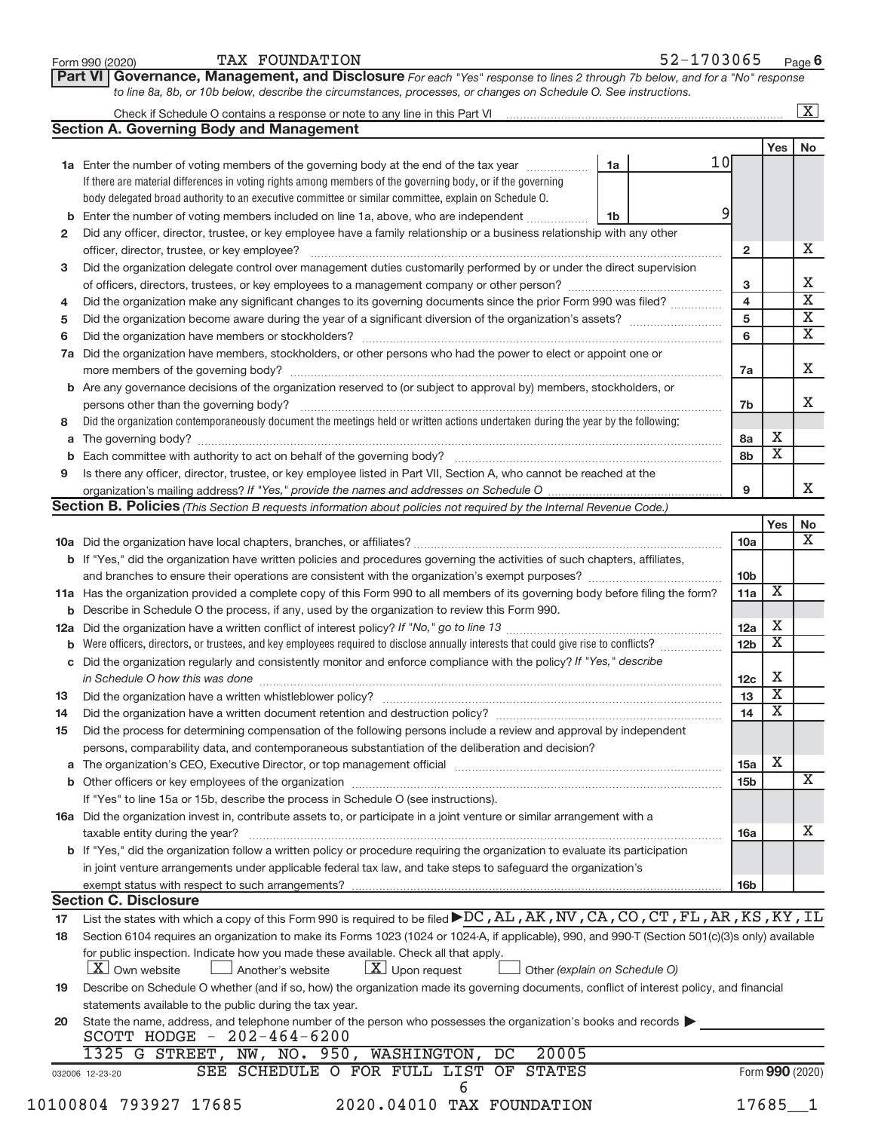|    |                                                                                                                                                  |    |      |                              |                         | $\overline{\mathbf{x}}$      |
|----|--------------------------------------------------------------------------------------------------------------------------------------------------|----|------|------------------------------|-------------------------|------------------------------|
|    | <b>Section A. Governing Body and Management</b>                                                                                                  |    |      |                              |                         |                              |
|    |                                                                                                                                                  |    |      |                              | Yes                     | No                           |
|    | 1a Enter the number of voting members of the governing body at the end of the tax year                                                           | 1a | 1 Ol |                              |                         |                              |
|    | If there are material differences in voting rights among members of the governing body, or if the governing                                      |    |      |                              |                         |                              |
|    | body delegated broad authority to an executive committee or similar committee, explain on Schedule O.                                            |    |      |                              |                         |                              |
|    | Enter the number of voting members included on line 1a, above, who are independent                                                               | 1b | 9    |                              |                         |                              |
| 2  | Did any officer, director, trustee, or key employee have a family relationship or a business relationship with any other                         |    |      |                              |                         |                              |
|    |                                                                                                                                                  |    |      | 2                            |                         | X                            |
| 3  | Did the organization delegate control over management duties customarily performed by or under the direct supervision                            |    |      |                              |                         |                              |
|    |                                                                                                                                                  |    |      | 3                            |                         | Х<br>$\overline{\textbf{x}}$ |
| 4  | Did the organization make any significant changes to its governing documents since the prior Form 990 was filed?                                 |    |      | $\overline{\mathbf{4}}$<br>5 |                         | $\overline{\mathbf{X}}$      |
| 5  |                                                                                                                                                  |    |      | 6                            |                         | $\overline{\mathtt{x}}$      |
| 6  |                                                                                                                                                  |    |      |                              |                         |                              |
| 7a | Did the organization have members, stockholders, or other persons who had the power to elect or appoint one or                                   |    |      |                              |                         | X                            |
|    | b Are any governance decisions of the organization reserved to (or subject to approval by) members, stockholders, or                             |    |      | 7a                           |                         |                              |
|    |                                                                                                                                                  |    |      | 7b                           |                         | X.                           |
| 8  | Did the organization contemporaneously document the meetings held or written actions undertaken during the year by the following:                |    |      |                              |                         |                              |
| a  |                                                                                                                                                  |    |      | 8a                           | х                       |                              |
|    |                                                                                                                                                  |    |      | 8b                           | $\overline{\textbf{X}}$ |                              |
| 9  | Is there any officer, director, trustee, or key employee listed in Part VII, Section A, who cannot be reached at the                             |    |      |                              |                         |                              |
|    |                                                                                                                                                  |    |      | 9                            |                         |                              |
|    | <b>Section B. Policies</b> (This Section B requests information about policies not required by the Internal Revenue Code.)                       |    |      |                              |                         |                              |
|    |                                                                                                                                                  |    |      |                              | Yes                     | No                           |
|    |                                                                                                                                                  |    |      | 10a                          |                         |                              |
|    | b If "Yes," did the organization have written policies and procedures governing the activities of such chapters, affiliates,                     |    |      |                              |                         |                              |
|    |                                                                                                                                                  |    |      | 10 <sub>b</sub>              |                         |                              |
|    | 11a Has the organization provided a complete copy of this Form 990 to all members of its governing body before filing the form?                  |    |      | 11a                          | X                       |                              |
|    | <b>b</b> Describe in Schedule O the process, if any, used by the organization to review this Form 990.                                           |    |      |                              |                         |                              |
|    |                                                                                                                                                  |    |      | 12a                          | х                       |                              |
|    | <b>b</b> Were officers, directors, or trustees, and key employees required to disclose annually interests that could give rise to conflicts?     |    |      | 12 <sub>b</sub>              | $\overline{\textbf{x}}$ |                              |
|    | c Did the organization regularly and consistently monitor and enforce compliance with the policy? If "Yes," describe                             |    |      |                              |                         |                              |
|    | in Schedule O how this was done manufactured and continuum and contact the was done manufactured and contact t                                   |    |      | 12c                          | Х                       |                              |
| 13 |                                                                                                                                                  |    |      | 13                           | $\overline{\textbf{x}}$ |                              |
| 14 | Did the organization have a written document retention and destruction policy? [111] [12] manument contains an                                   |    |      |                              | $\overline{\mathtt{x}}$ |                              |
| 15 | Did the process for determining compensation of the following persons include a review and approval by independent                               |    |      |                              |                         |                              |
|    | persons, comparability data, and contemporaneous substantiation of the deliberation and decision?                                                |    |      |                              |                         |                              |
|    |                                                                                                                                                  |    |      | 15a                          | Х                       |                              |
|    |                                                                                                                                                  |    |      | 15b                          |                         |                              |
|    | If "Yes" to line 15a or 15b, describe the process in Schedule O (see instructions).                                                              |    |      |                              |                         |                              |
|    | 16a Did the organization invest in, contribute assets to, or participate in a joint venture or similar arrangement with a                        |    |      |                              |                         |                              |
|    | taxable entity during the year?                                                                                                                  |    |      | 16a                          |                         | Χ                            |
|    | b If "Yes," did the organization follow a written policy or procedure requiring the organization to evaluate its participation                   |    |      |                              |                         |                              |
|    | in joint venture arrangements under applicable federal tax law, and take steps to safeguard the organization's                                   |    |      |                              |                         |                              |
|    | exempt status with respect to such arrangements?                                                                                                 |    |      | 16b                          |                         |                              |
|    | <b>Section C. Disclosure</b>                                                                                                                     |    |      |                              |                         |                              |
| 17 | List the states with which a copy of this Form 990 is required to be filed >DC, AL, AK, NV, CA, CO, CT, FL, AR, KS, KY, IL                       |    |      |                              |                         |                              |
| 18 | Section 6104 requires an organization to make its Forms 1023 (1024 or 1024-A, if applicable), 990, and 990-T (Section 501(c)(3)s only) available |    |      |                              |                         |                              |
|    | for public inspection. Indicate how you made these available. Check all that apply.                                                              |    |      |                              |                         |                              |
|    | $\lfloor x \rfloor$ Upon request<br>X Own website<br>Another's website<br>Other (explain on Schedule O)                                          |    |      |                              |                         |                              |
| 19 | Describe on Schedule O whether (and if so, how) the organization made its governing documents, conflict of interest policy, and financial        |    |      |                              |                         |                              |
|    | statements available to the public during the tax year.                                                                                          |    |      |                              |                         |                              |
| 20 | State the name, address, and telephone number of the person who possesses the organization's books and records                                   |    |      |                              |                         |                              |
|    | SCOTT HODGE $-202-464-6200$                                                                                                                      |    |      |                              |                         |                              |
|    | 1325 G STREET, NW, NO. 950, WASHINGTON, DC<br>20005                                                                                              |    |      |                              |                         |                              |
|    |                                                                                                                                                  |    |      |                              |                         |                              |
|    | SEE SCHEDULE O FOR FULL LIST OF STATES<br>032006 12-23-20                                                                                        |    |      |                              | Form 990 (2020)         |                              |

Form 990 (2020) Page **6**

TAX FOUNDATION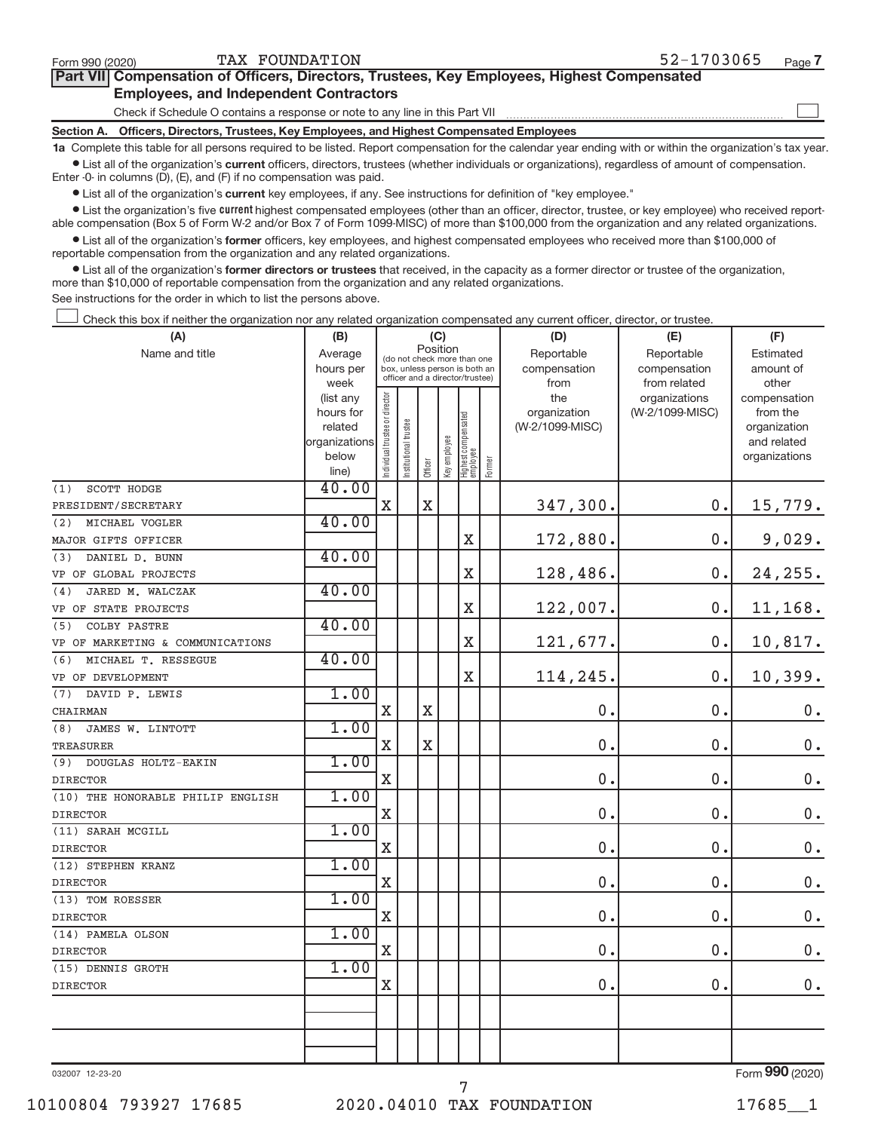| Form 990 (2020) | TAX FOUNDATION                                                                             | 52-1703065 | Page 7 |
|-----------------|--------------------------------------------------------------------------------------------|------------|--------|
|                 | Part VII Compensation of Officers, Directors, Trustees, Key Employees, Highest Compensated |            |        |
|                 | <b>Employees, and Independent Contractors</b>                                              |            |        |
|                 | Check if Schedule O contains a response or note to any line in this Part VII               |            |        |
|                 | Section A. Officers, Directors, Trustees, Key Employees, and Highest Compensated Employees |            |        |

**1a**  Complete this table for all persons required to be listed. Report compensation for the calendar year ending with or within the organization's tax year.  $\bullet$  List all of the organization's current officers, directors, trustees (whether individuals or organizations), regardless of amount of compensation.

Enter -0- in columns (D), (E), and (F) if no compensation was paid.

TAX FOUNDATION

**•** List all of the organization's **current** key employees, if any. See instructions for definition of "key employee."

**Examber 1** List the organization's five *current* highest compensated employees (other than an officer, director, trustee, or key employee) who received reportable compensation (Box 5 of Form W-2 and/or Box 7 of Form 1099-MISC) of more than \$100,000 from the organization and any related organizations.

 $\bullet$  List all of the organization's former officers, key employees, and highest compensated employees who received more than \$100,000 of reportable compensation from the organization and any related organizations.

**•** List all of the organization's former directors or trustees that received, in the capacity as a former director or trustee of the organization, more than \$10,000 of reportable compensation from the organization and any related organizations.

See instructions for the order in which to list the persons above.

Check this box if neither the organization nor any related organization compensated any current officer, director, or trustee.  $\mathcal{L}^{\text{max}}$ 

| (A)                               | (B)                    | (C)                            |                       |                       |              |                                                                  |        | (D)                 | (E)                              | (F)                      |
|-----------------------------------|------------------------|--------------------------------|-----------------------|-----------------------|--------------|------------------------------------------------------------------|--------|---------------------|----------------------------------|--------------------------|
| Name and title                    | Average                |                                |                       | Position              |              | (do not check more than one                                      |        | Reportable          | Reportable                       | Estimated                |
|                                   | hours per              |                                |                       |                       |              | box, unless person is both an<br>officer and a director/trustee) |        | compensation        | compensation                     | amount of                |
|                                   | week                   |                                |                       |                       |              |                                                                  |        | from                | from related                     | other                    |
|                                   | (list any<br>hours for |                                |                       |                       |              |                                                                  |        | the<br>organization | organizations<br>(W-2/1099-MISC) | compensation<br>from the |
|                                   | related                |                                |                       |                       |              |                                                                  |        | (W-2/1099-MISC)     |                                  | organization             |
|                                   | organizations          |                                |                       |                       |              |                                                                  |        |                     |                                  | and related              |
|                                   | below                  | Individual trustee or director | Institutional trustee |                       | Key employee |                                                                  |        |                     |                                  | organizations            |
|                                   | line)                  |                                |                       | Officer               |              | Highest compensated<br>  employee                                | Former |                     |                                  |                          |
| SCOTT HODGE<br>(1)                | 40.00                  |                                |                       |                       |              |                                                                  |        |                     |                                  |                          |
| PRESIDENT/SECRETARY               |                        | $\mathbf X$                    |                       | $\mathbf X$           |              |                                                                  |        | 347,300.            | 0.                               | 15,779.                  |
| (2)<br>MICHAEL VOGLER             | 40.00                  |                                |                       |                       |              |                                                                  |        |                     |                                  |                          |
| MAJOR GIFTS OFFICER               |                        |                                |                       |                       |              | $\overline{\text{X}}$                                            |        | 172,880.            | 0.                               | 9,029.                   |
| DANIEL D. BUNN<br>(3)             | 40.00                  |                                |                       |                       |              |                                                                  |        |                     |                                  |                          |
| VP OF GLOBAL PROJECTS             |                        |                                |                       |                       |              | $\overline{\text{X}}$                                            |        | 128,486.            | 0.                               | 24, 255.                 |
| JARED M. WALCZAK<br>(4)           | 40.00                  |                                |                       |                       |              |                                                                  |        |                     |                                  |                          |
| VP OF STATE PROJECTS              |                        |                                |                       |                       |              | X                                                                |        | 122,007.            | 0.                               | 11,168.                  |
| COLBY PASTRE<br>(5)               | 40.00                  |                                |                       |                       |              |                                                                  |        |                     |                                  |                          |
| VP OF MARKETING & COMMUNICATIONS  |                        |                                |                       |                       |              | $\overline{\text{X}}$                                            |        | 121,677.            | 0.                               | 10,817.                  |
| MICHAEL T. RESSEGUE<br>(6)        | 40.00                  |                                |                       |                       |              |                                                                  |        |                     |                                  |                          |
| VP OF DEVELOPMENT                 |                        |                                |                       |                       |              | $\overline{\text{X}}$                                            |        | 114,245.            | $\mathbf 0$ .                    | 10,399.                  |
| (7)<br>DAVID P. LEWIS             | 1.00                   |                                |                       |                       |              |                                                                  |        |                     |                                  |                          |
| CHAIRMAN                          |                        | X                              |                       | $\rm X$               |              |                                                                  |        | 0.                  | $\mathbf 0$ .                    | 0.                       |
| (8)<br>JAMES W. LINTOTT           | 1.00                   |                                |                       |                       |              |                                                                  |        |                     |                                  |                          |
| <b>TREASURER</b>                  |                        | $\mathbf X$                    |                       | $\overline{\text{X}}$ |              |                                                                  |        | 0.                  | $\mathbf 0$ .                    | $0$ .                    |
| (9) DOUGLAS HOLTZ-EAKIN           | 1.00                   |                                |                       |                       |              |                                                                  |        |                     |                                  |                          |
| <b>DIRECTOR</b>                   |                        | $\mathbf X$                    |                       |                       |              |                                                                  |        | 0.                  | $\mathbf 0$ .                    | $\mathbf 0$ .            |
| (10) THE HONORABLE PHILIP ENGLISH | 1.00                   |                                |                       |                       |              |                                                                  |        |                     |                                  |                          |
| <b>DIRECTOR</b>                   |                        | $\mathbf X$                    |                       |                       |              |                                                                  |        | 0.                  | $\mathbf 0$ .                    | $\mathbf 0$ .            |
| (11) SARAH MCGILL                 | 1.00                   |                                |                       |                       |              |                                                                  |        |                     |                                  |                          |
| <b>DIRECTOR</b>                   |                        | X                              |                       |                       |              |                                                                  |        | 0.                  | $\mathbf 0$                      | $\mathbf 0$ .            |
| (12) STEPHEN KRANZ                | 1.00                   |                                |                       |                       |              |                                                                  |        |                     |                                  |                          |
| <b>DIRECTOR</b>                   |                        | $\mathbf X$                    |                       |                       |              |                                                                  |        | 0.                  | $\mathbf 0$ .                    | $0$ .                    |
| (13) TOM ROESSER                  | 1.00                   |                                |                       |                       |              |                                                                  |        |                     |                                  |                          |
| <b>DIRECTOR</b>                   |                        | X                              |                       |                       |              |                                                                  |        | 0.                  | $\mathbf 0$                      | $\mathbf 0$ .            |
| (14) PAMELA OLSON                 | 1.00                   |                                |                       |                       |              |                                                                  |        |                     |                                  |                          |
| <b>DIRECTOR</b>                   |                        | $\mathbf X$                    |                       |                       |              |                                                                  |        | 0.                  | $\mathbf 0$ .                    | 0.                       |
| (15) DENNIS GROTH                 | 1.00                   |                                |                       |                       |              |                                                                  |        |                     |                                  |                          |
| <b>DIRECTOR</b>                   |                        | X                              |                       |                       |              |                                                                  |        | 0.                  | 0.                               | $\mathbf 0$ .            |
|                                   |                        |                                |                       |                       |              |                                                                  |        |                     |                                  |                          |
|                                   |                        |                                |                       |                       |              |                                                                  |        |                     |                                  |                          |
|                                   |                        |                                |                       |                       |              |                                                                  |        |                     |                                  |                          |
|                                   |                        |                                |                       |                       |              |                                                                  |        |                     |                                  |                          |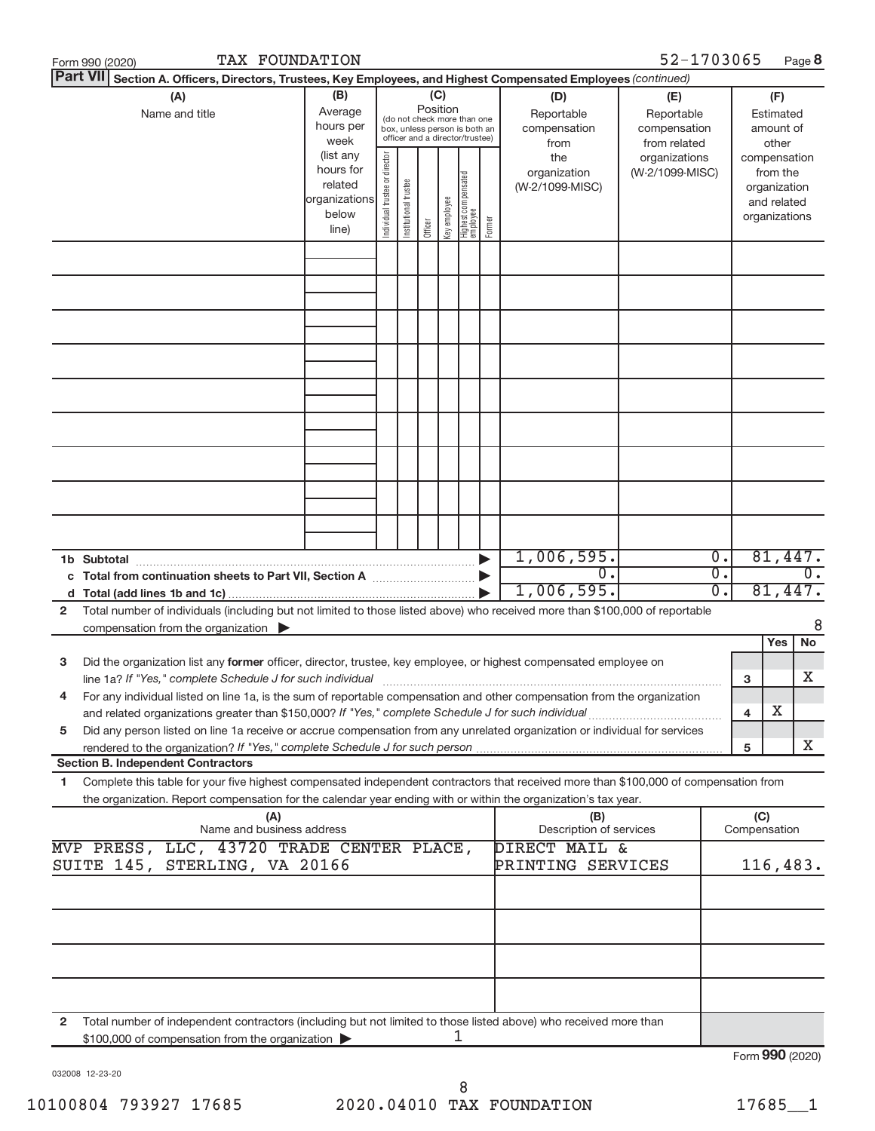|    | Form 990 (2020) | TAX FOUNDATION                                                                                                                                                                                                                    |                                                                      |                                |                       |         |                                                                                                 |                                   |                                           |                                                     | 52-1703065                       |                                   |                                        |                                                                          | Page 8          |
|----|-----------------|-----------------------------------------------------------------------------------------------------------------------------------------------------------------------------------------------------------------------------------|----------------------------------------------------------------------|--------------------------------|-----------------------|---------|-------------------------------------------------------------------------------------------------|-----------------------------------|-------------------------------------------|-----------------------------------------------------|----------------------------------|-----------------------------------|----------------------------------------|--------------------------------------------------------------------------|-----------------|
|    | <b>Part VII</b> | Section A. Officers, Directors, Trustees, Key Employees, and Highest Compensated Employees (continued)<br>(A)                                                                                                                     |                                                                      |                                |                       |         |                                                                                                 |                                   |                                           |                                                     |                                  |                                   |                                        |                                                                          |                 |
|    | Name and title  | (B)<br>Average<br>hours per<br>week                                                                                                                                                                                               |                                                                      |                                | (C)<br>Position       |         | (do not check more than one<br>box, unless person is both an<br>officer and a director/trustee) |                                   | (D)<br>Reportable<br>compensation<br>from | (E)<br>Reportable<br>compensation<br>from related   |                                  |                                   | (F)<br>Estimated<br>amount of<br>other |                                                                          |                 |
|    |                 |                                                                                                                                                                                                                                   | (list any<br>hours for<br>related<br>organizations<br>below<br>line) | Individual trustee or director | Institutional trustee | Officer | Key employee                                                                                    | Highest compensated<br>  employee | Former                                    | the<br>organization<br>(W-2/1099-MISC)              | organizations<br>(W-2/1099-MISC) |                                   |                                        | compensation<br>from the<br>organization<br>and related<br>organizations |                 |
|    |                 |                                                                                                                                                                                                                                   |                                                                      |                                |                       |         |                                                                                                 |                                   |                                           |                                                     |                                  |                                   |                                        |                                                                          |                 |
|    |                 |                                                                                                                                                                                                                                   |                                                                      |                                |                       |         |                                                                                                 |                                   |                                           |                                                     |                                  |                                   |                                        |                                                                          |                 |
|    |                 |                                                                                                                                                                                                                                   |                                                                      |                                |                       |         |                                                                                                 |                                   |                                           |                                                     |                                  |                                   |                                        |                                                                          |                 |
|    |                 |                                                                                                                                                                                                                                   |                                                                      |                                |                       |         |                                                                                                 |                                   |                                           |                                                     |                                  |                                   |                                        |                                                                          |                 |
|    |                 |                                                                                                                                                                                                                                   |                                                                      |                                |                       |         |                                                                                                 |                                   |                                           |                                                     |                                  |                                   |                                        |                                                                          |                 |
|    |                 |                                                                                                                                                                                                                                   |                                                                      |                                |                       |         |                                                                                                 |                                   |                                           |                                                     |                                  |                                   |                                        |                                                                          |                 |
|    |                 |                                                                                                                                                                                                                                   |                                                                      |                                |                       |         |                                                                                                 |                                   |                                           |                                                     |                                  |                                   |                                        |                                                                          |                 |
|    |                 |                                                                                                                                                                                                                                   |                                                                      |                                |                       |         |                                                                                                 |                                   |                                           |                                                     |                                  |                                   |                                        |                                                                          |                 |
|    |                 |                                                                                                                                                                                                                                   |                                                                      |                                |                       |         |                                                                                                 |                                   |                                           |                                                     |                                  |                                   |                                        |                                                                          |                 |
|    | 1b Subtotal     |                                                                                                                                                                                                                                   |                                                                      |                                |                       |         |                                                                                                 |                                   |                                           | 1,006,595.                                          |                                  | $\overline{0}$ .                  |                                        |                                                                          | 81,447.         |
|    |                 | c Total from continuation sheets to Part VII, Section A [111] [2006]                                                                                                                                                              |                                                                      |                                |                       |         |                                                                                                 |                                   |                                           | $0$ .<br>1,006,595.                                 |                                  | σ.<br>81,447.<br>$\overline{0}$ . |                                        | $\overline{0}$ .                                                         |                 |
| 2  |                 | Total number of individuals (including but not limited to those listed above) who received more than \$100,000 of reportable<br>compensation from the organization $\blacktriangleright$                                          |                                                                      |                                |                       |         |                                                                                                 |                                   |                                           |                                                     |                                  |                                   |                                        |                                                                          | 8               |
| 3  |                 | Did the organization list any former officer, director, trustee, key employee, or highest compensated employee on                                                                                                                 |                                                                      |                                |                       |         |                                                                                                 |                                   |                                           |                                                     |                                  |                                   |                                        | Yes                                                                      | No              |
| 4  |                 | line 1a? If "Yes," complete Schedule J for such individual<br>For any individual listed on line 1a, is the sum of reportable compensation and other compensation from the organization                                            |                                                                      |                                |                       |         |                                                                                                 |                                   |                                           |                                                     |                                  |                                   | 3                                      |                                                                          | X.              |
|    |                 | and related organizations greater than \$150,000? If "Yes," complete Schedule J for such individual<br>Did any person listed on line 1a receive or accrue compensation from any unrelated organization or individual for services |                                                                      |                                |                       |         |                                                                                                 |                                   |                                           |                                                     |                                  |                                   | 4                                      | x                                                                        |                 |
| 5  |                 |                                                                                                                                                                                                                                   |                                                                      |                                |                       |         |                                                                                                 |                                   |                                           |                                                     |                                  |                                   | 5                                      |                                                                          | X.              |
| 1. |                 | <b>Section B. Independent Contractors</b><br>Complete this table for your five highest compensated independent contractors that received more than \$100,000 of compensation from                                                 |                                                                      |                                |                       |         |                                                                                                 |                                   |                                           |                                                     |                                  |                                   |                                        |                                                                          |                 |
|    |                 | the organization. Report compensation for the calendar year ending with or within the organization's tax year.<br>(A)                                                                                                             |                                                                      |                                |                       |         |                                                                                                 |                                   |                                           | (B)                                                 |                                  |                                   | (C)                                    |                                                                          |                 |
|    |                 | Name and business address<br>MVP PRESS, LLC, 43720 TRADE CENTER PLACE,                                                                                                                                                            |                                                                      |                                |                       |         |                                                                                                 |                                   |                                           | Description of services<br><b>DIRECT MAIL &amp;</b> |                                  |                                   | Compensation                           |                                                                          |                 |
|    |                 | SUITE 145, STERLING, VA 20166                                                                                                                                                                                                     |                                                                      |                                |                       |         |                                                                                                 |                                   |                                           | PRINTING SERVICES                                   |                                  |                                   |                                        |                                                                          | 116,483.        |
|    |                 |                                                                                                                                                                                                                                   |                                                                      |                                |                       |         |                                                                                                 |                                   |                                           |                                                     |                                  |                                   |                                        |                                                                          |                 |
|    |                 |                                                                                                                                                                                                                                   |                                                                      |                                |                       |         |                                                                                                 |                                   |                                           |                                                     |                                  |                                   |                                        |                                                                          |                 |
|    |                 |                                                                                                                                                                                                                                   |                                                                      |                                |                       |         |                                                                                                 |                                   |                                           |                                                     |                                  |                                   |                                        |                                                                          |                 |
|    |                 |                                                                                                                                                                                                                                   |                                                                      |                                |                       |         |                                                                                                 |                                   |                                           |                                                     |                                  |                                   |                                        |                                                                          |                 |
| 2  |                 | Total number of independent contractors (including but not limited to those listed above) who received more than<br>\$100,000 of compensation from the organization                                                               |                                                                      |                                |                       |         | 1                                                                                               |                                   |                                           |                                                     |                                  |                                   |                                        |                                                                          | Form 990 (2020) |
|    |                 |                                                                                                                                                                                                                                   |                                                                      |                                |                       |         |                                                                                                 |                                   |                                           |                                                     |                                  |                                   |                                        |                                                                          |                 |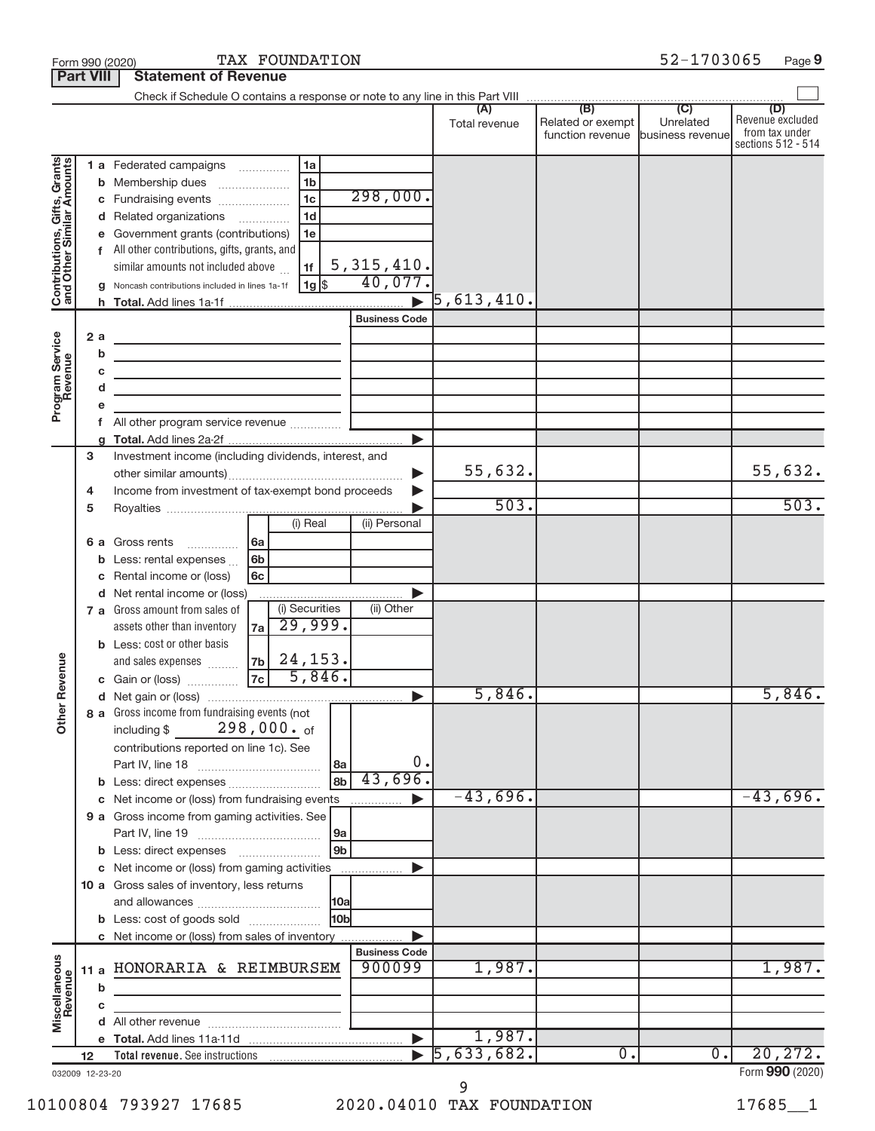|                                                           |                  |   | Form 990 (2020)                                                                                                      |                 | TAX FOUNDATION       |                      |                          |                                   | 52-1703065     |                         | Page 9    |
|-----------------------------------------------------------|------------------|---|----------------------------------------------------------------------------------------------------------------------|-----------------|----------------------|----------------------|--------------------------|-----------------------------------|----------------|-------------------------|-----------|
|                                                           | <b>Part VIII</b> |   | <b>Statement of Revenue</b>                                                                                          |                 |                      |                      |                          |                                   |                |                         |           |
|                                                           |                  |   |                                                                                                                      |                 |                      |                      |                          | (B)                               | $\overline{C}$ |                         |           |
|                                                           |                  |   |                                                                                                                      |                 |                      |                      | (A)<br>Total revenue     | Related or exempt                 | Unrelated      | (D)<br>Revenue excluded |           |
|                                                           |                  |   |                                                                                                                      |                 |                      |                      |                          | function revenue business revenue |                | from tax under          |           |
|                                                           |                  |   |                                                                                                                      |                 |                      |                      |                          |                                   |                | sections 512 - 514      |           |
| Contributions, Gifts, Grants<br>and Other Similar Amounts |                  |   | 1 a Federated campaigns                                                                                              |                 | 1a                   |                      |                          |                                   |                |                         |           |
|                                                           |                  |   | <b>b</b> Membership dues<br>$\overline{\phantom{a}}$                                                                 |                 | 1 <sub>b</sub>       |                      |                          |                                   |                |                         |           |
|                                                           |                  |   | c Fundraising events                                                                                                 |                 | 1 <sub>c</sub>       | 298,000.             |                          |                                   |                |                         |           |
|                                                           |                  |   | d Related organizations                                                                                              |                 | 1 <sub>d</sub>       |                      |                          |                                   |                |                         |           |
|                                                           |                  |   | e Government grants (contributions)                                                                                  |                 | 1e                   |                      |                          |                                   |                |                         |           |
|                                                           |                  |   | f All other contributions, gifts, grants, and                                                                        |                 |                      |                      |                          |                                   |                |                         |           |
|                                                           |                  |   | similar amounts not included above                                                                                   |                 | 1f                   | 5,315,410.           |                          |                                   |                |                         |           |
|                                                           |                  |   | g Noncash contributions included in lines 1a-1f                                                                      |                 | $1g$ s               | 40,077.              |                          |                                   |                |                         |           |
|                                                           |                  |   |                                                                                                                      |                 |                      |                      | $\overline{5}$ ,613,410. |                                   |                |                         |           |
|                                                           |                  |   |                                                                                                                      |                 |                      | <b>Business Code</b> |                          |                                   |                |                         |           |
|                                                           | 2 a              |   | the control of the control of the control of the control of the control of                                           |                 |                      |                      |                          |                                   |                |                         |           |
|                                                           |                  | b | <u> 1989 - Johann Barn, mars ann an t-Amhain Aonaich an t-Aonaich an t-Aonaich ann an t-Aonaich ann an t-Aonaich</u> |                 |                      |                      |                          |                                   |                |                         |           |
|                                                           |                  |   | <u> 1980 - Johann John Stone, markin fizik eta idazlea (</u>                                                         |                 |                      |                      |                          |                                   |                |                         |           |
|                                                           |                  |   | the control of the control of the control of the control of the control of                                           |                 |                      |                      |                          |                                   |                |                         |           |
| Program Service<br>Revenue                                |                  |   |                                                                                                                      |                 |                      |                      |                          |                                   |                |                         |           |
|                                                           |                  |   | All other program service revenue                                                                                    |                 |                      |                      |                          |                                   |                |                         |           |
|                                                           |                  |   |                                                                                                                      |                 |                      |                      |                          |                                   |                |                         |           |
|                                                           | 3                |   | Investment income (including dividends, interest, and                                                                |                 |                      |                      |                          |                                   |                |                         |           |
|                                                           |                  |   |                                                                                                                      |                 |                      |                      | 55,632.                  |                                   |                |                         | 55,632.   |
|                                                           | 4                |   | Income from investment of tax-exempt bond proceeds                                                                   |                 |                      |                      |                          |                                   |                |                         |           |
|                                                           | 5                |   |                                                                                                                      |                 |                      |                      | 503.                     |                                   |                |                         | 503.      |
|                                                           |                  |   |                                                                                                                      |                 | $(i)$ Real           | (ii) Personal        |                          |                                   |                |                         |           |
|                                                           |                  |   | <b>6 a</b> Gross rents<br>$\overline{\phantom{a}}$                                                                   | l 6a            |                      |                      |                          |                                   |                |                         |           |
|                                                           |                  |   | <b>b</b> Less: rental expenses                                                                                       | 6b              |                      |                      |                          |                                   |                |                         |           |
|                                                           |                  | С | Rental income or (loss)                                                                                              | <b>6c</b>       |                      |                      |                          |                                   |                |                         |           |
|                                                           |                  |   | d Net rental income or (loss)                                                                                        |                 |                      |                      |                          |                                   |                |                         |           |
|                                                           |                  |   | 7 a Gross amount from sales of                                                                                       |                 | (i) Securities       | (ii) Other           |                          |                                   |                |                         |           |
|                                                           |                  |   | assets other than inventory                                                                                          | 7a l            | 29,999.              |                      |                          |                                   |                |                         |           |
|                                                           |                  |   | <b>b</b> Less: cost or other basis                                                                                   |                 |                      |                      |                          |                                   |                |                         |           |
| venue                                                     |                  |   | and sales expenses                                                                                                   | 7 <sub>b</sub>  | 24,153.              |                      |                          |                                   |                |                         |           |
|                                                           |                  |   | c Gain or (loss)                                                                                                     | $\overline{7c}$ | 5,846.               |                      |                          |                                   |                |                         |           |
| Other R                                                   |                  |   |                                                                                                                      |                 |                      |                      | $5,846$ .                |                                   |                |                         | $5,846$ . |
|                                                           |                  |   | 8 a Gross income from fundraising events (not                                                                        |                 |                      |                      |                          |                                   |                |                         |           |
|                                                           |                  |   | including $$298,000.$ of                                                                                             |                 |                      |                      |                          |                                   |                |                         |           |
|                                                           |                  |   | contributions reported on line 1c). See                                                                              |                 |                      | 0.                   |                          |                                   |                |                         |           |
|                                                           |                  |   |                                                                                                                      |                 | 8a                   | 43,696.              |                          |                                   |                |                         |           |
|                                                           |                  |   |                                                                                                                      |                 |                      |                      | $-43,696.$               |                                   |                | $-43,696.$              |           |
|                                                           |                  |   | c Net income or (loss) from fundraising events                                                                       |                 |                      |                      |                          |                                   |                |                         |           |
|                                                           |                  |   | 9 a Gross income from gaming activities. See                                                                         |                 |                      |                      |                          |                                   |                |                         |           |
|                                                           |                  |   |                                                                                                                      |                 | 9a<br>9 <sub>b</sub> |                      |                          |                                   |                |                         |           |
|                                                           |                  |   | c Net income or (loss) from gaming activities                                                                        |                 |                      |                      |                          |                                   |                |                         |           |
|                                                           |                  |   | 10 a Gross sales of inventory, less returns                                                                          |                 |                      | .                    |                          |                                   |                |                         |           |
|                                                           |                  |   |                                                                                                                      |                 | 10a                  |                      |                          |                                   |                |                         |           |
|                                                           |                  |   | <b>b</b> Less: cost of goods sold                                                                                    |                 | l10b                 |                      |                          |                                   |                |                         |           |
|                                                           |                  |   | c Net income or (loss) from sales of inventory                                                                       |                 |                      |                      |                          |                                   |                |                         |           |
|                                                           |                  |   |                                                                                                                      |                 |                      | <b>Business Code</b> |                          |                                   |                |                         |           |
|                                                           | 11 a             |   | HONORARIA & REIMBURSEM                                                                                               |                 |                      | 900099               | 1,987.                   |                                   |                |                         | 1,987.    |
|                                                           |                  | b |                                                                                                                      |                 |                      |                      |                          |                                   |                |                         |           |
|                                                           |                  | C |                                                                                                                      |                 |                      |                      |                          |                                   |                |                         |           |
| Miscellaneous<br>Revenue                                  |                  |   |                                                                                                                      |                 |                      |                      |                          |                                   |                |                         |           |
|                                                           |                  |   |                                                                                                                      |                 |                      |                      | 1,987.                   |                                   |                |                         |           |
|                                                           | $12 \,$          |   |                                                                                                                      |                 |                      |                      | 5,633,682.               | $\overline{0}$ .                  | $0$ .          |                         | 20, 272.  |
|                                                           | 032009 12-23-20  |   |                                                                                                                      |                 |                      |                      |                          |                                   |                | Form 990 (2020)         |           |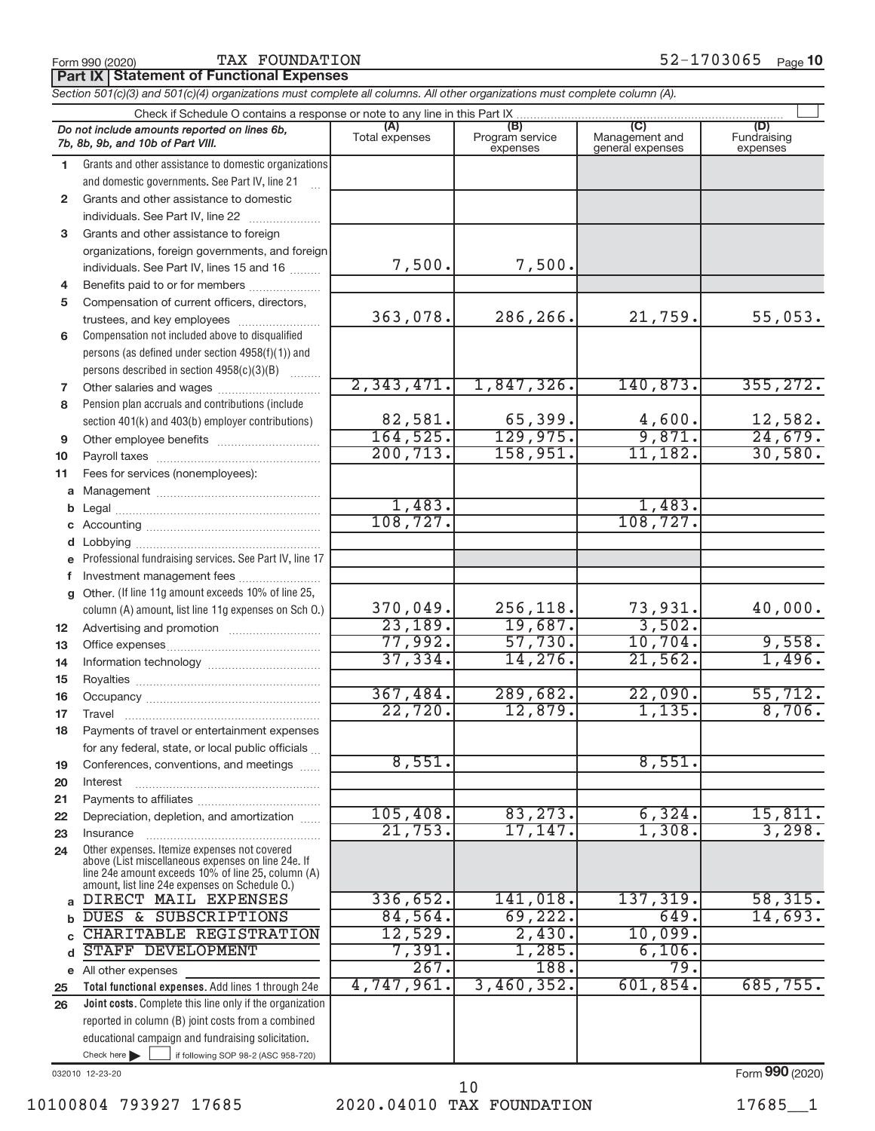TAX FOUNDATION

Form 990 (2020)<br>**Part IX | Statement of Functional Expenses** 

*Section 501(c)(3) and 501(c)(4) organizations must complete all columns. All other organizations must complete column (A).*

|                 | Check if Schedule O contains a response or note to any line in this Part IX                                    |                       |                                    |                                           |                                |  |  |  |  |  |  |
|-----------------|----------------------------------------------------------------------------------------------------------------|-----------------------|------------------------------------|-------------------------------------------|--------------------------------|--|--|--|--|--|--|
|                 | Do not include amounts reported on lines 6b,<br>7b, 8b, 9b, and 10b of Part VIII.                              | (A)<br>Total expenses | (B)<br>Program service<br>expenses | (C)<br>Management and<br>general expenses | (D)<br>Fundraising<br>expenses |  |  |  |  |  |  |
| 1.              | Grants and other assistance to domestic organizations                                                          |                       |                                    |                                           |                                |  |  |  |  |  |  |
|                 | and domestic governments. See Part IV, line 21                                                                 |                       |                                    |                                           |                                |  |  |  |  |  |  |
| $\mathbf{2}$    | Grants and other assistance to domestic                                                                        |                       |                                    |                                           |                                |  |  |  |  |  |  |
|                 | individuals. See Part IV, line 22                                                                              |                       |                                    |                                           |                                |  |  |  |  |  |  |
| 3               | Grants and other assistance to foreign                                                                         |                       |                                    |                                           |                                |  |  |  |  |  |  |
|                 | organizations, foreign governments, and foreign                                                                |                       |                                    |                                           |                                |  |  |  |  |  |  |
|                 | individuals. See Part IV, lines 15 and 16                                                                      | 7,500.                | 7,500.                             |                                           |                                |  |  |  |  |  |  |
| 4               | Benefits paid to or for members                                                                                |                       |                                    |                                           |                                |  |  |  |  |  |  |
| 5               | Compensation of current officers, directors,                                                                   | 363,078.              |                                    |                                           |                                |  |  |  |  |  |  |
|                 | trustees, and key employees                                                                                    |                       | 286,266.                           | 21,759.                                   | 55,053.                        |  |  |  |  |  |  |
| 6               | Compensation not included above to disqualified                                                                |                       |                                    |                                           |                                |  |  |  |  |  |  |
|                 | persons (as defined under section 4958(f)(1)) and                                                              |                       |                                    |                                           |                                |  |  |  |  |  |  |
|                 | persons described in section 4958(c)(3)(B)                                                                     | 2,343,471.            | 1,847,326.                         | 140,873.                                  | 355, 272.                      |  |  |  |  |  |  |
| 7<br>8          | Pension plan accruals and contributions (include                                                               |                       |                                    |                                           |                                |  |  |  |  |  |  |
|                 | section 401(k) and 403(b) employer contributions)                                                              | 82,581.               | 65,399.                            | 4,600.                                    | 12,582.                        |  |  |  |  |  |  |
| 9               | Other employee benefits                                                                                        | 164, 525.             | 129,975.                           | 9,871.                                    | 24,679.                        |  |  |  |  |  |  |
| 10              |                                                                                                                | 200, 713.             | 158,951.                           | 11,182.                                   | 30,580.                        |  |  |  |  |  |  |
| 11              | Fees for services (nonemployees):                                                                              |                       |                                    |                                           |                                |  |  |  |  |  |  |
| а               |                                                                                                                |                       |                                    |                                           |                                |  |  |  |  |  |  |
| b               |                                                                                                                | 1,483.                |                                    | 1,483.                                    |                                |  |  |  |  |  |  |
| c               |                                                                                                                | 108, 727.             |                                    | 108, 727.                                 |                                |  |  |  |  |  |  |
| d               |                                                                                                                |                       |                                    |                                           |                                |  |  |  |  |  |  |
| e               | Professional fundraising services. See Part IV, line 17                                                        |                       |                                    |                                           |                                |  |  |  |  |  |  |
| f               | Investment management fees                                                                                     |                       |                                    |                                           |                                |  |  |  |  |  |  |
| a               | Other. (If line 11g amount exceeds 10% of line 25,                                                             |                       |                                    |                                           |                                |  |  |  |  |  |  |
|                 | column (A) amount, list line 11g expenses on Sch O.)                                                           | 370,049.              | 256,118.                           | 73,931.                                   | 40,000.                        |  |  |  |  |  |  |
| 12 <sup>2</sup> |                                                                                                                | 23,189.               | 19,687.                            | 3,502.                                    |                                |  |  |  |  |  |  |
| 13              |                                                                                                                | 77,992.               | 57,730.                            | 10,704.                                   | 9,558.                         |  |  |  |  |  |  |
| 14              |                                                                                                                | 37, 334.              | 14,276.                            | 21,562.                                   | 1,496.                         |  |  |  |  |  |  |
| 15              |                                                                                                                | 367,484.              | 289,682.                           | 22,090.                                   | 55,712.                        |  |  |  |  |  |  |
| 16              |                                                                                                                | 22,720.               | 12,879.                            | 1,135.                                    | 8,706.                         |  |  |  |  |  |  |
| 17              |                                                                                                                |                       |                                    |                                           |                                |  |  |  |  |  |  |
| 18              | Payments of travel or entertainment expenses<br>for any federal, state, or local public officials              |                       |                                    |                                           |                                |  |  |  |  |  |  |
| 19              | Conferences, conventions, and meetings                                                                         | 8,551.                |                                    | 8,551                                     |                                |  |  |  |  |  |  |
| 20              | Interest                                                                                                       |                       |                                    |                                           |                                |  |  |  |  |  |  |
| 21              |                                                                                                                |                       |                                    |                                           |                                |  |  |  |  |  |  |
| 22              | Depreciation, depletion, and amortization                                                                      | 105,408.              | 83, 273                            | 6,324.                                    | 15,811.                        |  |  |  |  |  |  |
| 23              | Insurance                                                                                                      | 21,753.               | 17, 147.                           | 1,308                                     | 3,298.                         |  |  |  |  |  |  |
| 24              | Other expenses. Itemize expenses not covered                                                                   |                       |                                    |                                           |                                |  |  |  |  |  |  |
|                 | above (List miscellaneous expenses on line 24e. If<br>line 24e amount exceeds 10% of line 25, column (A)       |                       |                                    |                                           |                                |  |  |  |  |  |  |
|                 | amount, list line 24e expenses on Schedule O.)                                                                 |                       |                                    |                                           |                                |  |  |  |  |  |  |
| a               | DIRECT MAIL EXPENSES                                                                                           | 336,652.              | 141,018                            | 137,319.                                  | 58,315.                        |  |  |  |  |  |  |
| $\mathbf b$     | DUES & SUBSCRIPTIONS                                                                                           | 84,564.               | 69, 222.                           | 649.                                      | 14,693.                        |  |  |  |  |  |  |
| C               | CHARITABLE REGISTRATION                                                                                        | 12,529.               | 2,430.                             | 10,099.                                   |                                |  |  |  |  |  |  |
| d               | STAFF DEVELOPMENT                                                                                              | 7,391.<br>267.        | 1,285<br>188.                      | 6,106.<br>79.                             |                                |  |  |  |  |  |  |
|                 | e All other expenses                                                                                           | 4,747,961.            | 3,460,352.                         | 601,854.                                  | 685,755.                       |  |  |  |  |  |  |
| 25              | Total functional expenses. Add lines 1 through 24e<br>Joint costs. Complete this line only if the organization |                       |                                    |                                           |                                |  |  |  |  |  |  |
| 26              | reported in column (B) joint costs from a combined                                                             |                       |                                    |                                           |                                |  |  |  |  |  |  |
|                 | educational campaign and fundraising solicitation.                                                             |                       |                                    |                                           |                                |  |  |  |  |  |  |
|                 | Check here $\blacktriangleright$<br>if following SOP 98-2 (ASC 958-720)                                        |                       |                                    |                                           |                                |  |  |  |  |  |  |
|                 |                                                                                                                |                       |                                    |                                           |                                |  |  |  |  |  |  |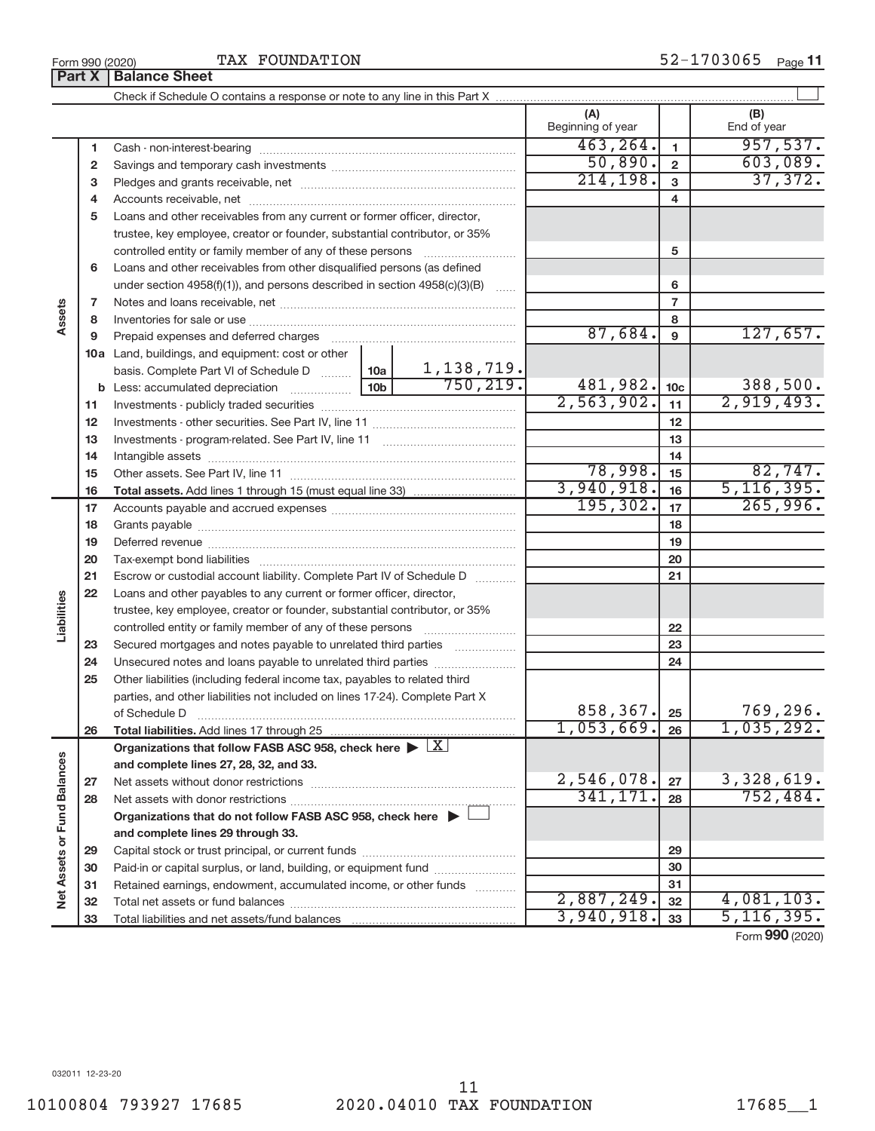**1 2**

**6**

|                      |    | under section 4958(f)(1)), and persons described in section 4958(c)(3)(B)                                                                                                                                                      |            | 6               |              |
|----------------------|----|--------------------------------------------------------------------------------------------------------------------------------------------------------------------------------------------------------------------------------|------------|-----------------|--------------|
|                      | 7  |                                                                                                                                                                                                                                |            | $\overline{7}$  |              |
| ssets                | 8  |                                                                                                                                                                                                                                |            | 8               |              |
|                      | 9  | Prepaid expenses and deferred charges [11] matter continuum matter and referred charges [11] matter continuum matter continuum matter and continuum matter continuum matter continuum matter continuum matter continuum matter | 87,684.    | 9               | 127,657.     |
|                      |    | 10a Land, buildings, and equipment: cost or other                                                                                                                                                                              |            |                 |              |
|                      |    | $\frac{1,138,719.}{750,219.}$<br>basis. Complete Part VI of Schedule D    10a                                                                                                                                                  |            |                 |              |
|                      |    |                                                                                                                                                                                                                                | 481,982.   | 10 <sub>c</sub> | 388,500.     |
|                      | 11 |                                                                                                                                                                                                                                | 2,563,902. | 11              | 2,919,493.   |
|                      | 12 |                                                                                                                                                                                                                                |            | 12              |              |
|                      | 13 |                                                                                                                                                                                                                                |            | 13              |              |
|                      | 14 |                                                                                                                                                                                                                                |            | 14              |              |
|                      | 15 |                                                                                                                                                                                                                                | 78,998.    | 15              | 82,747.      |
|                      | 16 |                                                                                                                                                                                                                                | 3,940,918. | 16              | 5, 116, 395. |
|                      | 17 |                                                                                                                                                                                                                                | 195, 302.  | 17              | 265,996.     |
|                      | 18 |                                                                                                                                                                                                                                |            | 18              |              |
|                      | 19 |                                                                                                                                                                                                                                |            | 19              |              |
|                      | 20 |                                                                                                                                                                                                                                |            | 20              |              |
|                      | 21 | Escrow or custodial account liability. Complete Part IV of Schedule D                                                                                                                                                          |            | 21              |              |
|                      | 22 | Loans and other payables to any current or former officer, director,                                                                                                                                                           |            |                 |              |
| abilities            |    | trustee, key employee, creator or founder, substantial contributor, or 35%                                                                                                                                                     |            |                 |              |
|                      |    | controlled entity or family member of any of these persons [                                                                                                                                                                   |            | 22              |              |
|                      | 23 | Secured mortgages and notes payable to unrelated third parties                                                                                                                                                                 |            | 23              |              |
|                      | 24 | Unsecured notes and loans payable to unrelated third parties                                                                                                                                                                   |            | 24              |              |
|                      | 25 | Other liabilities (including federal income tax, payables to related third                                                                                                                                                     |            |                 |              |
|                      |    | parties, and other liabilities not included on lines 17-24). Complete Part X                                                                                                                                                   |            |                 |              |
|                      |    | of Schedule D                                                                                                                                                                                                                  | 858, 367.  | 25              | 769,296.     |
|                      | 26 |                                                                                                                                                                                                                                | 1,053,669. | 26              | 1,035,292.   |
|                      |    | Organizations that follow FASB ASC 958, check here $\blacktriangleright \lfloor X \rfloor$                                                                                                                                     |            |                 |              |
| <b>Fund Balances</b> |    | and complete lines 27, 28, 32, and 33.                                                                                                                                                                                         |            |                 |              |
|                      | 27 |                                                                                                                                                                                                                                | 2,546,078. | 27              | 3, 328, 619. |
|                      | 28 |                                                                                                                                                                                                                                | 341,171.   | 28              | 752,484.     |
|                      |    | Organizations that do not follow FASB ASC 958, check here $\blacktriangleright$                                                                                                                                                |            |                 |              |
|                      |    | and complete lines 29 through 33.                                                                                                                                                                                              |            |                 |              |
| ŏ                    | 29 |                                                                                                                                                                                                                                |            | 29              |              |
| et Assets            | 30 | Paid-in or capital surplus, or land, building, or equipment fund                                                                                                                                                               |            | 30              |              |
|                      | 31 | Retained earnings, endowment, accumulated income, or other funds                                                                                                                                                               |            | 31              |              |
|                      | 32 |                                                                                                                                                                                                                                | 2,887,249. | 32              | 4,081,103.   |
|                      | 33 | Total liabilities and net assets/fund balances                                                                                                                                                                                 | 3,940,918. | 33              | 5, 116, 395. |

#### **Part X Balance Sheet** TAX FOUNDATION

**3** Pledges and grants receivable, net ~~~~~~~~~~~~~~~~~~~~~ **4** Accounts receivable, net ~~~~~~~~~~~~~~~~~~~~~~~~~~ **5** Loans and other receivables from any current or former officer, director,

trustee, key employee, creator or founder, substantial contributor, or 35% controlled entity or family member of any of these persons ~~~~~~~~~ Loans and other receivables from other disqualified persons (as defined

Cash - non-interest-bearing ~~~~~~~~~~~~~~~~~~~~~~~~~ Savings and temporary cash investments ~~~~~~~~~~~~~~~~~~

Check if Schedule O contains a response or note to any line in this Part X

 $\Box$ 

Form (2020) **990**

**(A) (B)**

Beginning of year | | End of year

463,264. 957,537.  $50,890.$  2 603,089  $214, 198.$  37, 372.

**5**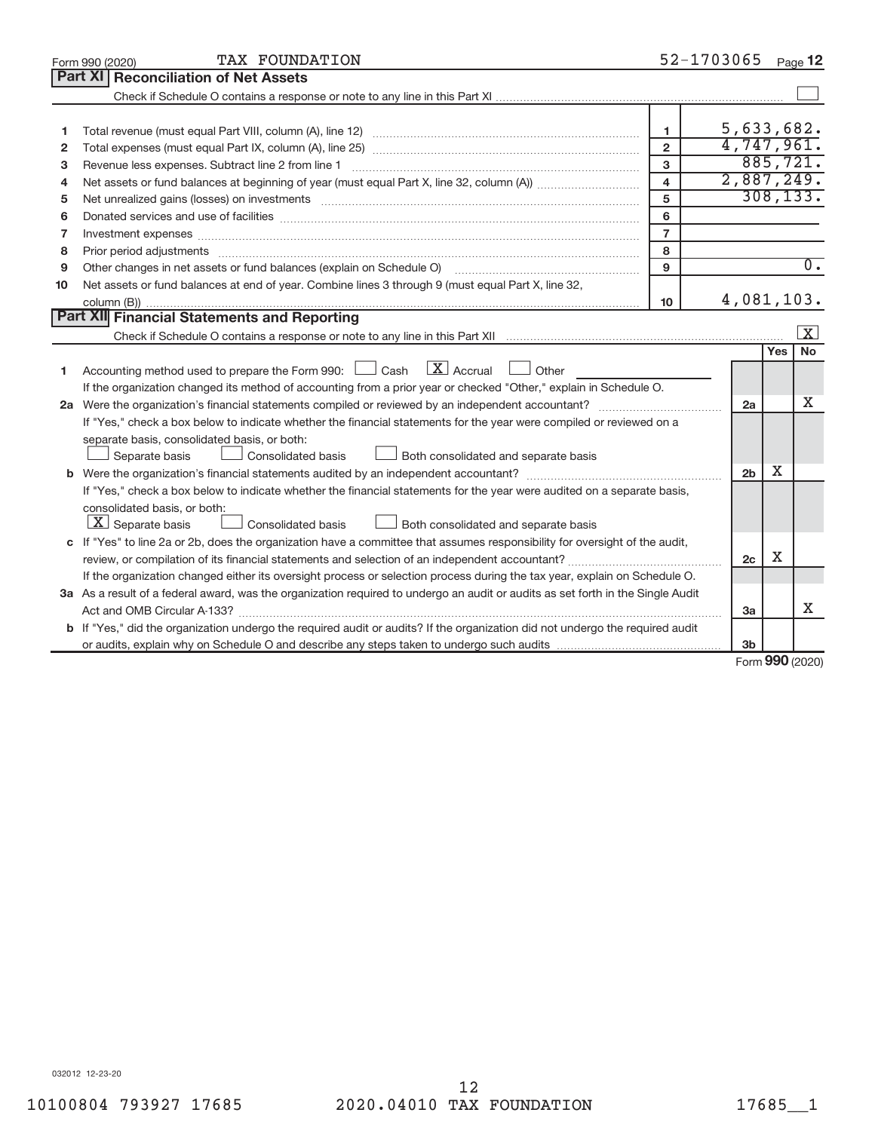|    | TAX FOUNDATION<br>Form 990 (2020)                                                                                                    |                         | 52-1703065     |                 | Page 12                 |
|----|--------------------------------------------------------------------------------------------------------------------------------------|-------------------------|----------------|-----------------|-------------------------|
|    | <b>Part XI</b><br><b>Reconciliation of Net Assets</b>                                                                                |                         |                |                 |                         |
|    |                                                                                                                                      |                         |                |                 |                         |
|    |                                                                                                                                      |                         |                |                 |                         |
| 1  |                                                                                                                                      | 1.                      | 5,633,682.     |                 |                         |
| 2  |                                                                                                                                      | $\overline{2}$          | 4,747,961.     |                 |                         |
| з  | Revenue less expenses. Subtract line 2 from line 1                                                                                   | 3                       |                |                 | 885, 721.               |
| 4  |                                                                                                                                      | $\overline{\mathbf{4}}$ | 2,887,249.     |                 |                         |
| 5  |                                                                                                                                      | 5                       |                |                 | 308, 133.               |
| 6  |                                                                                                                                      | 6                       |                |                 |                         |
| 7  | Investment expenses www.communication.com/www.communication.com/www.communication.com/www.com                                        | $\overline{7}$          |                |                 |                         |
| 8  |                                                                                                                                      | 8                       |                |                 |                         |
| 9  | Other changes in net assets or fund balances (explain on Schedule O)                                                                 | 9                       |                |                 | $\overline{0}$ .        |
| 10 | Net assets or fund balances at end of year. Combine lines 3 through 9 (must equal Part X, line 32,                                   |                         |                |                 |                         |
|    |                                                                                                                                      | 10                      | 4,081,103.     |                 |                         |
|    | Part XII Financial Statements and Reporting                                                                                          |                         |                |                 |                         |
|    |                                                                                                                                      |                         |                |                 | $\overline{\mathbf{X}}$ |
|    |                                                                                                                                      |                         |                | Yes             | <b>No</b>               |
| 1. | Accounting method used to prepare the Form 990: $\Box$ Cash $\Box$ Accrual $\Box$ Other                                              |                         |                |                 |                         |
|    | If the organization changed its method of accounting from a prior year or checked "Other," explain in Schedule O.                    |                         |                |                 |                         |
|    |                                                                                                                                      |                         | 2a             |                 | Χ                       |
|    | If "Yes," check a box below to indicate whether the financial statements for the year were compiled or reviewed on a                 |                         |                |                 |                         |
|    | separate basis, consolidated basis, or both:                                                                                         |                         |                |                 |                         |
|    | Both consolidated and separate basis<br>Separate basis<br>Consolidated basis                                                         |                         |                |                 |                         |
|    |                                                                                                                                      |                         | 2 <sub>b</sub> | х               |                         |
|    | If "Yes," check a box below to indicate whether the financial statements for the year were audited on a separate basis,              |                         |                |                 |                         |
|    | consolidated basis, or both:                                                                                                         |                         |                |                 |                         |
|    | $\lfloor x \rfloor$ Separate basis<br><b>Consolidated basis</b><br>Both consolidated and separate basis                              |                         |                |                 |                         |
|    | c If "Yes" to line 2a or 2b, does the organization have a committee that assumes responsibility for oversight of the audit,          |                         |                |                 |                         |
|    |                                                                                                                                      |                         | 2 <sub>c</sub> | х               |                         |
|    | If the organization changed either its oversight process or selection process during the tax year, explain on Schedule O.            |                         |                |                 |                         |
|    | 3a As a result of a federal award, was the organization required to undergo an audit or audits as set forth in the Single Audit      |                         |                |                 |                         |
|    |                                                                                                                                      |                         | 3a             |                 | x                       |
|    | <b>b</b> If "Yes," did the organization undergo the required audit or audits? If the organization did not undergo the required audit |                         |                |                 |                         |
|    |                                                                                                                                      |                         | 3b             | $000 \approx 0$ |                         |
|    |                                                                                                                                      |                         |                |                 |                         |

Form (2020) **990**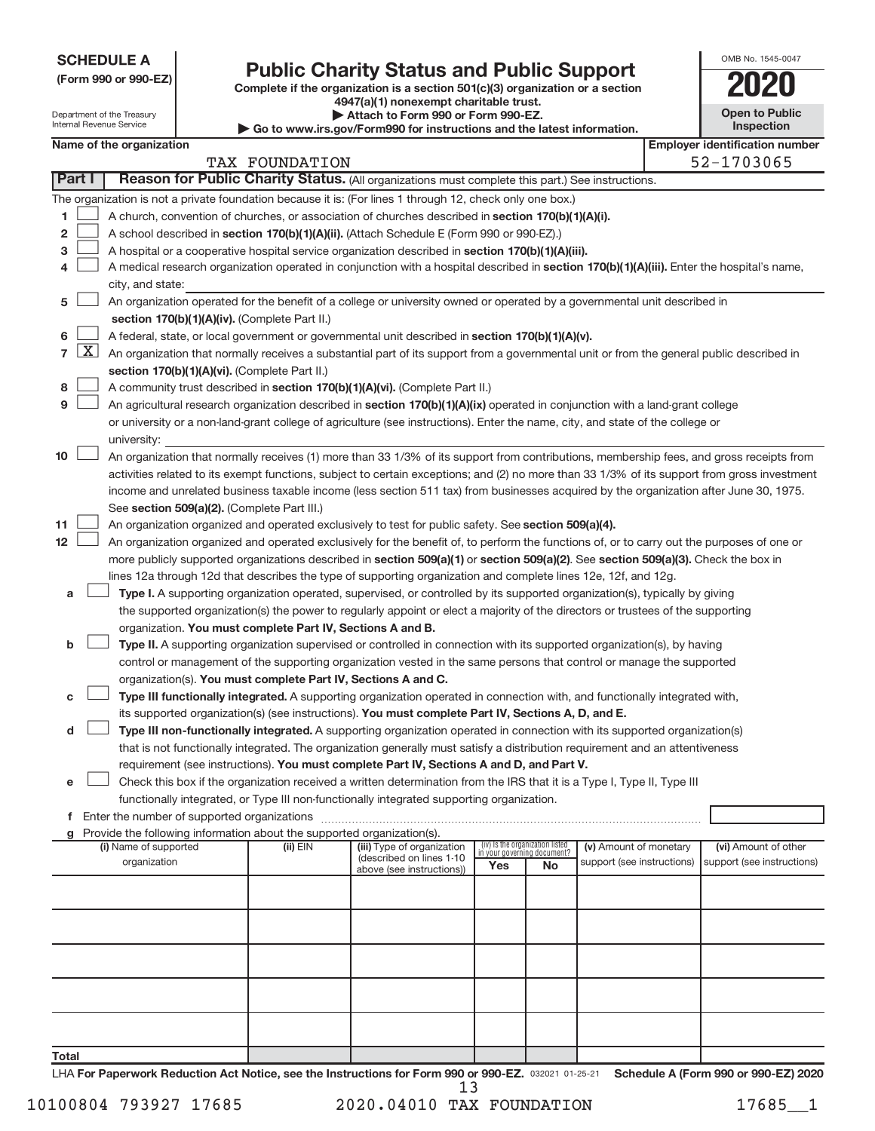**SCHEDULE A**

Department of the Treasury

# **(Form 990 or 990-EZ) Complete if the organization is a section 501(c)(3) organization or a section Public Charity Status and Public Support 2020**

**4947(a)(1) nonexempt charitable trust. | Attach to Form 990 or Form 990-EZ.** 

|    | <b>Open to Public</b><br>Inspection |
|----|-------------------------------------|
| ١I | entification nur                    |

OMB No. 1545-0047

|                |                     | Internal Revenue Service                                                                                                                          |  |                                                                        | Go to www.irs.gov/Form990 for instructions and the latest information.                                                                       |     |                                                                |                            |  | Inspection                            |
|----------------|---------------------|---------------------------------------------------------------------------------------------------------------------------------------------------|--|------------------------------------------------------------------------|----------------------------------------------------------------------------------------------------------------------------------------------|-----|----------------------------------------------------------------|----------------------------|--|---------------------------------------|
|                |                     | Name of the organization                                                                                                                          |  |                                                                        |                                                                                                                                              |     |                                                                |                            |  | <b>Employer identification number</b> |
|                |                     |                                                                                                                                                   |  | TAX FOUNDATION                                                         |                                                                                                                                              |     |                                                                |                            |  | 52-1703065                            |
| Part I         |                     |                                                                                                                                                   |  |                                                                        | Reason for Public Charity Status. (All organizations must complete this part.) See instructions.                                             |     |                                                                |                            |  |                                       |
|                |                     |                                                                                                                                                   |  |                                                                        | The organization is not a private foundation because it is: (For lines 1 through 12, check only one box.)                                    |     |                                                                |                            |  |                                       |
| 1              |                     |                                                                                                                                                   |  |                                                                        | A church, convention of churches, or association of churches described in section 170(b)(1)(A)(i).                                           |     |                                                                |                            |  |                                       |
| 2              |                     |                                                                                                                                                   |  |                                                                        | A school described in section 170(b)(1)(A)(ii). (Attach Schedule E (Form 990 or 990-EZ).)                                                    |     |                                                                |                            |  |                                       |
| з              |                     |                                                                                                                                                   |  |                                                                        | A hospital or a cooperative hospital service organization described in section 170(b)(1)(A)(iii).                                            |     |                                                                |                            |  |                                       |
| 4              |                     | city, and state:                                                                                                                                  |  |                                                                        | A medical research organization operated in conjunction with a hospital described in section 170(b)(1)(A)(iii). Enter the hospital's name,   |     |                                                                |                            |  |                                       |
| 5              |                     |                                                                                                                                                   |  |                                                                        | An organization operated for the benefit of a college or university owned or operated by a governmental unit described in                    |     |                                                                |                            |  |                                       |
|                |                     |                                                                                                                                                   |  |                                                                        |                                                                                                                                              |     |                                                                |                            |  |                                       |
| 6              |                     | section 170(b)(1)(A)(iv). (Complete Part II.)<br>A federal, state, or local government or governmental unit described in section 170(b)(1)(A)(v). |  |                                                                        |                                                                                                                                              |     |                                                                |                            |  |                                       |
| $\overline{7}$ | $\lfloor x \rfloor$ |                                                                                                                                                   |  |                                                                        | An organization that normally receives a substantial part of its support from a governmental unit or from the general public described in    |     |                                                                |                            |  |                                       |
|                |                     |                                                                                                                                                   |  | section 170(b)(1)(A)(vi). (Complete Part II.)                          |                                                                                                                                              |     |                                                                |                            |  |                                       |
|                |                     |                                                                                                                                                   |  |                                                                        |                                                                                                                                              |     |                                                                |                            |  |                                       |
| 8<br>9         |                     |                                                                                                                                                   |  |                                                                        | A community trust described in section 170(b)(1)(A)(vi). (Complete Part II.)                                                                 |     |                                                                |                            |  |                                       |
|                |                     |                                                                                                                                                   |  |                                                                        | An agricultural research organization described in section 170(b)(1)(A)(ix) operated in conjunction with a land-grant college                |     |                                                                |                            |  |                                       |
|                |                     |                                                                                                                                                   |  |                                                                        | or university or a non-land-grant college of agriculture (see instructions). Enter the name, city, and state of the college or               |     |                                                                |                            |  |                                       |
| 10             |                     | university:                                                                                                                                       |  |                                                                        | An organization that normally receives (1) more than 33 1/3% of its support from contributions, membership fees, and gross receipts from     |     |                                                                |                            |  |                                       |
|                |                     |                                                                                                                                                   |  |                                                                        | activities related to its exempt functions, subject to certain exceptions; and (2) no more than 33 1/3% of its support from gross investment |     |                                                                |                            |  |                                       |
|                |                     |                                                                                                                                                   |  |                                                                        | income and unrelated business taxable income (less section 511 tax) from businesses acquired by the organization after June 30, 1975.        |     |                                                                |                            |  |                                       |
|                |                     |                                                                                                                                                   |  | See section 509(a)(2). (Complete Part III.)                            |                                                                                                                                              |     |                                                                |                            |  |                                       |
| 11             |                     |                                                                                                                                                   |  |                                                                        | An organization organized and operated exclusively to test for public safety. See section 509(a)(4).                                         |     |                                                                |                            |  |                                       |
| 12             |                     |                                                                                                                                                   |  |                                                                        | An organization organized and operated exclusively for the benefit of, to perform the functions of, or to carry out the purposes of one or   |     |                                                                |                            |  |                                       |
|                |                     |                                                                                                                                                   |  |                                                                        | more publicly supported organizations described in section 509(a)(1) or section 509(a)(2). See section 509(a)(3). Check the box in           |     |                                                                |                            |  |                                       |
|                |                     |                                                                                                                                                   |  |                                                                        | lines 12a through 12d that describes the type of supporting organization and complete lines 12e, 12f, and 12g.                               |     |                                                                |                            |  |                                       |
| a              |                     |                                                                                                                                                   |  |                                                                        | Type I. A supporting organization operated, supervised, or controlled by its supported organization(s), typically by giving                  |     |                                                                |                            |  |                                       |
|                |                     |                                                                                                                                                   |  |                                                                        | the supported organization(s) the power to regularly appoint or elect a majority of the directors or trustees of the supporting              |     |                                                                |                            |  |                                       |
|                |                     |                                                                                                                                                   |  | organization. You must complete Part IV, Sections A and B.             |                                                                                                                                              |     |                                                                |                            |  |                                       |
| b              |                     |                                                                                                                                                   |  |                                                                        | Type II. A supporting organization supervised or controlled in connection with its supported organization(s), by having                      |     |                                                                |                            |  |                                       |
|                |                     |                                                                                                                                                   |  |                                                                        | control or management of the supporting organization vested in the same persons that control or manage the supported                         |     |                                                                |                            |  |                                       |
|                |                     |                                                                                                                                                   |  | organization(s). You must complete Part IV, Sections A and C.          |                                                                                                                                              |     |                                                                |                            |  |                                       |
| с              |                     |                                                                                                                                                   |  |                                                                        | Type III functionally integrated. A supporting organization operated in connection with, and functionally integrated with,                   |     |                                                                |                            |  |                                       |
|                |                     |                                                                                                                                                   |  |                                                                        | its supported organization(s) (see instructions). You must complete Part IV, Sections A, D, and E.                                           |     |                                                                |                            |  |                                       |
| d              |                     |                                                                                                                                                   |  |                                                                        | Type III non-functionally integrated. A supporting organization operated in connection with its supported organization(s)                    |     |                                                                |                            |  |                                       |
|                |                     |                                                                                                                                                   |  |                                                                        | that is not functionally integrated. The organization generally must satisfy a distribution requirement and an attentiveness                 |     |                                                                |                            |  |                                       |
|                |                     |                                                                                                                                                   |  |                                                                        | requirement (see instructions). You must complete Part IV, Sections A and D, and Part V.                                                     |     |                                                                |                            |  |                                       |
| е              |                     |                                                                                                                                                   |  |                                                                        | Check this box if the organization received a written determination from the IRS that it is a Type I, Type II, Type III                      |     |                                                                |                            |  |                                       |
|                |                     |                                                                                                                                                   |  |                                                                        | functionally integrated, or Type III non-functionally integrated supporting organization.                                                    |     |                                                                |                            |  |                                       |
|                |                     |                                                                                                                                                   |  |                                                                        |                                                                                                                                              |     |                                                                |                            |  |                                       |
|                |                     |                                                                                                                                                   |  | Provide the following information about the supported organization(s). |                                                                                                                                              |     |                                                                |                            |  |                                       |
|                |                     | (i) Name of supported                                                                                                                             |  | (ii) EIN                                                               | (iii) Type of organization                                                                                                                   |     | (iv) Is the organization listed<br>in your governing document? | (v) Amount of monetary     |  | (vi) Amount of other                  |
|                |                     | organization                                                                                                                                      |  |                                                                        | (described on lines 1-10<br>above (see instructions))                                                                                        | Yes | No                                                             | support (see instructions) |  | support (see instructions)            |
|                |                     |                                                                                                                                                   |  |                                                                        |                                                                                                                                              |     |                                                                |                            |  |                                       |
|                |                     |                                                                                                                                                   |  |                                                                        |                                                                                                                                              |     |                                                                |                            |  |                                       |
|                |                     |                                                                                                                                                   |  |                                                                        |                                                                                                                                              |     |                                                                |                            |  |                                       |
|                |                     |                                                                                                                                                   |  |                                                                        |                                                                                                                                              |     |                                                                |                            |  |                                       |
|                |                     |                                                                                                                                                   |  |                                                                        |                                                                                                                                              |     |                                                                |                            |  |                                       |
|                |                     |                                                                                                                                                   |  |                                                                        |                                                                                                                                              |     |                                                                |                            |  |                                       |
|                |                     |                                                                                                                                                   |  |                                                                        |                                                                                                                                              |     |                                                                |                            |  |                                       |
| <b>Total</b>   |                     |                                                                                                                                                   |  |                                                                        |                                                                                                                                              |     |                                                                |                            |  |                                       |

LHA For Paperwork Reduction Act Notice, see the Instructions for Form 990 or 990-EZ. 032021 01-25-21 Schedule A (Form 990 or 990-EZ) 2020 13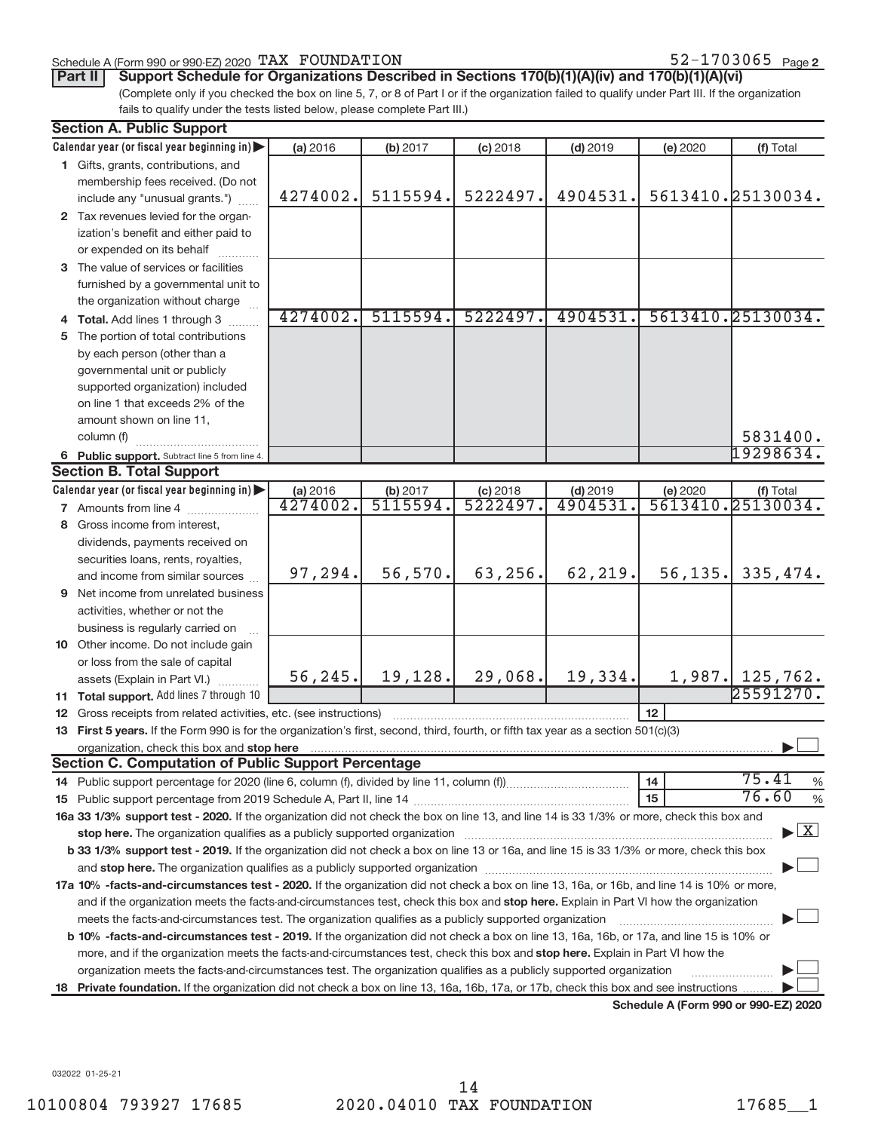#### Schedule A (Form 990 or 990-EZ) 2020  $\texttt{TAX}$   $\texttt{FOUNDATION}$   $\texttt{52-1703065}$   $\texttt{Page}$

(Complete only if you checked the box on line 5, 7, or 8 of Part I or if the organization failed to qualify under Part III. If the organization **Part II** Support Schedule for Organizations Described in Sections 170(b)(1)(A)(iv) and 170(b)(1)(A)(vi)

fails to qualify under the tests listed below, please complete Part III.)

| Calendar year (or fiscal year beginning in)<br>(a) 2016<br>(b) 2017<br>$(d)$ 2019<br>(f) Total<br>$(c)$ 2018<br>(e) 2020<br>1 Gifts, grants, contributions, and<br>membership fees received. (Do not<br>5613410.25130034.<br>5115594.<br>4274002.<br>5222497.<br>4904531.<br>include any "unusual grants.")<br>2 Tax revenues levied for the organ-<br>ization's benefit and either paid to<br>or expended on its behalf<br>3 The value of services or facilities<br>furnished by a governmental unit to<br>the organization without charge<br>5613410.25130034.<br>4274002.<br>5115594.<br>5222497.<br>4904531.<br>4 Total. Add lines 1 through 3<br>The portion of total contributions<br>5<br>by each person (other than a<br>governmental unit or publicly<br>supported organization) included<br>on line 1 that exceeds 2% of the<br>amount shown on line 11,<br>5831400.<br>column (f)<br>19298634.<br>6 Public support. Subtract line 5 from line 4.<br><b>Section B. Total Support</b><br>Calendar year (or fiscal year beginning in)<br>(a) 2016<br>(b) 2017<br>$(d)$ 2019<br>$(c)$ 2018<br>(e) 2020<br>(f) Total<br>5115594<br>5222497.<br>5613410.25130034.<br>4274002.<br>4904531<br>7 Amounts from line 4<br>Gross income from interest,<br>8<br>dividends, payments received on<br>securities loans, rents, royalties,<br>56,570.<br>62,219.<br>97,294.<br>63,256.<br>56, 135.<br>335,474.<br>and income from similar sources<br>9 Net income from unrelated business<br>activities, whether or not the<br>business is regularly carried on<br><b>10</b> Other income. Do not include gain<br>or loss from the sale of capital<br>19,128.<br>29,068.<br>19,334.<br>56, 245.<br>$1,987.$ 125,762.<br>assets (Explain in Part VI.)<br>25591270.<br>11 Total support. Add lines 7 through 10<br>12<br><b>12</b> Gross receipts from related activities, etc. (see instructions)<br>13 First 5 years. If the Form 990 is for the organization's first, second, third, fourth, or fifth tax year as a section 501(c)(3)<br><b>Section C. Computation of Public Support Percentage</b><br>75.41<br>%<br>14<br>76.60<br>15<br>$\%$<br>16a 33 1/3% support test - 2020. If the organization did not check the box on line 13, and line 14 is 33 1/3% or more, check this box and<br>$\blacktriangleright$ $\mathbf{X}$<br>b 33 1/3% support test - 2019. If the organization did not check a box on line 13 or 16a, and line 15 is 33 1/3% or more, check this box<br>17a 10% -facts-and-circumstances test - 2020. If the organization did not check a box on line 13, 16a, or 16b, and line 14 is 10% or more,<br>and if the organization meets the facts-and-circumstances test, check this box and stop here. Explain in Part VI how the organization<br>meets the facts-and-circumstances test. The organization qualifies as a publicly supported organization<br>b 10% -facts-and-circumstances test - 2019. If the organization did not check a box on line 13, 16a, 16b, or 17a, and line 15 is 10% or<br>more, and if the organization meets the facts-and-circumstances test, check this box and stop here. Explain in Part VI how the<br>organization meets the facts-and-circumstances test. The organization qualifies as a publicly supported organization<br>18 Private foundation. If the organization did not check a box on line 13, 16a, 16b, 17a, or 17b, check this box and see instructions. | <b>Section A. Public Support</b> |  |  |  |  |  |  |  |  |
|---------------------------------------------------------------------------------------------------------------------------------------------------------------------------------------------------------------------------------------------------------------------------------------------------------------------------------------------------------------------------------------------------------------------------------------------------------------------------------------------------------------------------------------------------------------------------------------------------------------------------------------------------------------------------------------------------------------------------------------------------------------------------------------------------------------------------------------------------------------------------------------------------------------------------------------------------------------------------------------------------------------------------------------------------------------------------------------------------------------------------------------------------------------------------------------------------------------------------------------------------------------------------------------------------------------------------------------------------------------------------------------------------------------------------------------------------------------------------------------------------------------------------------------------------------------------------------------------------------------------------------------------------------------------------------------------------------------------------------------------------------------------------------------------------------------------------------------------------------------------------------------------------------------------------------------------------------------------------------------------------------------------------------------------------------------------------------------------------------------------------------------------------------------------------------------------------------------------------------------------------------------------------------------------------------------------------------------------------------------------------------------------------------------------------------------------------------------------------------------------------------------------------------------------------------------------------------------------------------------------------------------------------------------------------------------------------------------------------------------------------------------------------------------------------------------------------------------------------------------------------------------------------------------------------------------------------------------------------------------------------------------------------------------------------------------------------------------------------------------------------------------------------------------------------------------------------------------------------------------------------------------------------------------------------------------------------------------------------------------------------------------------------------------------------|----------------------------------|--|--|--|--|--|--|--|--|
|                                                                                                                                                                                                                                                                                                                                                                                                                                                                                                                                                                                                                                                                                                                                                                                                                                                                                                                                                                                                                                                                                                                                                                                                                                                                                                                                                                                                                                                                                                                                                                                                                                                                                                                                                                                                                                                                                                                                                                                                                                                                                                                                                                                                                                                                                                                                                                                                                                                                                                                                                                                                                                                                                                                                                                                                                                                                                                                                                                                                                                                                                                                                                                                                                                                                                                                                                                                                                           |                                  |  |  |  |  |  |  |  |  |
|                                                                                                                                                                                                                                                                                                                                                                                                                                                                                                                                                                                                                                                                                                                                                                                                                                                                                                                                                                                                                                                                                                                                                                                                                                                                                                                                                                                                                                                                                                                                                                                                                                                                                                                                                                                                                                                                                                                                                                                                                                                                                                                                                                                                                                                                                                                                                                                                                                                                                                                                                                                                                                                                                                                                                                                                                                                                                                                                                                                                                                                                                                                                                                                                                                                                                                                                                                                                                           |                                  |  |  |  |  |  |  |  |  |
|                                                                                                                                                                                                                                                                                                                                                                                                                                                                                                                                                                                                                                                                                                                                                                                                                                                                                                                                                                                                                                                                                                                                                                                                                                                                                                                                                                                                                                                                                                                                                                                                                                                                                                                                                                                                                                                                                                                                                                                                                                                                                                                                                                                                                                                                                                                                                                                                                                                                                                                                                                                                                                                                                                                                                                                                                                                                                                                                                                                                                                                                                                                                                                                                                                                                                                                                                                                                                           |                                  |  |  |  |  |  |  |  |  |
|                                                                                                                                                                                                                                                                                                                                                                                                                                                                                                                                                                                                                                                                                                                                                                                                                                                                                                                                                                                                                                                                                                                                                                                                                                                                                                                                                                                                                                                                                                                                                                                                                                                                                                                                                                                                                                                                                                                                                                                                                                                                                                                                                                                                                                                                                                                                                                                                                                                                                                                                                                                                                                                                                                                                                                                                                                                                                                                                                                                                                                                                                                                                                                                                                                                                                                                                                                                                                           |                                  |  |  |  |  |  |  |  |  |
|                                                                                                                                                                                                                                                                                                                                                                                                                                                                                                                                                                                                                                                                                                                                                                                                                                                                                                                                                                                                                                                                                                                                                                                                                                                                                                                                                                                                                                                                                                                                                                                                                                                                                                                                                                                                                                                                                                                                                                                                                                                                                                                                                                                                                                                                                                                                                                                                                                                                                                                                                                                                                                                                                                                                                                                                                                                                                                                                                                                                                                                                                                                                                                                                                                                                                                                                                                                                                           |                                  |  |  |  |  |  |  |  |  |
|                                                                                                                                                                                                                                                                                                                                                                                                                                                                                                                                                                                                                                                                                                                                                                                                                                                                                                                                                                                                                                                                                                                                                                                                                                                                                                                                                                                                                                                                                                                                                                                                                                                                                                                                                                                                                                                                                                                                                                                                                                                                                                                                                                                                                                                                                                                                                                                                                                                                                                                                                                                                                                                                                                                                                                                                                                                                                                                                                                                                                                                                                                                                                                                                                                                                                                                                                                                                                           |                                  |  |  |  |  |  |  |  |  |
|                                                                                                                                                                                                                                                                                                                                                                                                                                                                                                                                                                                                                                                                                                                                                                                                                                                                                                                                                                                                                                                                                                                                                                                                                                                                                                                                                                                                                                                                                                                                                                                                                                                                                                                                                                                                                                                                                                                                                                                                                                                                                                                                                                                                                                                                                                                                                                                                                                                                                                                                                                                                                                                                                                                                                                                                                                                                                                                                                                                                                                                                                                                                                                                                                                                                                                                                                                                                                           |                                  |  |  |  |  |  |  |  |  |
|                                                                                                                                                                                                                                                                                                                                                                                                                                                                                                                                                                                                                                                                                                                                                                                                                                                                                                                                                                                                                                                                                                                                                                                                                                                                                                                                                                                                                                                                                                                                                                                                                                                                                                                                                                                                                                                                                                                                                                                                                                                                                                                                                                                                                                                                                                                                                                                                                                                                                                                                                                                                                                                                                                                                                                                                                                                                                                                                                                                                                                                                                                                                                                                                                                                                                                                                                                                                                           |                                  |  |  |  |  |  |  |  |  |
|                                                                                                                                                                                                                                                                                                                                                                                                                                                                                                                                                                                                                                                                                                                                                                                                                                                                                                                                                                                                                                                                                                                                                                                                                                                                                                                                                                                                                                                                                                                                                                                                                                                                                                                                                                                                                                                                                                                                                                                                                                                                                                                                                                                                                                                                                                                                                                                                                                                                                                                                                                                                                                                                                                                                                                                                                                                                                                                                                                                                                                                                                                                                                                                                                                                                                                                                                                                                                           |                                  |  |  |  |  |  |  |  |  |
|                                                                                                                                                                                                                                                                                                                                                                                                                                                                                                                                                                                                                                                                                                                                                                                                                                                                                                                                                                                                                                                                                                                                                                                                                                                                                                                                                                                                                                                                                                                                                                                                                                                                                                                                                                                                                                                                                                                                                                                                                                                                                                                                                                                                                                                                                                                                                                                                                                                                                                                                                                                                                                                                                                                                                                                                                                                                                                                                                                                                                                                                                                                                                                                                                                                                                                                                                                                                                           |                                  |  |  |  |  |  |  |  |  |
|                                                                                                                                                                                                                                                                                                                                                                                                                                                                                                                                                                                                                                                                                                                                                                                                                                                                                                                                                                                                                                                                                                                                                                                                                                                                                                                                                                                                                                                                                                                                                                                                                                                                                                                                                                                                                                                                                                                                                                                                                                                                                                                                                                                                                                                                                                                                                                                                                                                                                                                                                                                                                                                                                                                                                                                                                                                                                                                                                                                                                                                                                                                                                                                                                                                                                                                                                                                                                           |                                  |  |  |  |  |  |  |  |  |
|                                                                                                                                                                                                                                                                                                                                                                                                                                                                                                                                                                                                                                                                                                                                                                                                                                                                                                                                                                                                                                                                                                                                                                                                                                                                                                                                                                                                                                                                                                                                                                                                                                                                                                                                                                                                                                                                                                                                                                                                                                                                                                                                                                                                                                                                                                                                                                                                                                                                                                                                                                                                                                                                                                                                                                                                                                                                                                                                                                                                                                                                                                                                                                                                                                                                                                                                                                                                                           |                                  |  |  |  |  |  |  |  |  |
|                                                                                                                                                                                                                                                                                                                                                                                                                                                                                                                                                                                                                                                                                                                                                                                                                                                                                                                                                                                                                                                                                                                                                                                                                                                                                                                                                                                                                                                                                                                                                                                                                                                                                                                                                                                                                                                                                                                                                                                                                                                                                                                                                                                                                                                                                                                                                                                                                                                                                                                                                                                                                                                                                                                                                                                                                                                                                                                                                                                                                                                                                                                                                                                                                                                                                                                                                                                                                           |                                  |  |  |  |  |  |  |  |  |
|                                                                                                                                                                                                                                                                                                                                                                                                                                                                                                                                                                                                                                                                                                                                                                                                                                                                                                                                                                                                                                                                                                                                                                                                                                                                                                                                                                                                                                                                                                                                                                                                                                                                                                                                                                                                                                                                                                                                                                                                                                                                                                                                                                                                                                                                                                                                                                                                                                                                                                                                                                                                                                                                                                                                                                                                                                                                                                                                                                                                                                                                                                                                                                                                                                                                                                                                                                                                                           |                                  |  |  |  |  |  |  |  |  |
|                                                                                                                                                                                                                                                                                                                                                                                                                                                                                                                                                                                                                                                                                                                                                                                                                                                                                                                                                                                                                                                                                                                                                                                                                                                                                                                                                                                                                                                                                                                                                                                                                                                                                                                                                                                                                                                                                                                                                                                                                                                                                                                                                                                                                                                                                                                                                                                                                                                                                                                                                                                                                                                                                                                                                                                                                                                                                                                                                                                                                                                                                                                                                                                                                                                                                                                                                                                                                           |                                  |  |  |  |  |  |  |  |  |
|                                                                                                                                                                                                                                                                                                                                                                                                                                                                                                                                                                                                                                                                                                                                                                                                                                                                                                                                                                                                                                                                                                                                                                                                                                                                                                                                                                                                                                                                                                                                                                                                                                                                                                                                                                                                                                                                                                                                                                                                                                                                                                                                                                                                                                                                                                                                                                                                                                                                                                                                                                                                                                                                                                                                                                                                                                                                                                                                                                                                                                                                                                                                                                                                                                                                                                                                                                                                                           |                                  |  |  |  |  |  |  |  |  |
|                                                                                                                                                                                                                                                                                                                                                                                                                                                                                                                                                                                                                                                                                                                                                                                                                                                                                                                                                                                                                                                                                                                                                                                                                                                                                                                                                                                                                                                                                                                                                                                                                                                                                                                                                                                                                                                                                                                                                                                                                                                                                                                                                                                                                                                                                                                                                                                                                                                                                                                                                                                                                                                                                                                                                                                                                                                                                                                                                                                                                                                                                                                                                                                                                                                                                                                                                                                                                           |                                  |  |  |  |  |  |  |  |  |
|                                                                                                                                                                                                                                                                                                                                                                                                                                                                                                                                                                                                                                                                                                                                                                                                                                                                                                                                                                                                                                                                                                                                                                                                                                                                                                                                                                                                                                                                                                                                                                                                                                                                                                                                                                                                                                                                                                                                                                                                                                                                                                                                                                                                                                                                                                                                                                                                                                                                                                                                                                                                                                                                                                                                                                                                                                                                                                                                                                                                                                                                                                                                                                                                                                                                                                                                                                                                                           |                                  |  |  |  |  |  |  |  |  |
|                                                                                                                                                                                                                                                                                                                                                                                                                                                                                                                                                                                                                                                                                                                                                                                                                                                                                                                                                                                                                                                                                                                                                                                                                                                                                                                                                                                                                                                                                                                                                                                                                                                                                                                                                                                                                                                                                                                                                                                                                                                                                                                                                                                                                                                                                                                                                                                                                                                                                                                                                                                                                                                                                                                                                                                                                                                                                                                                                                                                                                                                                                                                                                                                                                                                                                                                                                                                                           |                                  |  |  |  |  |  |  |  |  |
|                                                                                                                                                                                                                                                                                                                                                                                                                                                                                                                                                                                                                                                                                                                                                                                                                                                                                                                                                                                                                                                                                                                                                                                                                                                                                                                                                                                                                                                                                                                                                                                                                                                                                                                                                                                                                                                                                                                                                                                                                                                                                                                                                                                                                                                                                                                                                                                                                                                                                                                                                                                                                                                                                                                                                                                                                                                                                                                                                                                                                                                                                                                                                                                                                                                                                                                                                                                                                           |                                  |  |  |  |  |  |  |  |  |
|                                                                                                                                                                                                                                                                                                                                                                                                                                                                                                                                                                                                                                                                                                                                                                                                                                                                                                                                                                                                                                                                                                                                                                                                                                                                                                                                                                                                                                                                                                                                                                                                                                                                                                                                                                                                                                                                                                                                                                                                                                                                                                                                                                                                                                                                                                                                                                                                                                                                                                                                                                                                                                                                                                                                                                                                                                                                                                                                                                                                                                                                                                                                                                                                                                                                                                                                                                                                                           |                                  |  |  |  |  |  |  |  |  |
|                                                                                                                                                                                                                                                                                                                                                                                                                                                                                                                                                                                                                                                                                                                                                                                                                                                                                                                                                                                                                                                                                                                                                                                                                                                                                                                                                                                                                                                                                                                                                                                                                                                                                                                                                                                                                                                                                                                                                                                                                                                                                                                                                                                                                                                                                                                                                                                                                                                                                                                                                                                                                                                                                                                                                                                                                                                                                                                                                                                                                                                                                                                                                                                                                                                                                                                                                                                                                           |                                  |  |  |  |  |  |  |  |  |
|                                                                                                                                                                                                                                                                                                                                                                                                                                                                                                                                                                                                                                                                                                                                                                                                                                                                                                                                                                                                                                                                                                                                                                                                                                                                                                                                                                                                                                                                                                                                                                                                                                                                                                                                                                                                                                                                                                                                                                                                                                                                                                                                                                                                                                                                                                                                                                                                                                                                                                                                                                                                                                                                                                                                                                                                                                                                                                                                                                                                                                                                                                                                                                                                                                                                                                                                                                                                                           |                                  |  |  |  |  |  |  |  |  |
|                                                                                                                                                                                                                                                                                                                                                                                                                                                                                                                                                                                                                                                                                                                                                                                                                                                                                                                                                                                                                                                                                                                                                                                                                                                                                                                                                                                                                                                                                                                                                                                                                                                                                                                                                                                                                                                                                                                                                                                                                                                                                                                                                                                                                                                                                                                                                                                                                                                                                                                                                                                                                                                                                                                                                                                                                                                                                                                                                                                                                                                                                                                                                                                                                                                                                                                                                                                                                           |                                  |  |  |  |  |  |  |  |  |
|                                                                                                                                                                                                                                                                                                                                                                                                                                                                                                                                                                                                                                                                                                                                                                                                                                                                                                                                                                                                                                                                                                                                                                                                                                                                                                                                                                                                                                                                                                                                                                                                                                                                                                                                                                                                                                                                                                                                                                                                                                                                                                                                                                                                                                                                                                                                                                                                                                                                                                                                                                                                                                                                                                                                                                                                                                                                                                                                                                                                                                                                                                                                                                                                                                                                                                                                                                                                                           |                                  |  |  |  |  |  |  |  |  |
|                                                                                                                                                                                                                                                                                                                                                                                                                                                                                                                                                                                                                                                                                                                                                                                                                                                                                                                                                                                                                                                                                                                                                                                                                                                                                                                                                                                                                                                                                                                                                                                                                                                                                                                                                                                                                                                                                                                                                                                                                                                                                                                                                                                                                                                                                                                                                                                                                                                                                                                                                                                                                                                                                                                                                                                                                                                                                                                                                                                                                                                                                                                                                                                                                                                                                                                                                                                                                           |                                  |  |  |  |  |  |  |  |  |
|                                                                                                                                                                                                                                                                                                                                                                                                                                                                                                                                                                                                                                                                                                                                                                                                                                                                                                                                                                                                                                                                                                                                                                                                                                                                                                                                                                                                                                                                                                                                                                                                                                                                                                                                                                                                                                                                                                                                                                                                                                                                                                                                                                                                                                                                                                                                                                                                                                                                                                                                                                                                                                                                                                                                                                                                                                                                                                                                                                                                                                                                                                                                                                                                                                                                                                                                                                                                                           |                                  |  |  |  |  |  |  |  |  |
|                                                                                                                                                                                                                                                                                                                                                                                                                                                                                                                                                                                                                                                                                                                                                                                                                                                                                                                                                                                                                                                                                                                                                                                                                                                                                                                                                                                                                                                                                                                                                                                                                                                                                                                                                                                                                                                                                                                                                                                                                                                                                                                                                                                                                                                                                                                                                                                                                                                                                                                                                                                                                                                                                                                                                                                                                                                                                                                                                                                                                                                                                                                                                                                                                                                                                                                                                                                                                           |                                  |  |  |  |  |  |  |  |  |
|                                                                                                                                                                                                                                                                                                                                                                                                                                                                                                                                                                                                                                                                                                                                                                                                                                                                                                                                                                                                                                                                                                                                                                                                                                                                                                                                                                                                                                                                                                                                                                                                                                                                                                                                                                                                                                                                                                                                                                                                                                                                                                                                                                                                                                                                                                                                                                                                                                                                                                                                                                                                                                                                                                                                                                                                                                                                                                                                                                                                                                                                                                                                                                                                                                                                                                                                                                                                                           |                                  |  |  |  |  |  |  |  |  |
|                                                                                                                                                                                                                                                                                                                                                                                                                                                                                                                                                                                                                                                                                                                                                                                                                                                                                                                                                                                                                                                                                                                                                                                                                                                                                                                                                                                                                                                                                                                                                                                                                                                                                                                                                                                                                                                                                                                                                                                                                                                                                                                                                                                                                                                                                                                                                                                                                                                                                                                                                                                                                                                                                                                                                                                                                                                                                                                                                                                                                                                                                                                                                                                                                                                                                                                                                                                                                           |                                  |  |  |  |  |  |  |  |  |
|                                                                                                                                                                                                                                                                                                                                                                                                                                                                                                                                                                                                                                                                                                                                                                                                                                                                                                                                                                                                                                                                                                                                                                                                                                                                                                                                                                                                                                                                                                                                                                                                                                                                                                                                                                                                                                                                                                                                                                                                                                                                                                                                                                                                                                                                                                                                                                                                                                                                                                                                                                                                                                                                                                                                                                                                                                                                                                                                                                                                                                                                                                                                                                                                                                                                                                                                                                                                                           |                                  |  |  |  |  |  |  |  |  |
|                                                                                                                                                                                                                                                                                                                                                                                                                                                                                                                                                                                                                                                                                                                                                                                                                                                                                                                                                                                                                                                                                                                                                                                                                                                                                                                                                                                                                                                                                                                                                                                                                                                                                                                                                                                                                                                                                                                                                                                                                                                                                                                                                                                                                                                                                                                                                                                                                                                                                                                                                                                                                                                                                                                                                                                                                                                                                                                                                                                                                                                                                                                                                                                                                                                                                                                                                                                                                           |                                  |  |  |  |  |  |  |  |  |
|                                                                                                                                                                                                                                                                                                                                                                                                                                                                                                                                                                                                                                                                                                                                                                                                                                                                                                                                                                                                                                                                                                                                                                                                                                                                                                                                                                                                                                                                                                                                                                                                                                                                                                                                                                                                                                                                                                                                                                                                                                                                                                                                                                                                                                                                                                                                                                                                                                                                                                                                                                                                                                                                                                                                                                                                                                                                                                                                                                                                                                                                                                                                                                                                                                                                                                                                                                                                                           |                                  |  |  |  |  |  |  |  |  |
|                                                                                                                                                                                                                                                                                                                                                                                                                                                                                                                                                                                                                                                                                                                                                                                                                                                                                                                                                                                                                                                                                                                                                                                                                                                                                                                                                                                                                                                                                                                                                                                                                                                                                                                                                                                                                                                                                                                                                                                                                                                                                                                                                                                                                                                                                                                                                                                                                                                                                                                                                                                                                                                                                                                                                                                                                                                                                                                                                                                                                                                                                                                                                                                                                                                                                                                                                                                                                           |                                  |  |  |  |  |  |  |  |  |
|                                                                                                                                                                                                                                                                                                                                                                                                                                                                                                                                                                                                                                                                                                                                                                                                                                                                                                                                                                                                                                                                                                                                                                                                                                                                                                                                                                                                                                                                                                                                                                                                                                                                                                                                                                                                                                                                                                                                                                                                                                                                                                                                                                                                                                                                                                                                                                                                                                                                                                                                                                                                                                                                                                                                                                                                                                                                                                                                                                                                                                                                                                                                                                                                                                                                                                                                                                                                                           |                                  |  |  |  |  |  |  |  |  |
|                                                                                                                                                                                                                                                                                                                                                                                                                                                                                                                                                                                                                                                                                                                                                                                                                                                                                                                                                                                                                                                                                                                                                                                                                                                                                                                                                                                                                                                                                                                                                                                                                                                                                                                                                                                                                                                                                                                                                                                                                                                                                                                                                                                                                                                                                                                                                                                                                                                                                                                                                                                                                                                                                                                                                                                                                                                                                                                                                                                                                                                                                                                                                                                                                                                                                                                                                                                                                           |                                  |  |  |  |  |  |  |  |  |
|                                                                                                                                                                                                                                                                                                                                                                                                                                                                                                                                                                                                                                                                                                                                                                                                                                                                                                                                                                                                                                                                                                                                                                                                                                                                                                                                                                                                                                                                                                                                                                                                                                                                                                                                                                                                                                                                                                                                                                                                                                                                                                                                                                                                                                                                                                                                                                                                                                                                                                                                                                                                                                                                                                                                                                                                                                                                                                                                                                                                                                                                                                                                                                                                                                                                                                                                                                                                                           |                                  |  |  |  |  |  |  |  |  |
|                                                                                                                                                                                                                                                                                                                                                                                                                                                                                                                                                                                                                                                                                                                                                                                                                                                                                                                                                                                                                                                                                                                                                                                                                                                                                                                                                                                                                                                                                                                                                                                                                                                                                                                                                                                                                                                                                                                                                                                                                                                                                                                                                                                                                                                                                                                                                                                                                                                                                                                                                                                                                                                                                                                                                                                                                                                                                                                                                                                                                                                                                                                                                                                                                                                                                                                                                                                                                           |                                  |  |  |  |  |  |  |  |  |
|                                                                                                                                                                                                                                                                                                                                                                                                                                                                                                                                                                                                                                                                                                                                                                                                                                                                                                                                                                                                                                                                                                                                                                                                                                                                                                                                                                                                                                                                                                                                                                                                                                                                                                                                                                                                                                                                                                                                                                                                                                                                                                                                                                                                                                                                                                                                                                                                                                                                                                                                                                                                                                                                                                                                                                                                                                                                                                                                                                                                                                                                                                                                                                                                                                                                                                                                                                                                                           |                                  |  |  |  |  |  |  |  |  |
|                                                                                                                                                                                                                                                                                                                                                                                                                                                                                                                                                                                                                                                                                                                                                                                                                                                                                                                                                                                                                                                                                                                                                                                                                                                                                                                                                                                                                                                                                                                                                                                                                                                                                                                                                                                                                                                                                                                                                                                                                                                                                                                                                                                                                                                                                                                                                                                                                                                                                                                                                                                                                                                                                                                                                                                                                                                                                                                                                                                                                                                                                                                                                                                                                                                                                                                                                                                                                           |                                  |  |  |  |  |  |  |  |  |
|                                                                                                                                                                                                                                                                                                                                                                                                                                                                                                                                                                                                                                                                                                                                                                                                                                                                                                                                                                                                                                                                                                                                                                                                                                                                                                                                                                                                                                                                                                                                                                                                                                                                                                                                                                                                                                                                                                                                                                                                                                                                                                                                                                                                                                                                                                                                                                                                                                                                                                                                                                                                                                                                                                                                                                                                                                                                                                                                                                                                                                                                                                                                                                                                                                                                                                                                                                                                                           |                                  |  |  |  |  |  |  |  |  |
|                                                                                                                                                                                                                                                                                                                                                                                                                                                                                                                                                                                                                                                                                                                                                                                                                                                                                                                                                                                                                                                                                                                                                                                                                                                                                                                                                                                                                                                                                                                                                                                                                                                                                                                                                                                                                                                                                                                                                                                                                                                                                                                                                                                                                                                                                                                                                                                                                                                                                                                                                                                                                                                                                                                                                                                                                                                                                                                                                                                                                                                                                                                                                                                                                                                                                                                                                                                                                           |                                  |  |  |  |  |  |  |  |  |
|                                                                                                                                                                                                                                                                                                                                                                                                                                                                                                                                                                                                                                                                                                                                                                                                                                                                                                                                                                                                                                                                                                                                                                                                                                                                                                                                                                                                                                                                                                                                                                                                                                                                                                                                                                                                                                                                                                                                                                                                                                                                                                                                                                                                                                                                                                                                                                                                                                                                                                                                                                                                                                                                                                                                                                                                                                                                                                                                                                                                                                                                                                                                                                                                                                                                                                                                                                                                                           |                                  |  |  |  |  |  |  |  |  |
|                                                                                                                                                                                                                                                                                                                                                                                                                                                                                                                                                                                                                                                                                                                                                                                                                                                                                                                                                                                                                                                                                                                                                                                                                                                                                                                                                                                                                                                                                                                                                                                                                                                                                                                                                                                                                                                                                                                                                                                                                                                                                                                                                                                                                                                                                                                                                                                                                                                                                                                                                                                                                                                                                                                                                                                                                                                                                                                                                                                                                                                                                                                                                                                                                                                                                                                                                                                                                           |                                  |  |  |  |  |  |  |  |  |
|                                                                                                                                                                                                                                                                                                                                                                                                                                                                                                                                                                                                                                                                                                                                                                                                                                                                                                                                                                                                                                                                                                                                                                                                                                                                                                                                                                                                                                                                                                                                                                                                                                                                                                                                                                                                                                                                                                                                                                                                                                                                                                                                                                                                                                                                                                                                                                                                                                                                                                                                                                                                                                                                                                                                                                                                                                                                                                                                                                                                                                                                                                                                                                                                                                                                                                                                                                                                                           |                                  |  |  |  |  |  |  |  |  |
|                                                                                                                                                                                                                                                                                                                                                                                                                                                                                                                                                                                                                                                                                                                                                                                                                                                                                                                                                                                                                                                                                                                                                                                                                                                                                                                                                                                                                                                                                                                                                                                                                                                                                                                                                                                                                                                                                                                                                                                                                                                                                                                                                                                                                                                                                                                                                                                                                                                                                                                                                                                                                                                                                                                                                                                                                                                                                                                                                                                                                                                                                                                                                                                                                                                                                                                                                                                                                           |                                  |  |  |  |  |  |  |  |  |
|                                                                                                                                                                                                                                                                                                                                                                                                                                                                                                                                                                                                                                                                                                                                                                                                                                                                                                                                                                                                                                                                                                                                                                                                                                                                                                                                                                                                                                                                                                                                                                                                                                                                                                                                                                                                                                                                                                                                                                                                                                                                                                                                                                                                                                                                                                                                                                                                                                                                                                                                                                                                                                                                                                                                                                                                                                                                                                                                                                                                                                                                                                                                                                                                                                                                                                                                                                                                                           |                                  |  |  |  |  |  |  |  |  |
|                                                                                                                                                                                                                                                                                                                                                                                                                                                                                                                                                                                                                                                                                                                                                                                                                                                                                                                                                                                                                                                                                                                                                                                                                                                                                                                                                                                                                                                                                                                                                                                                                                                                                                                                                                                                                                                                                                                                                                                                                                                                                                                                                                                                                                                                                                                                                                                                                                                                                                                                                                                                                                                                                                                                                                                                                                                                                                                                                                                                                                                                                                                                                                                                                                                                                                                                                                                                                           |                                  |  |  |  |  |  |  |  |  |
|                                                                                                                                                                                                                                                                                                                                                                                                                                                                                                                                                                                                                                                                                                                                                                                                                                                                                                                                                                                                                                                                                                                                                                                                                                                                                                                                                                                                                                                                                                                                                                                                                                                                                                                                                                                                                                                                                                                                                                                                                                                                                                                                                                                                                                                                                                                                                                                                                                                                                                                                                                                                                                                                                                                                                                                                                                                                                                                                                                                                                                                                                                                                                                                                                                                                                                                                                                                                                           |                                  |  |  |  |  |  |  |  |  |
| Schedule A (Form 990 or 990-EZ) 2020                                                                                                                                                                                                                                                                                                                                                                                                                                                                                                                                                                                                                                                                                                                                                                                                                                                                                                                                                                                                                                                                                                                                                                                                                                                                                                                                                                                                                                                                                                                                                                                                                                                                                                                                                                                                                                                                                                                                                                                                                                                                                                                                                                                                                                                                                                                                                                                                                                                                                                                                                                                                                                                                                                                                                                                                                                                                                                                                                                                                                                                                                                                                                                                                                                                                                                                                                                                      |                                  |  |  |  |  |  |  |  |  |

**Schedule A (Form 990 or 990-EZ) 2020**

032022 01-25-21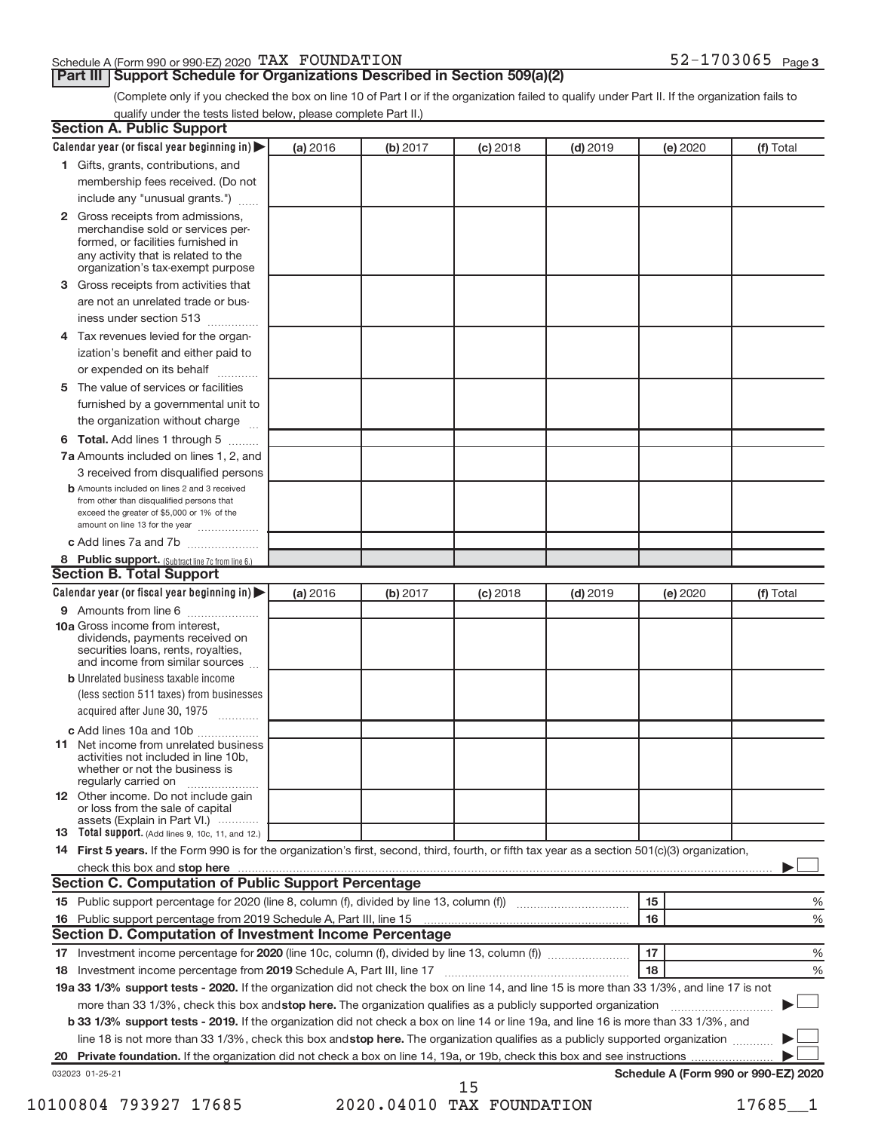#### Schedule A (Form 990 or 990-EZ) 2020  $\texttt{TAX}$   $\texttt{FOUNDATION}$   $\texttt{52-1703065}$   $\texttt{Page}$

#### **Part III | Support Schedule for Organizations Described in Section 509(a)(2)**

52-1703065 Page 3

(Complete only if you checked the box on line 10 of Part I or if the organization failed to qualify under Part II. If the organization fails to qualify under the tests listed below, please complete Part II.)

| <b>Section A. Public Support</b>                                                                                                                                                                                                    |          |          |                 |            |                 |                                      |
|-------------------------------------------------------------------------------------------------------------------------------------------------------------------------------------------------------------------------------------|----------|----------|-----------------|------------|-----------------|--------------------------------------|
| Calendar year (or fiscal year beginning in)                                                                                                                                                                                         | (a) 2016 | (b) 2017 | <b>(c)</b> 2018 | $(d)$ 2019 | (e) 2020        | (f) Total                            |
| 1 Gifts, grants, contributions, and                                                                                                                                                                                                 |          |          |                 |            |                 |                                      |
| membership fees received. (Do not                                                                                                                                                                                                   |          |          |                 |            |                 |                                      |
| include any "unusual grants.")                                                                                                                                                                                                      |          |          |                 |            |                 |                                      |
| 2 Gross receipts from admissions,<br>merchandise sold or services per-<br>formed, or facilities furnished in<br>any activity that is related to the<br>organization's tax-exempt purpose                                            |          |          |                 |            |                 |                                      |
| 3 Gross receipts from activities that                                                                                                                                                                                               |          |          |                 |            |                 |                                      |
| are not an unrelated trade or bus-                                                                                                                                                                                                  |          |          |                 |            |                 |                                      |
| iness under section 513                                                                                                                                                                                                             |          |          |                 |            |                 |                                      |
| 4 Tax revenues levied for the organ-                                                                                                                                                                                                |          |          |                 |            |                 |                                      |
| ization's benefit and either paid to<br>or expended on its behalf                                                                                                                                                                   |          |          |                 |            |                 |                                      |
| 5 The value of services or facilities                                                                                                                                                                                               |          |          |                 |            |                 |                                      |
| furnished by a governmental unit to<br>the organization without charge                                                                                                                                                              |          |          |                 |            |                 |                                      |
| 6 Total. Add lines 1 through 5                                                                                                                                                                                                      |          |          |                 |            |                 |                                      |
| <b>7a</b> Amounts included on lines 1, 2, and                                                                                                                                                                                       |          |          |                 |            |                 |                                      |
| 3 received from disqualified persons                                                                                                                                                                                                |          |          |                 |            |                 |                                      |
| <b>b</b> Amounts included on lines 2 and 3 received<br>from other than disqualified persons that<br>exceed the greater of \$5,000 or 1% of the<br>amount on line 13 for the year                                                    |          |          |                 |            |                 |                                      |
| c Add lines 7a and 7b                                                                                                                                                                                                               |          |          |                 |            |                 |                                      |
| 8 Public support. (Subtract line 7c from line 6.)                                                                                                                                                                                   |          |          |                 |            |                 |                                      |
| <b>Section B. Total Support</b>                                                                                                                                                                                                     |          |          |                 |            |                 |                                      |
| Calendar year (or fiscal year beginning in)                                                                                                                                                                                         | (a) 2016 | (b) 2017 | <b>(c)</b> 2018 | $(d)$ 2019 | <b>(e)</b> 2020 | (f) Total                            |
| 9 Amounts from line 6                                                                                                                                                                                                               |          |          |                 |            |                 |                                      |
| <b>10a</b> Gross income from interest,<br>dividends, payments received on<br>securities loans, rents, royalties,<br>and income from similar sources                                                                                 |          |          |                 |            |                 |                                      |
| <b>b</b> Unrelated business taxable income                                                                                                                                                                                          |          |          |                 |            |                 |                                      |
| (less section 511 taxes) from businesses<br>acquired after June 30, 1975                                                                                                                                                            |          |          |                 |            |                 |                                      |
| c Add lines 10a and 10b                                                                                                                                                                                                             |          |          |                 |            |                 |                                      |
| <b>11</b> Net income from unrelated business<br>activities not included in line 10b,<br>whether or not the business is<br>regularly carried on                                                                                      |          |          |                 |            |                 |                                      |
| 12 Other income. Do not include gain<br>or loss from the sale of capital<br>assets (Explain in Part VI.)                                                                                                                            |          |          |                 |            |                 |                                      |
| <b>13</b> Total support. (Add lines 9, 10c, 11, and 12.)                                                                                                                                                                            |          |          |                 |            |                 |                                      |
| 14 First 5 years. If the Form 990 is for the organization's first, second, third, fourth, or fifth tax year as a section 501(c)(3) organization,                                                                                    |          |          |                 |            |                 |                                      |
| check this box and stop here <i>manual content of the content of the state of the state and stop here</i> manual content of the state of the state of the state of the state of the state of the state of the state of the state of |          |          |                 |            |                 |                                      |
| <b>Section C. Computation of Public Support Percentage</b>                                                                                                                                                                          |          |          |                 |            |                 |                                      |
|                                                                                                                                                                                                                                     |          |          |                 |            | 15              | ℅                                    |
| 16 Public support percentage from 2019 Schedule A, Part III, line 15                                                                                                                                                                |          |          |                 |            | 16              | %                                    |
| <b>Section D. Computation of Investment Income Percentage</b>                                                                                                                                                                       |          |          |                 |            |                 |                                      |
|                                                                                                                                                                                                                                     |          |          |                 |            | 17              | %                                    |
| 18 Investment income percentage from 2019 Schedule A, Part III, line 17                                                                                                                                                             |          |          |                 |            | 18              | %                                    |
| 19a 33 1/3% support tests - 2020. If the organization did not check the box on line 14, and line 15 is more than 33 1/3%, and line 17 is not                                                                                        |          |          |                 |            |                 |                                      |
| more than 33 1/3%, check this box and stop here. The organization qualifies as a publicly supported organization                                                                                                                    |          |          |                 |            |                 |                                      |
| b 33 1/3% support tests - 2019. If the organization did not check a box on line 14 or line 19a, and line 16 is more than 33 1/3%, and                                                                                               |          |          |                 |            |                 |                                      |
| line 18 is not more than 33 1/3%, check this box and stop here. The organization qualifies as a publicly supported organization                                                                                                     |          |          |                 |            |                 |                                      |
|                                                                                                                                                                                                                                     |          |          |                 |            |                 |                                      |
| 032023 01-25-21                                                                                                                                                                                                                     |          |          | 15              |            |                 | Schedule A (Form 990 or 990-EZ) 2020 |

10100804 793927 17685 2020.04010 TAX FOUNDATION 17685\_\_1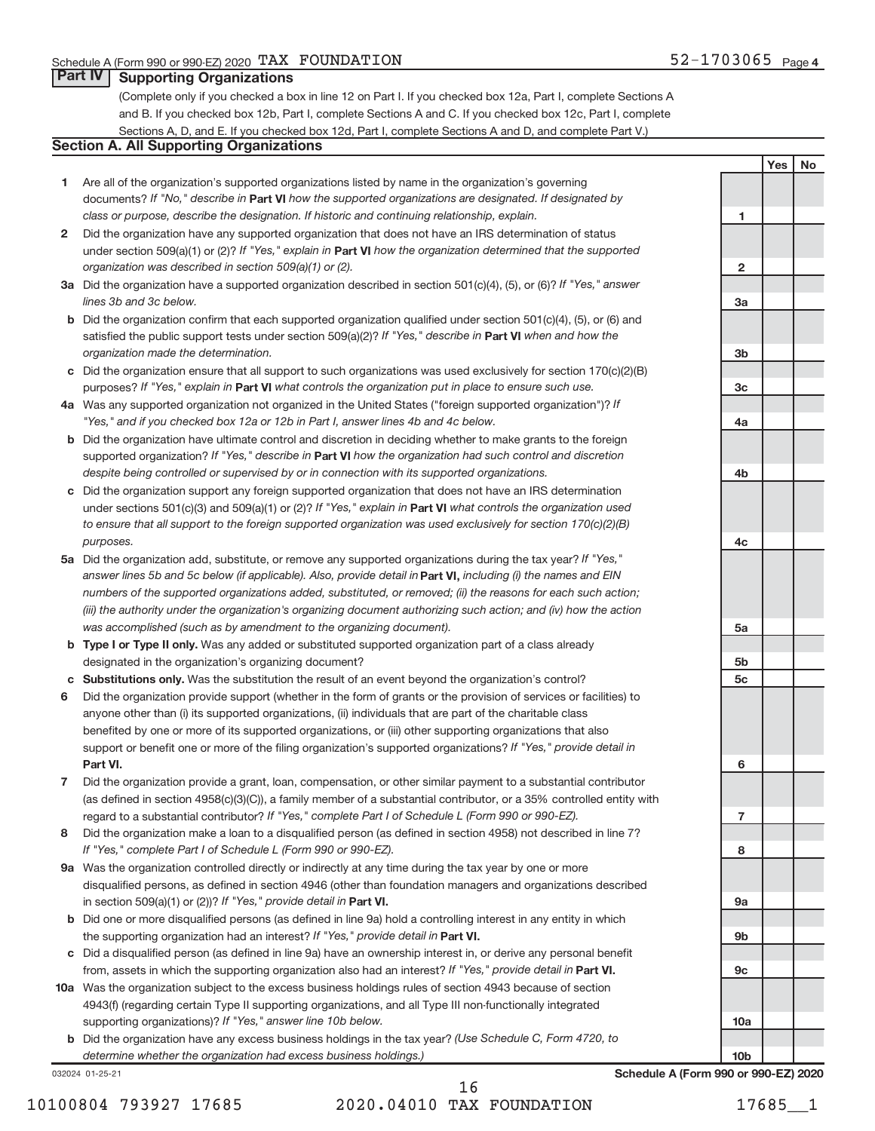**1**

**2**

**Yes No**

#### **Part IV Supporting Organizations**

(Complete only if you checked a box in line 12 on Part I. If you checked box 12a, Part I, complete Sections A and B. If you checked box 12b, Part I, complete Sections A and C. If you checked box 12c, Part I, complete Sections A, D, and E. If you checked box 12d, Part I, complete Sections A and D, and complete Part V.)

#### **Section A. All Supporting Organizations**

- **1** Are all of the organization's supported organizations listed by name in the organization's governing documents? If "No," describe in Part VI how the supported organizations are designated. If designated by *class or purpose, describe the designation. If historic and continuing relationship, explain.*
- **2** Did the organization have any supported organization that does not have an IRS determination of status under section 509(a)(1) or (2)? If "Yes," explain in Part **VI** how the organization determined that the supported *organization was described in section 509(a)(1) or (2).*
- **3a** Did the organization have a supported organization described in section 501(c)(4), (5), or (6)? If "Yes," answer *lines 3b and 3c below.*
- **b** Did the organization confirm that each supported organization qualified under section 501(c)(4), (5), or (6) and satisfied the public support tests under section 509(a)(2)? If "Yes," describe in Part VI when and how the *organization made the determination.*
- **c** Did the organization ensure that all support to such organizations was used exclusively for section 170(c)(2)(B) purposes? If "Yes," explain in Part VI what controls the organization put in place to ensure such use.
- **4 a** *If* Was any supported organization not organized in the United States ("foreign supported organization")? *"Yes," and if you checked box 12a or 12b in Part I, answer lines 4b and 4c below.*
- **b** Did the organization have ultimate control and discretion in deciding whether to make grants to the foreign supported organization? If "Yes," describe in Part VI how the organization had such control and discretion *despite being controlled or supervised by or in connection with its supported organizations.*
- **c** Did the organization support any foreign supported organization that does not have an IRS determination under sections 501(c)(3) and 509(a)(1) or (2)? If "Yes," explain in Part VI what controls the organization used *to ensure that all support to the foreign supported organization was used exclusively for section 170(c)(2)(B) purposes.*
- **5a** Did the organization add, substitute, or remove any supported organizations during the tax year? If "Yes," answer lines 5b and 5c below (if applicable). Also, provide detail in **Part VI,** including (i) the names and EIN *numbers of the supported organizations added, substituted, or removed; (ii) the reasons for each such action; (iii) the authority under the organization's organizing document authorizing such action; and (iv) how the action was accomplished (such as by amendment to the organizing document).*
- **b** Type I or Type II only. Was any added or substituted supported organization part of a class already designated in the organization's organizing document?
- **c Substitutions only.**  Was the substitution the result of an event beyond the organization's control?
- **6** Did the organization provide support (whether in the form of grants or the provision of services or facilities) to **Part VI.** support or benefit one or more of the filing organization's supported organizations? If "Yes," provide detail in anyone other than (i) its supported organizations, (ii) individuals that are part of the charitable class benefited by one or more of its supported organizations, or (iii) other supporting organizations that also
- **7** Did the organization provide a grant, loan, compensation, or other similar payment to a substantial contributor regard to a substantial contributor? If "Yes," complete Part I of Schedule L (Form 990 or 990-EZ). (as defined in section 4958(c)(3)(C)), a family member of a substantial contributor, or a 35% controlled entity with
- **8** Did the organization make a loan to a disqualified person (as defined in section 4958) not described in line 7? *If "Yes," complete Part I of Schedule L (Form 990 or 990-EZ).*
- **9 a** Was the organization controlled directly or indirectly at any time during the tax year by one or more in section 509(a)(1) or (2))? If "Yes," provide detail in **Part VI.** disqualified persons, as defined in section 4946 (other than foundation managers and organizations described
- **b** Did one or more disqualified persons (as defined in line 9a) hold a controlling interest in any entity in which the supporting organization had an interest? If "Yes," provide detail in Part VI.
- **c** Did a disqualified person (as defined in line 9a) have an ownership interest in, or derive any personal benefit from, assets in which the supporting organization also had an interest? If "Yes," provide detail in Part VI.
- **10 a** Was the organization subject to the excess business holdings rules of section 4943 because of section supporting organizations)? If "Yes," answer line 10b below. 4943(f) (regarding certain Type II supporting organizations, and all Type III non-functionally integrated
	- **b** Did the organization have any excess business holdings in the tax year? (Use Schedule C, Form 4720, to *determine whether the organization had excess business holdings.)*

032024 01-25-21

10100804 793927 17685 2020.04010 TAX FOUNDATION 17685\_\_1 16

**3a 3b 3c 4a 4b 4c 5a 5b 5c 6 7 8 9a 9b 9c 10a 10b Schedule A (Form 990 or 990-EZ) 2020**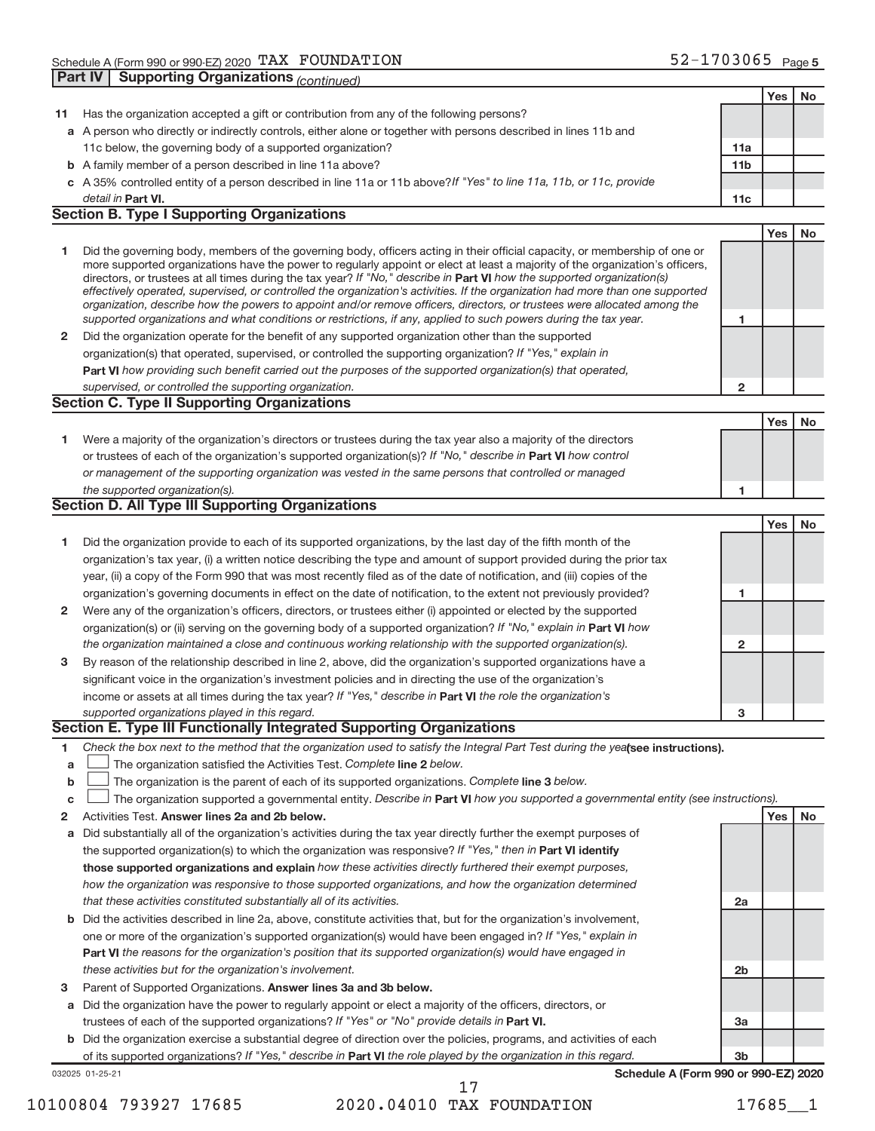|    |                                                                                                                                                                                                                                              |                 | Yes | <b>No</b> |
|----|----------------------------------------------------------------------------------------------------------------------------------------------------------------------------------------------------------------------------------------------|-----------------|-----|-----------|
| 11 | Has the organization accepted a gift or contribution from any of the following persons?                                                                                                                                                      |                 |     |           |
|    | a A person who directly or indirectly controls, either alone or together with persons described in lines 11b and                                                                                                                             |                 |     |           |
|    | 11c below, the governing body of a supported organization?                                                                                                                                                                                   | 11a             |     |           |
|    | <b>b</b> A family member of a person described in line 11a above?                                                                                                                                                                            | 11 <sub>b</sub> |     |           |
|    | c A 35% controlled entity of a person described in line 11a or 11b above?If "Yes" to line 11a, 11b, or 11c, provide                                                                                                                          |                 |     |           |
|    | detail in Part VI.                                                                                                                                                                                                                           | 11c             |     |           |
|    | <b>Section B. Type I Supporting Organizations</b>                                                                                                                                                                                            |                 |     |           |
|    |                                                                                                                                                                                                                                              |                 | Yes | No        |
| 1  | Did the governing body, members of the governing body, officers acting in their official capacity, or membership of one or                                                                                                                   |                 |     |           |
|    | more supported organizations have the power to regularly appoint or elect at least a majority of the organization's officers,                                                                                                                |                 |     |           |
|    | directors, or trustees at all times during the tax year? If "No," describe in Part VI how the supported organization(s)                                                                                                                      |                 |     |           |
|    | effectively operated, supervised, or controlled the organization's activities. If the organization had more than one supported                                                                                                               |                 |     |           |
|    | organization, describe how the powers to appoint and/or remove officers, directors, or trustees were allocated among the<br>supported organizations and what conditions or restrictions, if any, applied to such powers during the tax year. | 1               |     |           |
| 2  | Did the organization operate for the benefit of any supported organization other than the supported                                                                                                                                          |                 |     |           |
|    | organization(s) that operated, supervised, or controlled the supporting organization? If "Yes," explain in                                                                                                                                   |                 |     |           |
|    | Part VI how providing such benefit carried out the purposes of the supported organization(s) that operated,                                                                                                                                  |                 |     |           |
|    | supervised, or controlled the supporting organization.                                                                                                                                                                                       | $\overline{2}$  |     |           |
|    | <b>Section C. Type II Supporting Organizations</b>                                                                                                                                                                                           |                 |     |           |
|    |                                                                                                                                                                                                                                              |                 | Yes | No        |
| 1  | Were a majority of the organization's directors or trustees during the tax year also a majority of the directors                                                                                                                             |                 |     |           |
|    | or trustees of each of the organization's supported organization(s)? If "No," describe in Part VI how control                                                                                                                                |                 |     |           |
|    | or management of the supporting organization was vested in the same persons that controlled or managed                                                                                                                                       |                 |     |           |
|    | the supported organization(s).                                                                                                                                                                                                               | 1               |     |           |
|    | <b>Section D. All Type III Supporting Organizations</b>                                                                                                                                                                                      |                 |     |           |
|    |                                                                                                                                                                                                                                              |                 | Yes | No        |
| 1  | Did the organization provide to each of its supported organizations, by the last day of the fifth month of the                                                                                                                               |                 |     |           |
|    | organization's tax year, (i) a written notice describing the type and amount of support provided during the prior tax                                                                                                                        |                 |     |           |
|    | year, (ii) a copy of the Form 990 that was most recently filed as of the date of notification, and (iii) copies of the                                                                                                                       |                 |     |           |
|    | organization's governing documents in effect on the date of notification, to the extent not previously provided?                                                                                                                             | 1               |     |           |
| 2  | Were any of the organization's officers, directors, or trustees either (i) appointed or elected by the supported                                                                                                                             |                 |     |           |
|    | organization(s) or (ii) serving on the governing body of a supported organization? If "No," explain in Part VI how                                                                                                                           |                 |     |           |
|    | the organization maintained a close and continuous working relationship with the supported organization(s).                                                                                                                                  | 2               |     |           |
| 3  | By reason of the relationship described in line 2, above, did the organization's supported organizations have a                                                                                                                              |                 |     |           |
|    | significant voice in the organization's investment policies and in directing the use of the organization's                                                                                                                                   |                 |     |           |
|    | income or assets at all times during the tax year? If "Yes," describe in Part VI the role the organization's                                                                                                                                 |                 |     |           |
|    | supported organizations played in this regard.                                                                                                                                                                                               | 3               |     |           |
|    | Section E. Type III Functionally Integrated Supporting Organizations                                                                                                                                                                         |                 |     |           |
| 1  | Check the box next to the method that the organization used to satisfy the Integral Part Test during the yealsee instructions).                                                                                                              |                 |     |           |
| a  | The organization satisfied the Activities Test. Complete line 2 below.                                                                                                                                                                       |                 |     |           |
| b  | The organization is the parent of each of its supported organizations. Complete line 3 below.                                                                                                                                                |                 |     |           |
| C  | The organization supported a governmental entity. Describe in Part VI how you supported a governmental entity (see instructions).                                                                                                            |                 |     |           |
| 2  | Activities Test. Answer lines 2a and 2b below.                                                                                                                                                                                               |                 | Yes | No        |
| а  | Did substantially all of the organization's activities during the tax year directly further the exempt purposes of                                                                                                                           |                 |     |           |
|    | the supported organization(s) to which the organization was responsive? If "Yes," then in Part VI identify                                                                                                                                   |                 |     |           |
|    | those supported organizations and explain how these activities directly furthered their exempt purposes,                                                                                                                                     |                 |     |           |
|    | how the organization was responsive to those supported organizations, and how the organization determined                                                                                                                                    |                 |     |           |
|    | that these activities constituted substantially all of its activities.                                                                                                                                                                       | 2a              |     |           |
|    | b Did the activities described in line 2a, above, constitute activities that, but for the organization's involvement,                                                                                                                        |                 |     |           |
|    | one or more of the organization's supported organization(s) would have been engaged in? If "Yes," explain in                                                                                                                                 |                 |     |           |
|    | Part VI the reasons for the organization's position that its supported organization(s) would have engaged in                                                                                                                                 |                 |     |           |
|    | these activities but for the organization's involvement.                                                                                                                                                                                     | 2b              |     |           |
| з  | Parent of Supported Organizations. Answer lines 3a and 3b below.                                                                                                                                                                             |                 |     |           |
| a  | Did the organization have the power to regularly appoint or elect a majority of the officers, directors, or                                                                                                                                  |                 |     |           |
|    | trustees of each of the supported organizations? If "Yes" or "No" provide details in Part VI.                                                                                                                                                | За              |     |           |
|    | b Did the organization exercise a substantial degree of direction over the policies, programs, and activities of each                                                                                                                        |                 |     |           |
|    | of its supported organizations? If "Yes," describe in Part VI the role played by the organization in this regard.                                                                                                                            | 3b              |     |           |
|    | Schedule A (Form 990 or 990-EZ) 2020<br>032025 01-25-21                                                                                                                                                                                      |                 |     |           |
|    | 17                                                                                                                                                                                                                                           |                 |     |           |

10100804 793927 17685 2020.04010 TAX FOUNDATION 17685\_\_1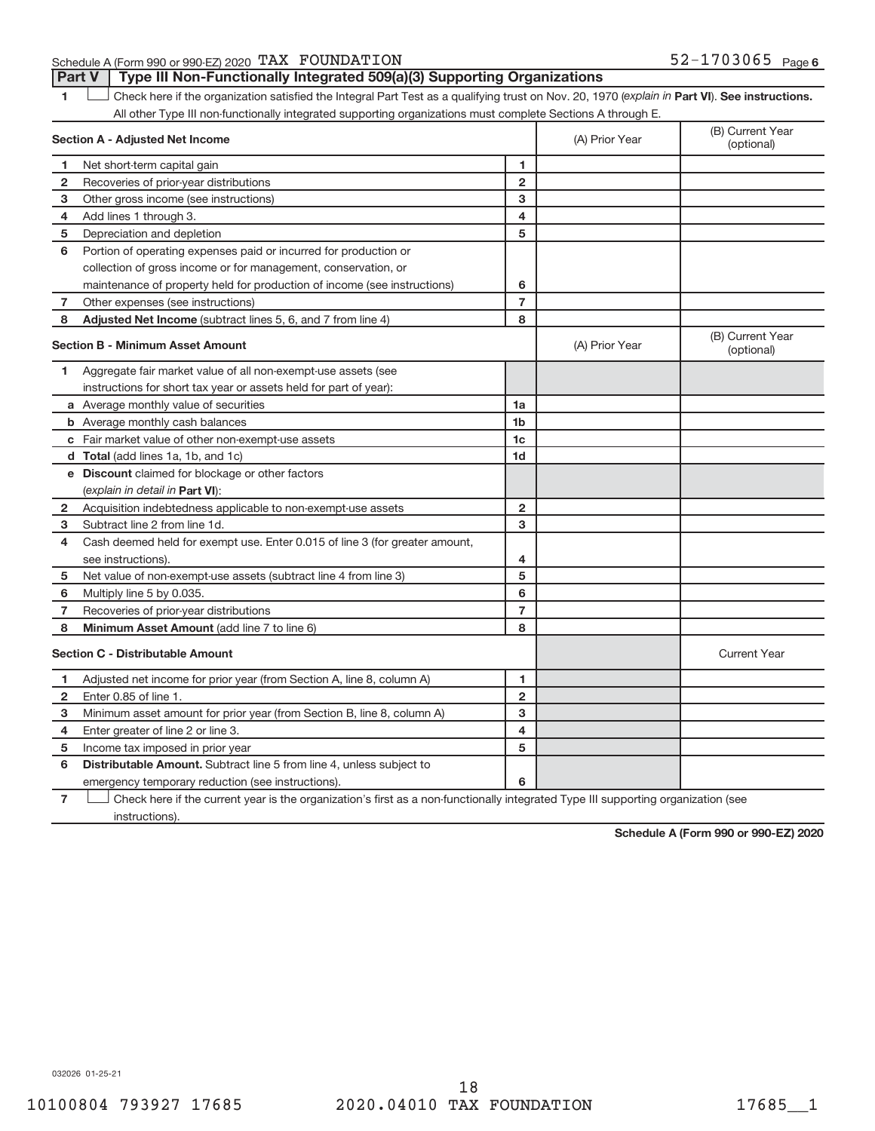#### Schedule A (Form 990 or 990-EZ) 2020  $\texttt{TAX}$   $\texttt{FOUNDATION}$   $\texttt{52-1703065}$   $\texttt{Page}$ **Part V** | Type III Non-Functionally Integrated 509(a)(3) Supporting Organizations

1 **b** Check here if the organization satisfied the Integral Part Test as a qualifying trust on Nov. 20, 1970 (explain in Part VI). See instructions. All other Type III non-functionally integrated supporting organizations must complete Sections A through E.

|   | <b>Section A - Adjusted Net Income</b>                                                                                            | (A) Prior Year | (B) Current Year<br>(optional) |                                |
|---|-----------------------------------------------------------------------------------------------------------------------------------|----------------|--------------------------------|--------------------------------|
| 1 | Net short-term capital gain                                                                                                       | 1              |                                |                                |
| 2 | Recoveries of prior-year distributions                                                                                            | $\mathbf{2}$   |                                |                                |
| 3 | Other gross income (see instructions)                                                                                             | 3              |                                |                                |
| 4 | Add lines 1 through 3.                                                                                                            | 4              |                                |                                |
| 5 | Depreciation and depletion                                                                                                        | 5              |                                |                                |
| 6 | Portion of operating expenses paid or incurred for production or                                                                  |                |                                |                                |
|   | collection of gross income or for management, conservation, or                                                                    |                |                                |                                |
|   | maintenance of property held for production of income (see instructions)                                                          | 6              |                                |                                |
| 7 | Other expenses (see instructions)                                                                                                 | $\overline{7}$ |                                |                                |
| 8 | Adjusted Net Income (subtract lines 5, 6, and 7 from line 4)                                                                      | 8              |                                |                                |
|   | <b>Section B - Minimum Asset Amount</b>                                                                                           |                | (A) Prior Year                 | (B) Current Year<br>(optional) |
| 1 | Aggregate fair market value of all non-exempt-use assets (see                                                                     |                |                                |                                |
|   | instructions for short tax year or assets held for part of year):                                                                 |                |                                |                                |
|   | a Average monthly value of securities                                                                                             | 1a             |                                |                                |
|   | <b>b</b> Average monthly cash balances                                                                                            | 1 <sub>b</sub> |                                |                                |
|   | c Fair market value of other non-exempt-use assets                                                                                | 1 <sub>c</sub> |                                |                                |
|   | d Total (add lines 1a, 1b, and 1c)                                                                                                | 1d             |                                |                                |
|   | e Discount claimed for blockage or other factors                                                                                  |                |                                |                                |
|   | (explain in detail in Part VI):                                                                                                   |                |                                |                                |
| 2 | Acquisition indebtedness applicable to non-exempt-use assets                                                                      | $\mathbf{2}$   |                                |                                |
| 3 | Subtract line 2 from line 1d.                                                                                                     | 3              |                                |                                |
| 4 | Cash deemed held for exempt use. Enter 0.015 of line 3 (for greater amount,                                                       |                |                                |                                |
|   | see instructions).                                                                                                                | 4              |                                |                                |
| 5 | Net value of non-exempt-use assets (subtract line 4 from line 3)                                                                  | 5              |                                |                                |
| 6 | Multiply line 5 by 0.035.                                                                                                         | 6              |                                |                                |
| 7 | Recoveries of prior-year distributions                                                                                            | $\overline{7}$ |                                |                                |
| 8 | <b>Minimum Asset Amount (add line 7 to line 6)</b>                                                                                | 8              |                                |                                |
|   | <b>Section C - Distributable Amount</b>                                                                                           |                |                                | <b>Current Year</b>            |
| 1 | Adjusted net income for prior year (from Section A, line 8, column A)                                                             | 1              |                                |                                |
| 2 | Enter 0.85 of line 1.                                                                                                             | $\overline{2}$ |                                |                                |
| 3 | Minimum asset amount for prior year (from Section B, line 8, column A)                                                            | 3              |                                |                                |
| 4 | Enter greater of line 2 or line 3.                                                                                                | 4              |                                |                                |
| 5 | Income tax imposed in prior year                                                                                                  | 5              |                                |                                |
| 6 | <b>Distributable Amount.</b> Subtract line 5 from line 4, unless subject to                                                       |                |                                |                                |
|   | emergency temporary reduction (see instructions).                                                                                 | 6              |                                |                                |
| 7 | Check here if the current year is the organization's first as a non-functionally integrated Type III supporting organization (see |                |                                |                                |

instructions).

**Schedule A (Form 990 or 990-EZ) 2020**

032026 01-25-21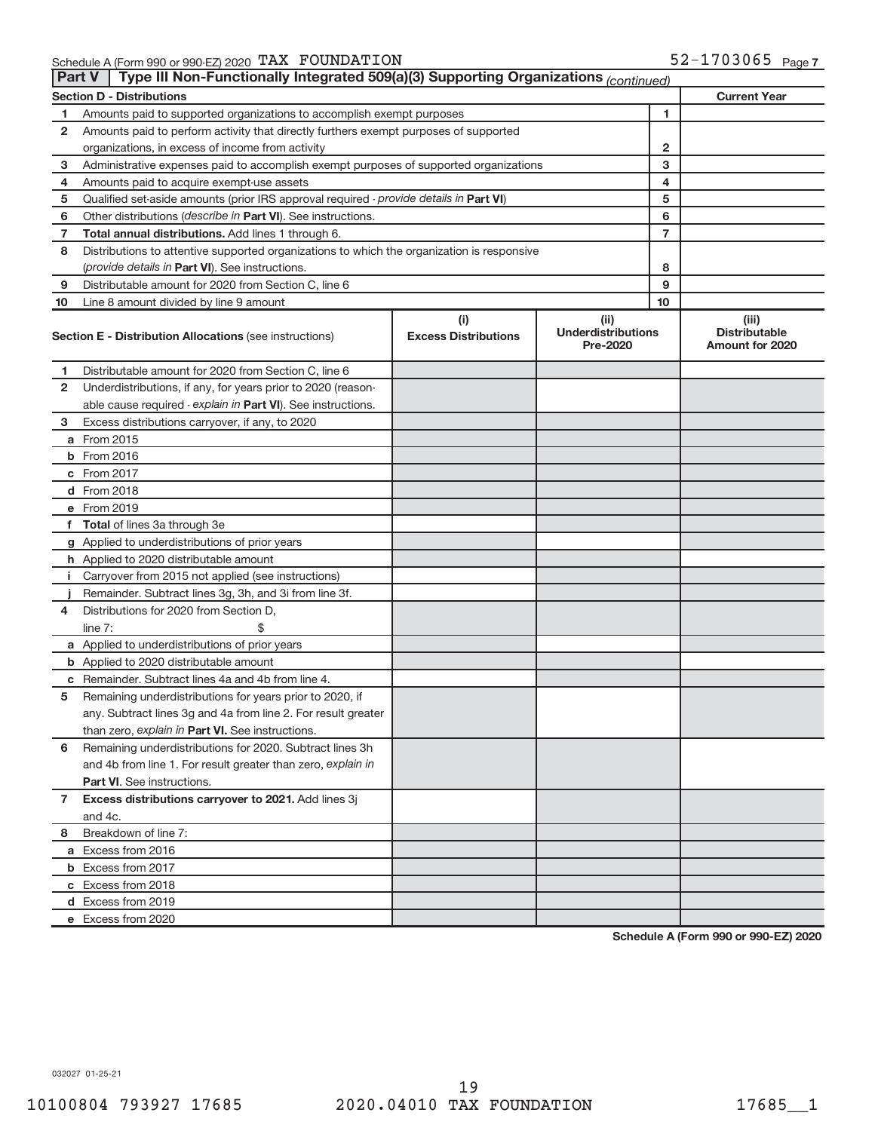| <b>Part V</b>  | Type III Non-Functionally Integrated 509(a)(3) Supporting Organizations (continued)        |                             |                                       |                |                                                |
|----------------|--------------------------------------------------------------------------------------------|-----------------------------|---------------------------------------|----------------|------------------------------------------------|
|                | <b>Section D - Distributions</b>                                                           |                             |                                       |                | <b>Current Year</b>                            |
| 1              | Amounts paid to supported organizations to accomplish exempt purposes                      |                             |                                       | 1              |                                                |
| 2              | Amounts paid to perform activity that directly furthers exempt purposes of supported       |                             |                                       |                |                                                |
|                | organizations, in excess of income from activity                                           |                             |                                       |                |                                                |
| 3              | Administrative expenses paid to accomplish exempt purposes of supported organizations      |                             |                                       | 3              |                                                |
| 4              | Amounts paid to acquire exempt-use assets                                                  |                             |                                       | 4              |                                                |
| 5              | Qualified set-aside amounts (prior IRS approval required - provide details in Part VI)     |                             |                                       | 5              |                                                |
| 6              | Other distributions (describe in Part VI). See instructions.                               |                             |                                       | 6              |                                                |
| 7              | Total annual distributions. Add lines 1 through 6.                                         |                             |                                       | $\overline{7}$ |                                                |
| 8              | Distributions to attentive supported organizations to which the organization is responsive |                             |                                       |                |                                                |
|                | (provide details in Part VI). See instructions.                                            |                             |                                       | 8              |                                                |
| 9              | Distributable amount for 2020 from Section C, line 6                                       |                             |                                       | 9              |                                                |
| 10             | Line 8 amount divided by line 9 amount                                                     |                             |                                       | 10             |                                                |
|                |                                                                                            | (i)                         | (ii)                                  |                | (iii)                                          |
|                | <b>Section E - Distribution Allocations (see instructions)</b>                             | <b>Excess Distributions</b> | <b>Underdistributions</b><br>Pre-2020 |                | <b>Distributable</b><br><b>Amount for 2020</b> |
| 1              | Distributable amount for 2020 from Section C, line 6                                       |                             |                                       |                |                                                |
| 2              | Underdistributions, if any, for years prior to 2020 (reason-                               |                             |                                       |                |                                                |
|                | able cause required - explain in Part VI). See instructions.                               |                             |                                       |                |                                                |
| 3              | Excess distributions carryover, if any, to 2020                                            |                             |                                       |                |                                                |
|                | a From 2015                                                                                |                             |                                       |                |                                                |
|                | <b>b</b> From 2016                                                                         |                             |                                       |                |                                                |
|                | c From 2017                                                                                |                             |                                       |                |                                                |
|                | d From 2018                                                                                |                             |                                       |                |                                                |
|                | e From 2019                                                                                |                             |                                       |                |                                                |
|                | f Total of lines 3a through 3e                                                             |                             |                                       |                |                                                |
|                | g Applied to underdistributions of prior years                                             |                             |                                       |                |                                                |
|                | h Applied to 2020 distributable amount                                                     |                             |                                       |                |                                                |
| Ť.             | Carryover from 2015 not applied (see instructions)                                         |                             |                                       |                |                                                |
|                | Remainder. Subtract lines 3g, 3h, and 3i from line 3f.                                     |                             |                                       |                |                                                |
| 4              | Distributions for 2020 from Section D,                                                     |                             |                                       |                |                                                |
|                | line $7:$                                                                                  |                             |                                       |                |                                                |
|                | a Applied to underdistributions of prior years                                             |                             |                                       |                |                                                |
|                | <b>b</b> Applied to 2020 distributable amount                                              |                             |                                       |                |                                                |
|                | c Remainder. Subtract lines 4a and 4b from line 4.                                         |                             |                                       |                |                                                |
| 5              | Remaining underdistributions for years prior to 2020, if                                   |                             |                                       |                |                                                |
|                | any. Subtract lines 3g and 4a from line 2. For result greater                              |                             |                                       |                |                                                |
|                | than zero, explain in Part VI. See instructions.                                           |                             |                                       |                |                                                |
| 6              | Remaining underdistributions for 2020. Subtract lines 3h                                   |                             |                                       |                |                                                |
|                | and 4b from line 1. For result greater than zero, explain in                               |                             |                                       |                |                                                |
|                | <b>Part VI.</b> See instructions.                                                          |                             |                                       |                |                                                |
| $\overline{7}$ | Excess distributions carryover to 2021. Add lines 3j                                       |                             |                                       |                |                                                |
|                | and 4c.                                                                                    |                             |                                       |                |                                                |
| 8              | Breakdown of line 7:                                                                       |                             |                                       |                |                                                |
|                | a Excess from 2016                                                                         |                             |                                       |                |                                                |
|                | <b>b</b> Excess from 2017                                                                  |                             |                                       |                |                                                |
|                | c Excess from 2018                                                                         |                             |                                       |                |                                                |
|                | d Excess from 2019                                                                         |                             |                                       |                |                                                |
|                | e Excess from 2020                                                                         |                             |                                       |                |                                                |

**Schedule A (Form 990 or 990-EZ) 2020**

032027 01-25-21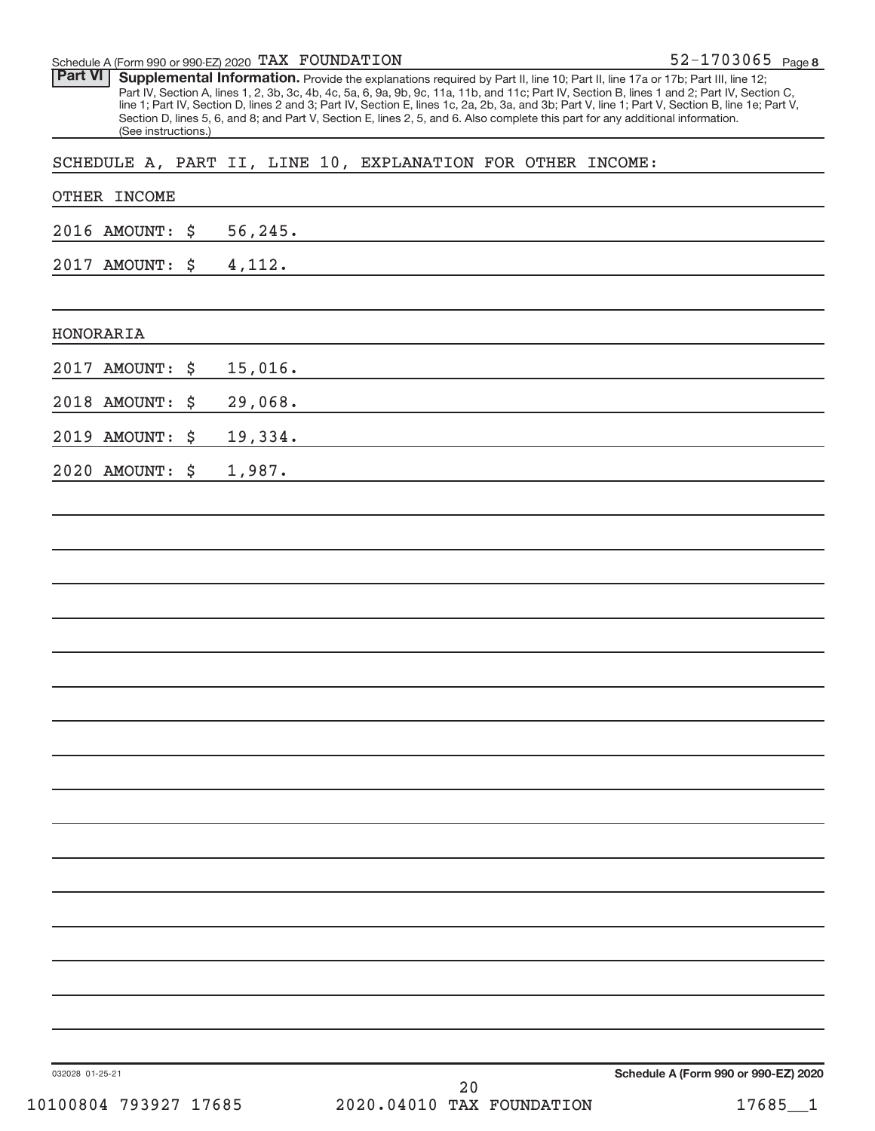Schedule A (Form 990 or 990-EZ) 2020  $\texttt{TAX}$   $\texttt{FOUNDATION}$   $\texttt{52-1703065}$   $\texttt{Page}$ 

Part VI | Supplemental Information. Provide the explanations required by Part II, line 10; Part II, line 17a or 17b; Part III, line 12; Part IV, Section A, lines 1, 2, 3b, 3c, 4b, 4c, 5a, 6, 9a, 9b, 9c, 11a, 11b, and 11c; Part IV, Section B, lines 1 and 2; Part IV, Section C, line 1; Part IV, Section D, lines 2 and 3; Part IV, Section E, lines 1c, 2a, 2b, 3a, and 3b; Part V, line 1; Part V, Section B, line 1e; Part V, Section D, lines 5, 6, and 8; and Part V, Section E, lines 2, 5, and 6. Also complete this part for any additional information. (See instructions.)

SCHEDULE A, PART II, LINE 10, EXPLANATION FOR OTHER INCOME:

| 15,016.                                                                                              |                                                            |
|------------------------------------------------------------------------------------------------------|------------------------------------------------------------|
| 29,068.<br>the control of the control of the control of the control of the control of the control of |                                                            |
| 19,334.<br>and the state of the state of the state of the state of the state of the state of         |                                                            |
| 1,987.<br>the control of the control of the control of the control of the control of the control of  |                                                            |
|                                                                                                      |                                                            |
|                                                                                                      |                                                            |
|                                                                                                      |                                                            |
|                                                                                                      |                                                            |
|                                                                                                      |                                                            |
|                                                                                                      |                                                            |
|                                                                                                      |                                                            |
|                                                                                                      |                                                            |
|                                                                                                      |                                                            |
|                                                                                                      |                                                            |
|                                                                                                      |                                                            |
|                                                                                                      |                                                            |
|                                                                                                      |                                                            |
|                                                                                                      |                                                            |
|                                                                                                      |                                                            |
|                                                                                                      |                                                            |
|                                                                                                      |                                                            |
|                                                                                                      |                                                            |
| 20                                                                                                   |                                                            |
|                                                                                                      | 56, 245.<br>4,112.<br>Schedule A (Form 990 or 990-EZ) 2020 |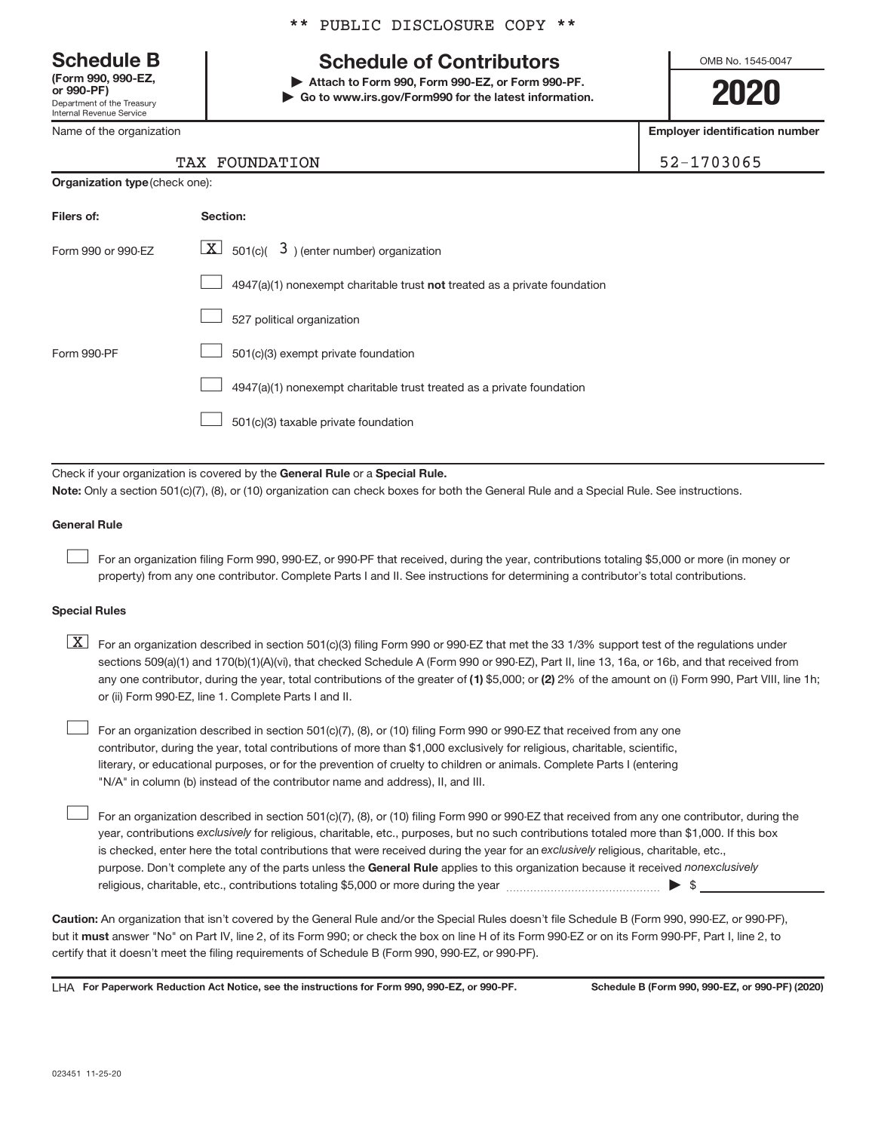Department of the Treasury Internal Revenue Service **(Form 990, 990-EZ,**

Name of the organization

**Organization type** (check one):

#### \*\* PUBLIC DISCLOSURE COPY \*\*

## **Schedule B Schedule of Contributors**

**or 990-PF) | Attach to Form 990, Form 990-EZ, or Form 990-PF. | Go to www.irs.gov/Form990 for the latest information.** OMB No. 1545-0047

**2020**

**Employer identification number**

| $2 - 1703065$ |  |  |  |  |
|---------------|--|--|--|--|
|               |  |  |  |  |

| TAX FOUNDATION | 52-1703065 |  |
|----------------|------------|--|
|----------------|------------|--|

| Filers of:         | Section:                                                                           |
|--------------------|------------------------------------------------------------------------------------|
| Form 990 or 990-EZ | $ \mathbf{X} $ 501(c)( 3) (enter number) organization                              |
|                    | $4947(a)(1)$ nonexempt charitable trust <b>not</b> treated as a private foundation |
|                    | 527 political organization                                                         |
| Form 990-PF        | 501(c)(3) exempt private foundation                                                |
|                    | 4947(a)(1) nonexempt charitable trust treated as a private foundation              |
|                    | 501(c)(3) taxable private foundation                                               |

Check if your organization is covered by the General Rule or a Special Rule. **Note:**  Only a section 501(c)(7), (8), or (10) organization can check boxes for both the General Rule and a Special Rule. See instructions.

#### **General Rule**

 $\begin{array}{c} \hline \end{array}$ 

 $\begin{array}{c} \hline \end{array}$ 

For an organization filing Form 990, 990-EZ, or 990-PF that received, during the year, contributions totaling \$5,000 or more (in money or property) from any one contributor. Complete Parts I and II. See instructions for determining a contributor's total contributions.

#### **Special Rules**

any one contributor, during the year, total contributions of the greater of (1) \$5,000; or (2) 2% of the amount on (i) Form 990, Part VIII, line 1h;  $\boxed{\text{X}}$  For an organization described in section 501(c)(3) filing Form 990 or 990-EZ that met the 33 1/3% support test of the regulations under sections 509(a)(1) and 170(b)(1)(A)(vi), that checked Schedule A (Form 990 or 990-EZ), Part II, line 13, 16a, or 16b, and that received from or (ii) Form 990-EZ, line 1. Complete Parts I and II.

For an organization described in section 501(c)(7), (8), or (10) filing Form 990 or 990-EZ that received from any one contributor, during the year, total contributions of more than \$1,000 exclusively for religious, charitable, scientific, literary, or educational purposes, or for the prevention of cruelty to children or animals. Complete Parts I (entering "N/A" in column (b) instead of the contributor name and address), II, and III.  $\begin{array}{c} \hline \end{array}$ 

purpose. Don't complete any of the parts unless the General Rule applies to this organization because it received nonexclusively year, contributions exclusively for religious, charitable, etc., purposes, but no such contributions totaled more than \$1,000. If this box is checked, enter here the total contributions that were received during the year for an exclusively religious, charitable, etc., For an organization described in section 501(c)(7), (8), or (10) filing Form 990 or 990-EZ that received from any one contributor, during the religious, charitable, etc., contributions totaling \$5,000 or more during the year  $~\ldots\ldots\ldots\ldots\ldots\ldots\ldots\ldots\blacktriangleright~$ \$

**Caution:**  An organization that isn't covered by the General Rule and/or the Special Rules doesn't file Schedule B (Form 990, 990-EZ, or 990-PF),  **must** but it answer "No" on Part IV, line 2, of its Form 990; or check the box on line H of its Form 990-EZ or on its Form 990-PF, Part I, line 2, to certify that it doesn't meet the filing requirements of Schedule B (Form 990, 990-EZ, or 990-PF).

LHA For Paperwork Reduction Act Notice, see the instructions for Form 990, 990-EZ, or 990-PF. Schedule B (Form 990, 990-EZ, or 990-PF) (2020)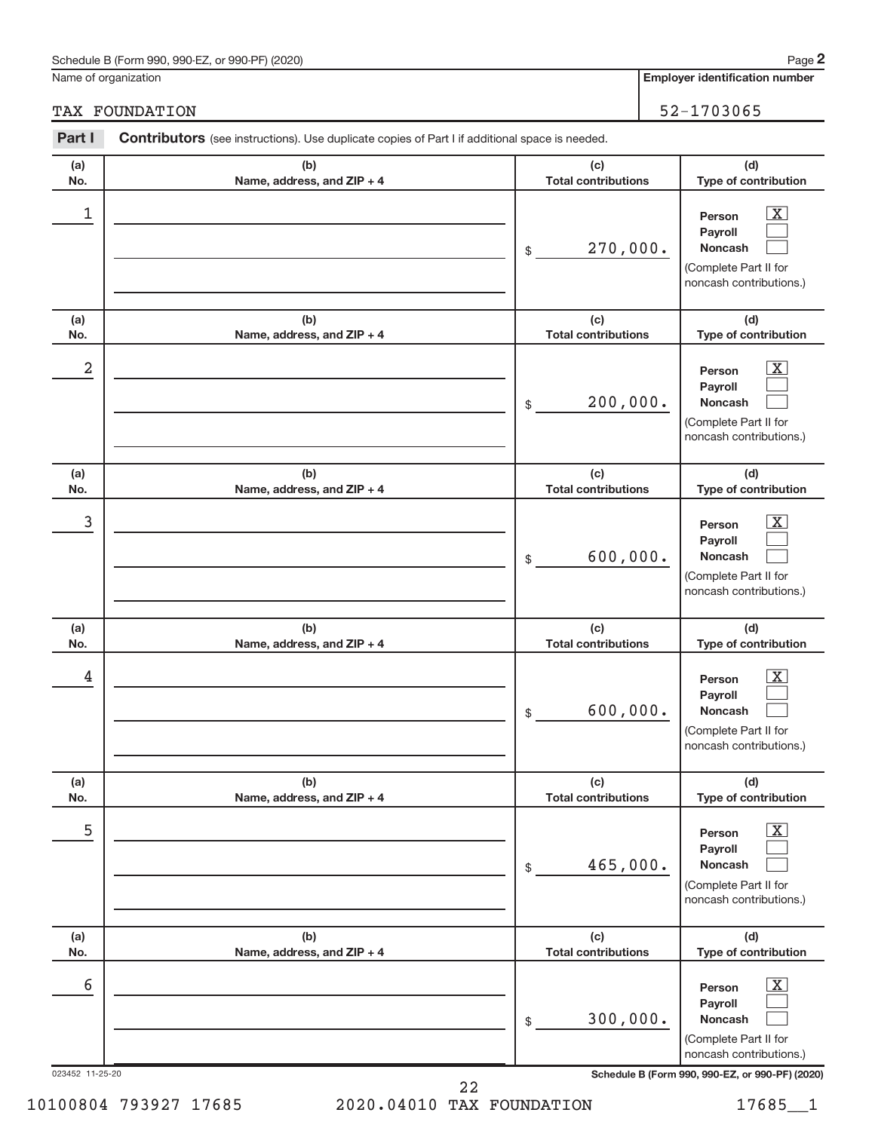#### Schedule B (Form 990, 990-EZ, or 990-PF) (2020)

Name of organization

#### TAX FOUNDATION 52-1703065

| Part I                      | <b>Contributors</b> (see instructions). Use duplicate copies of Part I if additional space is needed. |                                              |                                                                                                                                                                                      |
|-----------------------------|-------------------------------------------------------------------------------------------------------|----------------------------------------------|--------------------------------------------------------------------------------------------------------------------------------------------------------------------------------------|
| (a)                         | (b)                                                                                                   | (c)                                          | (d)                                                                                                                                                                                  |
| No.                         | Name, address, and ZIP + 4                                                                            | <b>Total contributions</b>                   | Type of contribution                                                                                                                                                                 |
| 1                           |                                                                                                       | 270,000.<br>\$                               | $\overline{\text{X}}$<br>Person<br>Payroll<br><b>Noncash</b><br>(Complete Part II for<br>noncash contributions.)                                                                     |
| (a)<br>No.                  | (b)<br>Name, address, and ZIP + 4                                                                     | (c)<br><b>Total contributions</b>            | (d)<br>Type of contribution                                                                                                                                                          |
|                             |                                                                                                       |                                              |                                                                                                                                                                                      |
| $\overline{a}$              |                                                                                                       | 200,000.<br>\$                               | $\overline{\text{X}}$<br>Person<br>Payroll<br><b>Noncash</b><br>(Complete Part II for<br>noncash contributions.)                                                                     |
| (a)<br>No.                  | (b)<br>Name, address, and ZIP + 4                                                                     | (c)<br><b>Total contributions</b>            | (d)<br>Type of contribution                                                                                                                                                          |
| 3                           |                                                                                                       | 600,000.<br>\$                               | $\overline{\mathbf{X}}$<br>Person<br>Payroll<br><b>Noncash</b><br>(Complete Part II for<br>noncash contributions.)                                                                   |
| (a)<br>No.                  | (b)<br>Name, address, and ZIP + 4                                                                     | (c)<br><b>Total contributions</b>            | (d)<br>Type of contribution                                                                                                                                                          |
| 4                           |                                                                                                       | 600,000.<br>\$                               | $\overline{\mathbf{X}}$<br>Person<br>Payroll<br><b>Noncash</b><br>(Complete Part II for<br>noncash contributions.)                                                                   |
| (a)<br>No.                  | (b)<br>Name, address, and ZIP + 4                                                                     | (c)<br><b>Total contributions</b>            | (d)<br>Type of contribution                                                                                                                                                          |
| 5                           |                                                                                                       | 465,000.<br>$\$$                             | $\overline{\text{X}}$<br>Person<br>Payroll<br>Noncash<br>(Complete Part II for<br>noncash contributions.)                                                                            |
| (a)                         | (b)                                                                                                   | (c)                                          | (d)                                                                                                                                                                                  |
| No.<br>6<br>023452 11-25-20 | Name, address, and ZIP + 4                                                                            | <b>Total contributions</b><br>300,000.<br>\$ | Type of contribution<br>$\overline{\text{X}}$<br>Person<br>Payroll<br>Noncash<br>(Complete Part II for<br>noncash contributions.)<br>Schedule B (Form 990, 990-EZ, or 990-PF) (2020) |

10100804 793927 17685 2020.04010 TAX FOUNDATION 17685\_\_1 22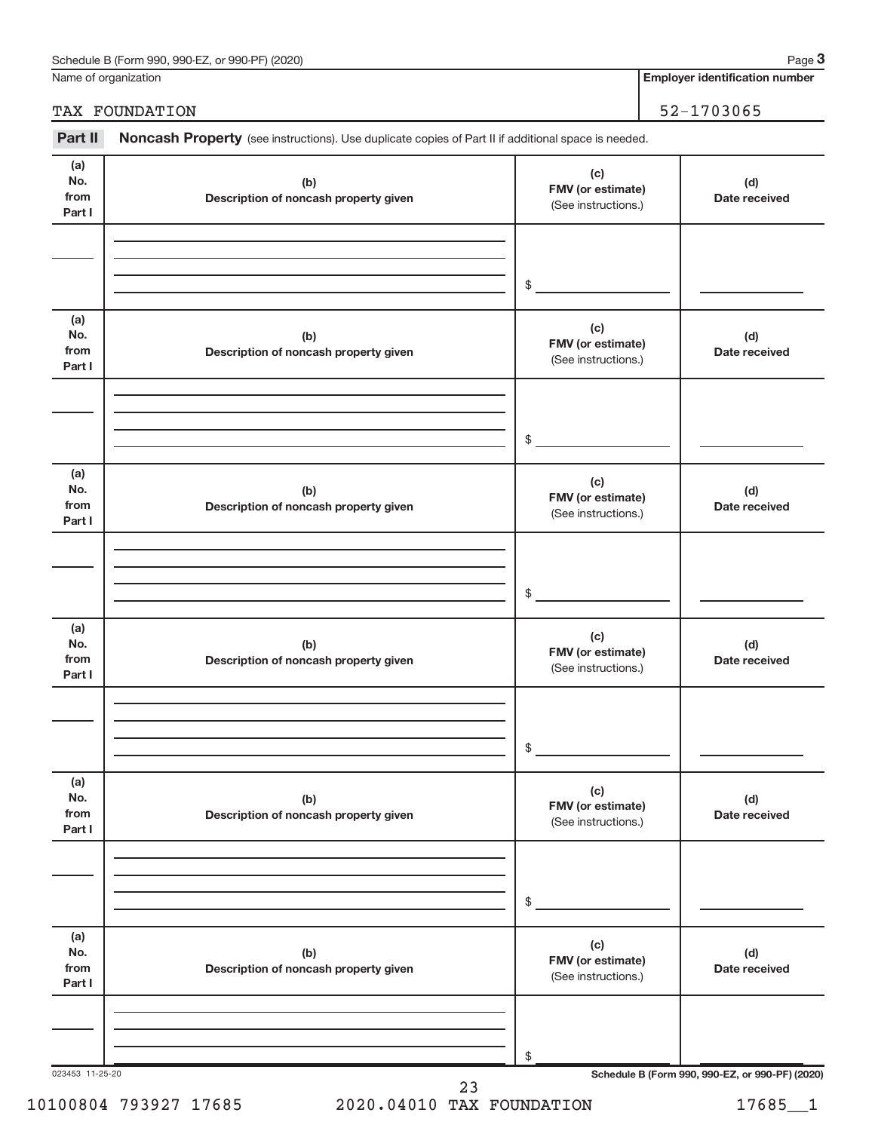| Schedule B (Form 990,<br>(2020)<br>990-EZ<br>or 990-PF) | Page |
|---------------------------------------------------------|------|
|                                                         |      |

Name of organization

**Employer identification number**

### TAX FOUNDATION 52-1703065

Part II Noncash Property (see instructions). Use duplicate copies of Part II if additional space is needed.

| (a)<br>No.<br>from<br>Part I | (b)<br>Description of noncash property given | (c)<br>FMV (or estimate)<br>(See instructions.) | (d)<br>Date received                            |
|------------------------------|----------------------------------------------|-------------------------------------------------|-------------------------------------------------|
|                              |                                              |                                                 |                                                 |
|                              |                                              | $\frac{1}{2}$                                   |                                                 |
| (a)<br>No.<br>from<br>Part I | (b)<br>Description of noncash property given | (c)<br>FMV (or estimate)<br>(See instructions.) | (d)<br>Date received                            |
|                              |                                              | $\frac{1}{2}$                                   |                                                 |
| (a)<br>No.<br>from<br>Part I | (b)<br>Description of noncash property given | (c)<br>FMV (or estimate)<br>(See instructions.) | (d)<br>Date received                            |
|                              |                                              | $\frac{1}{2}$                                   |                                                 |
| (a)<br>No.<br>from<br>Part I | (b)<br>Description of noncash property given | (c)<br>FMV (or estimate)<br>(See instructions.) | (d)<br>Date received                            |
|                              |                                              | $$ -$                                           |                                                 |
| (a)<br>No.<br>from<br>Part I | (b)<br>Description of noncash property given | (c)<br>FMV (or estimate)<br>(See instructions.) | (d)<br>Date received                            |
|                              |                                              | \$                                              |                                                 |
| (a)<br>No.<br>from<br>Part I | (b)<br>Description of noncash property given | (c)<br>FMV (or estimate)<br>(See instructions.) | (d)<br>Date received                            |
|                              |                                              | \$                                              |                                                 |
| 023453 11-25-20              | 23                                           |                                                 | Schedule B (Form 990, 990-EZ, or 990-PF) (2020) |

10100804 793927 17685 2020.04010 TAX FOUNDATION 17685\_\_1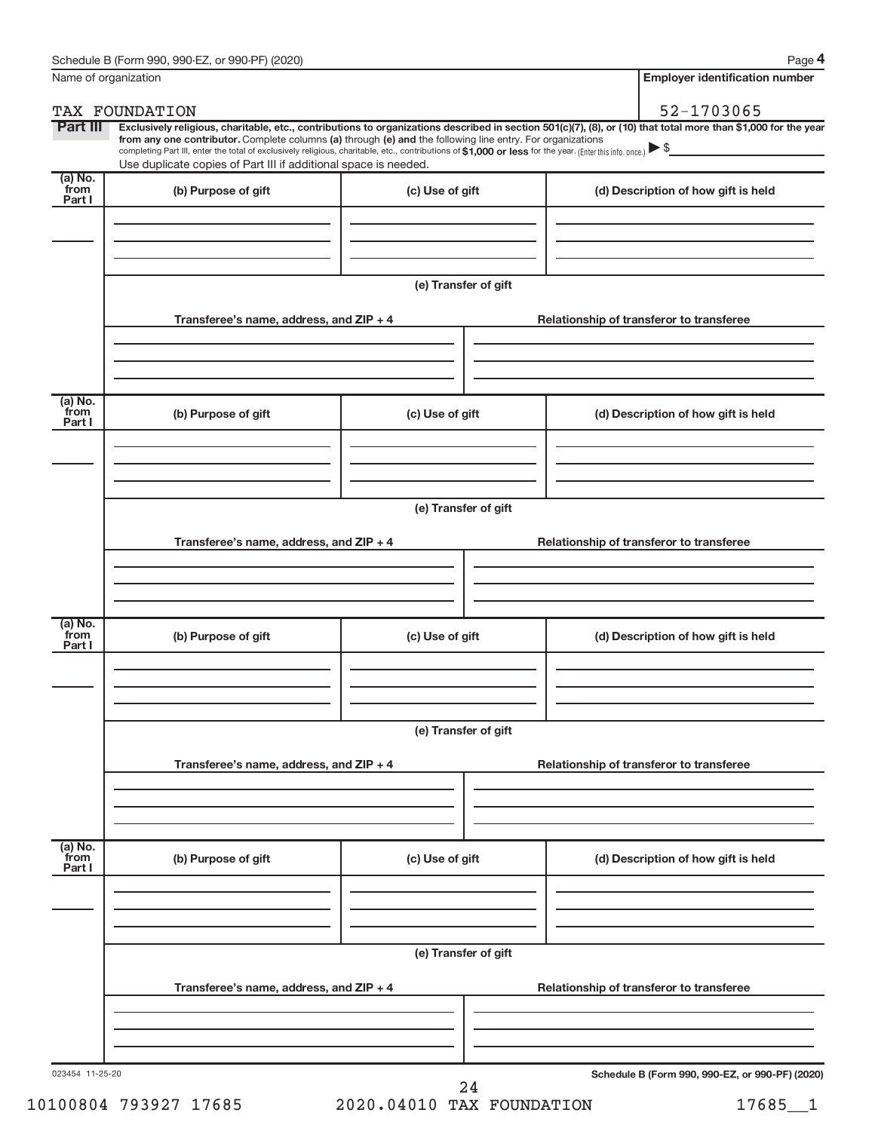|                             | Name of organization                                                                                                                                                                                                                                                                                                                      |                      | <b>Employer identification number</b>                                                                                                                          |  |  |  |  |
|-----------------------------|-------------------------------------------------------------------------------------------------------------------------------------------------------------------------------------------------------------------------------------------------------------------------------------------------------------------------------------------|----------------------|----------------------------------------------------------------------------------------------------------------------------------------------------------------|--|--|--|--|
|                             | TAX FOUNDATION                                                                                                                                                                                                                                                                                                                            |                      | 52-1703065                                                                                                                                                     |  |  |  |  |
| Part III                    | from any one contributor. Complete columns (a) through (e) and the following line entry. For organizations<br>completing Part III, enter the total of exclusively religious, charitable, etc., contributions of \$1,000 or less for the year. (Enter this info. once.)<br>Use duplicate copies of Part III if additional space is needed. |                      | Exclusively religious, charitable, etc., contributions to organizations described in section 501(c)(7), (8), or (10) that total more than \$1,000 for the year |  |  |  |  |
| $(a)$ No.<br>from<br>Part I | (b) Purpose of gift                                                                                                                                                                                                                                                                                                                       | (c) Use of gift      | (d) Description of how gift is held                                                                                                                            |  |  |  |  |
|                             |                                                                                                                                                                                                                                                                                                                                           |                      |                                                                                                                                                                |  |  |  |  |
|                             |                                                                                                                                                                                                                                                                                                                                           | (e) Transfer of gift |                                                                                                                                                                |  |  |  |  |
|                             | Transferee's name, address, and ZIP + 4                                                                                                                                                                                                                                                                                                   |                      | Relationship of transferor to transferee                                                                                                                       |  |  |  |  |
|                             |                                                                                                                                                                                                                                                                                                                                           |                      |                                                                                                                                                                |  |  |  |  |
| $(a)$ No.<br>from<br>Part I | (b) Purpose of gift                                                                                                                                                                                                                                                                                                                       | (c) Use of gift      | (d) Description of how gift is held                                                                                                                            |  |  |  |  |
|                             |                                                                                                                                                                                                                                                                                                                                           |                      |                                                                                                                                                                |  |  |  |  |
|                             |                                                                                                                                                                                                                                                                                                                                           | (e) Transfer of gift |                                                                                                                                                                |  |  |  |  |
|                             | Transferee's name, address, and ZIP + 4                                                                                                                                                                                                                                                                                                   |                      | Relationship of transferor to transferee                                                                                                                       |  |  |  |  |
|                             |                                                                                                                                                                                                                                                                                                                                           |                      |                                                                                                                                                                |  |  |  |  |
| (a) No.<br>from<br>Part I   | (b) Purpose of gift                                                                                                                                                                                                                                                                                                                       | (c) Use of gift      | (d) Description of how gift is held                                                                                                                            |  |  |  |  |
|                             |                                                                                                                                                                                                                                                                                                                                           |                      |                                                                                                                                                                |  |  |  |  |
|                             | (e) Transfer of gift                                                                                                                                                                                                                                                                                                                      |                      |                                                                                                                                                                |  |  |  |  |
|                             | Transferee's name, address, and ZIP + 4                                                                                                                                                                                                                                                                                                   |                      | Relationship of transferor to transferee                                                                                                                       |  |  |  |  |
|                             |                                                                                                                                                                                                                                                                                                                                           |                      |                                                                                                                                                                |  |  |  |  |
| $(a)$ No.<br>from<br>Part I | (b) Purpose of gift                                                                                                                                                                                                                                                                                                                       | (c) Use of gift      | (d) Description of how gift is held                                                                                                                            |  |  |  |  |
|                             |                                                                                                                                                                                                                                                                                                                                           |                      |                                                                                                                                                                |  |  |  |  |
|                             |                                                                                                                                                                                                                                                                                                                                           | (e) Transfer of gift |                                                                                                                                                                |  |  |  |  |
|                             | Transferee's name, address, and ZIP + 4                                                                                                                                                                                                                                                                                                   |                      | Relationship of transferor to transferee                                                                                                                       |  |  |  |  |
|                             |                                                                                                                                                                                                                                                                                                                                           |                      |                                                                                                                                                                |  |  |  |  |
| 023454 11-25-20             |                                                                                                                                                                                                                                                                                                                                           | 24                   | Schedule B (Form 990, 990-EZ, or 990-PF) (2020)                                                                                                                |  |  |  |  |

10100804 793927 17685 2020.04010 TAX FOUNDATION 17685\_\_1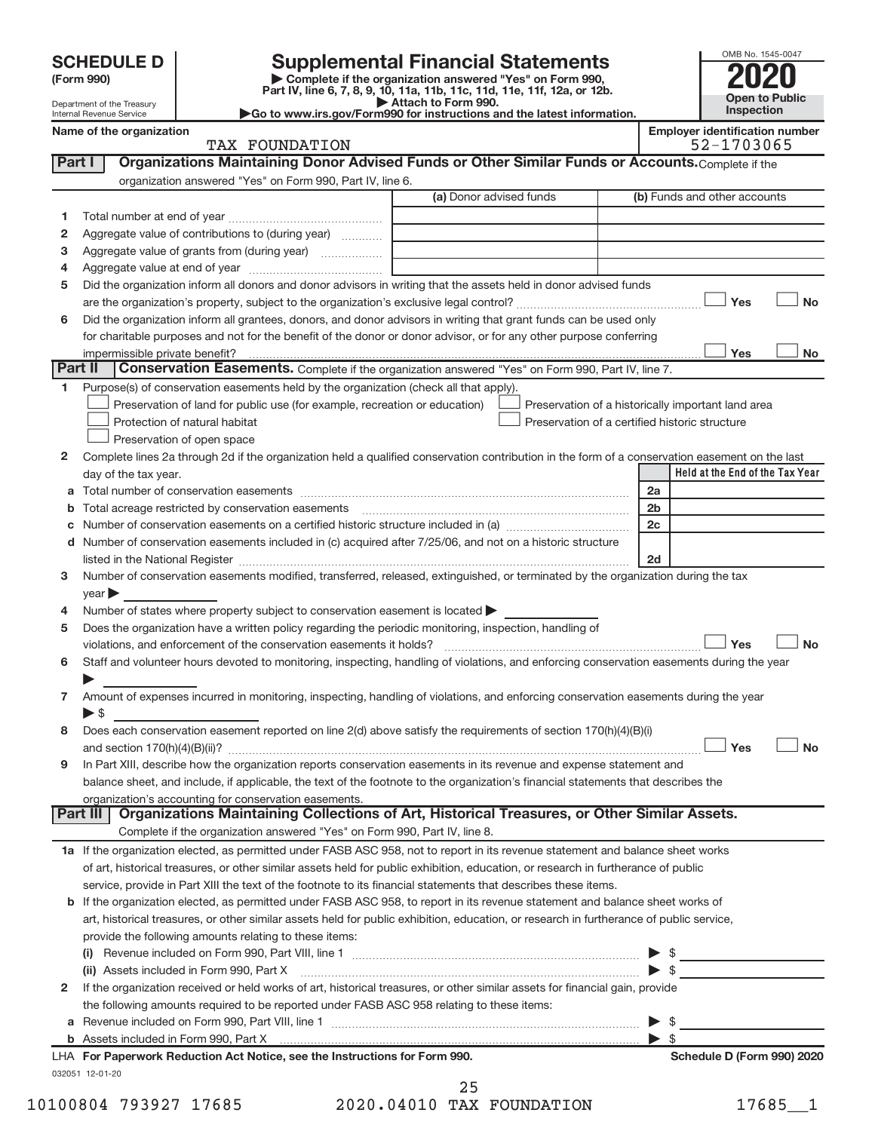| (Form 990) |  |
|------------|--|
|------------|--|

**(Form 990) | Complete if the organization answered "Yes" on Form 990, Part IV, line 6, 7, 8, 9, 10, 11a, 11b, 11c, 11d, 11e, 11f, 12a, or 12b. SCHEDULE D Supplemental Financial Statements**<br> **Form 990 2020**<br>
Part IV line 6.7.8.9.10, 11a, 11b, 11d, 11d, 11d, 11d, 11d, 20, 07, 12b

**| Attach to Form 990. |Go to www.irs.gov/Form990 for instructions and the latest information.**



Department of the Treasury Internal Revenue Service

| TAX FOUNDATION |
|----------------|
|                |

**Name of the organization Employer identification number**  $N$  52-1703065

| Part I       | Organizations Maintaining Donor Advised Funds or Other Similar Funds or Accounts. Complete if the                                              |                         |                                                    |
|--------------|------------------------------------------------------------------------------------------------------------------------------------------------|-------------------------|----------------------------------------------------|
|              | organization answered "Yes" on Form 990, Part IV, line 6.                                                                                      |                         |                                                    |
|              |                                                                                                                                                | (a) Donor advised funds | (b) Funds and other accounts                       |
| 1.           |                                                                                                                                                |                         |                                                    |
| 2            | Aggregate value of contributions to (during year)                                                                                              |                         |                                                    |
| з            | Aggregate value of grants from (during year)                                                                                                   |                         |                                                    |
| 4            |                                                                                                                                                |                         |                                                    |
| 5            | Did the organization inform all donors and donor advisors in writing that the assets held in donor advised funds                               |                         |                                                    |
|              |                                                                                                                                                |                         | Yes<br><b>No</b>                                   |
| 6            | Did the organization inform all grantees, donors, and donor advisors in writing that grant funds can be used only                              |                         |                                                    |
|              | for charitable purposes and not for the benefit of the donor or donor advisor, or for any other purpose conferring                             |                         |                                                    |
|              | impermissible private benefit?                                                                                                                 |                         | Yes<br>No                                          |
|              | Part II<br>Conservation Easements. Complete if the organization answered "Yes" on Form 990, Part IV, line 7.                                   |                         |                                                    |
| 1.           | Purpose(s) of conservation easements held by the organization (check all that apply).                                                          |                         |                                                    |
|              | Preservation of land for public use (for example, recreation or education)                                                                     |                         | Preservation of a historically important land area |
|              | Protection of natural habitat                                                                                                                  |                         | Preservation of a certified historic structure     |
|              | Preservation of open space                                                                                                                     |                         |                                                    |
| 2            | Complete lines 2a through 2d if the organization held a qualified conservation contribution in the form of a conservation easement on the last |                         |                                                    |
|              | day of the tax year.                                                                                                                           |                         | Held at the End of the Tax Year                    |
|              |                                                                                                                                                |                         | 2a                                                 |
| b            | Total acreage restricted by conservation easements                                                                                             |                         | 2 <sub>b</sub>                                     |
| С            | Number of conservation easements on a certified historic structure included in (a) manufacture included in (a)                                 |                         | 2c                                                 |
| d            | Number of conservation easements included in (c) acquired after 7/25/06, and not on a historic structure                                       |                         |                                                    |
|              |                                                                                                                                                |                         | 2d                                                 |
| 3            | Number of conservation easements modified, transferred, released, extinguished, or terminated by the organization during the tax               |                         |                                                    |
|              | year                                                                                                                                           |                         |                                                    |
| 4            | Number of states where property subject to conservation easement is located >                                                                  |                         |                                                    |
| 5            | Does the organization have a written policy regarding the periodic monitoring, inspection, handling of                                         |                         |                                                    |
|              | violations, and enforcement of the conservation easements it holds?                                                                            |                         | Yes<br><b>No</b>                                   |
| 6            | Staff and volunteer hours devoted to monitoring, inspecting, handling of violations, and enforcing conservation easements during the year      |                         |                                                    |
|              |                                                                                                                                                |                         |                                                    |
| 7            | Amount of expenses incurred in monitoring, inspecting, handling of violations, and enforcing conservation easements during the year            |                         |                                                    |
|              | $\blacktriangleright$ \$<br>Does each conservation easement reported on line 2(d) above satisfy the requirements of section 170(h)(4)(B)(i)    |                         |                                                    |
| 8            |                                                                                                                                                |                         | Yes<br><b>No</b>                                   |
| 9            | In Part XIII, describe how the organization reports conservation easements in its revenue and expense statement and                            |                         |                                                    |
|              | balance sheet, and include, if applicable, the text of the footnote to the organization's financial statements that describes the              |                         |                                                    |
|              | organization's accounting for conservation easements.                                                                                          |                         |                                                    |
|              | Organizations Maintaining Collections of Art, Historical Treasures, or Other Similar Assets.<br>Part III                                       |                         |                                                    |
|              | Complete if the organization answered "Yes" on Form 990, Part IV, line 8.                                                                      |                         |                                                    |
|              | 1a If the organization elected, as permitted under FASB ASC 958, not to report in its revenue statement and balance sheet works                |                         |                                                    |
|              | of art, historical treasures, or other similar assets held for public exhibition, education, or research in furtherance of public              |                         |                                                    |
|              | service, provide in Part XIII the text of the footnote to its financial statements that describes these items.                                 |                         |                                                    |
|              | <b>b</b> If the organization elected, as permitted under FASB ASC 958, to report in its revenue statement and balance sheet works of           |                         |                                                    |
|              | art, historical treasures, or other similar assets held for public exhibition, education, or research in furtherance of public service,        |                         |                                                    |
|              | provide the following amounts relating to these items:                                                                                         |                         |                                                    |
|              |                                                                                                                                                |                         |                                                    |
|              | (ii) Assets included in Form 990, Part X                                                                                                       |                         | $\blacktriangleright$ s                            |
| $\mathbf{2}$ | If the organization received or held works of art, historical treasures, or other similar assets for financial gain, provide                   |                         |                                                    |
|              | the following amounts required to be reported under FASB ASC 958 relating to these items:                                                      |                         |                                                    |
|              |                                                                                                                                                |                         | \$                                                 |
|              |                                                                                                                                                |                         | \$                                                 |
|              | LHA For Paperwork Reduction Act Notice, see the Instructions for Form 990.                                                                     |                         | Schedule D (Form 990) 2020                         |

032051 12-01-20

10100804 793927 17685 2020.04010 TAX FOUNDATION 17685\_\_1 25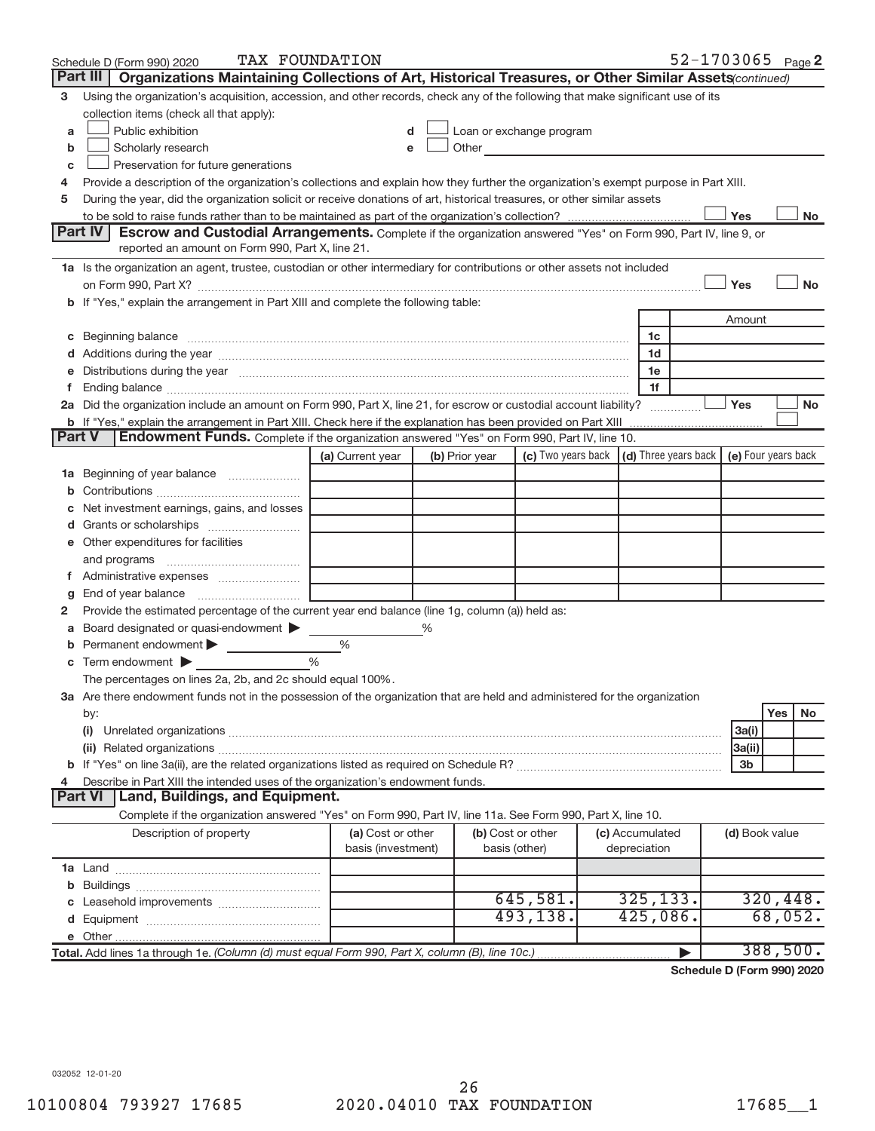|        | TAX FOUNDATION<br>Schedule D (Form 990) 2020                                                                                                                                                                                   |                                         |   |                |                                                                             |                                 | 52-1703065 Page 2 |                |          |           |
|--------|--------------------------------------------------------------------------------------------------------------------------------------------------------------------------------------------------------------------------------|-----------------------------------------|---|----------------|-----------------------------------------------------------------------------|---------------------------------|-------------------|----------------|----------|-----------|
|        | Part III<br>Organizations Maintaining Collections of Art, Historical Treasures, or Other Similar Assets (continued)                                                                                                            |                                         |   |                |                                                                             |                                 |                   |                |          |           |
| 3      | Using the organization's acquisition, accession, and other records, check any of the following that make significant use of its                                                                                                |                                         |   |                |                                                                             |                                 |                   |                |          |           |
|        | collection items (check all that apply):                                                                                                                                                                                       |                                         |   |                |                                                                             |                                 |                   |                |          |           |
| a      | Public exhibition                                                                                                                                                                                                              |                                         |   |                | Loan or exchange program                                                    |                                 |                   |                |          |           |
| b      | Scholarly research                                                                                                                                                                                                             |                                         |   | Other          |                                                                             |                                 |                   |                |          |           |
| C      | Preservation for future generations                                                                                                                                                                                            |                                         |   |                |                                                                             |                                 |                   |                |          |           |
| 4      | Provide a description of the organization's collections and explain how they further the organization's exempt purpose in Part XIII.                                                                                           |                                         |   |                |                                                                             |                                 |                   |                |          |           |
| 5      | During the year, did the organization solicit or receive donations of art, historical treasures, or other similar assets                                                                                                       |                                         |   |                |                                                                             |                                 |                   |                |          |           |
|        |                                                                                                                                                                                                                                |                                         |   |                |                                                                             |                                 |                   | Yes            |          | No        |
|        | Part IV<br><b>Escrow and Custodial Arrangements.</b> Complete if the organization answered "Yes" on Form 990, Part IV, line 9, or                                                                                              |                                         |   |                |                                                                             |                                 |                   |                |          |           |
|        | reported an amount on Form 990, Part X, line 21.                                                                                                                                                                               |                                         |   |                |                                                                             |                                 |                   |                |          |           |
|        | 1a Is the organization an agent, trustee, custodian or other intermediary for contributions or other assets not included                                                                                                       |                                         |   |                |                                                                             |                                 |                   |                |          |           |
|        |                                                                                                                                                                                                                                |                                         |   |                |                                                                             |                                 |                   | Yes            |          | <b>No</b> |
|        | b If "Yes," explain the arrangement in Part XIII and complete the following table:                                                                                                                                             |                                         |   |                |                                                                             |                                 |                   |                |          |           |
|        |                                                                                                                                                                                                                                |                                         |   |                |                                                                             |                                 |                   | Amount         |          |           |
| С      | Beginning balance measurements and contain the contract of the contract of the contract of the contract of the                                                                                                                 |                                         |   |                |                                                                             | 1c                              |                   |                |          |           |
|        | Additions during the year manufactured and an annual contract of the year manufactured and all the year manufactured and all the year manufactured and all the year manufactured and all the state of the state of the state o |                                         |   |                |                                                                             | 1d                              |                   |                |          |           |
|        | Distributions during the year measurement contains and the year measurement of the year measurement of the set                                                                                                                 |                                         |   |                |                                                                             | 1e                              |                   |                |          |           |
|        |                                                                                                                                                                                                                                |                                         |   |                |                                                                             | 1f                              |                   |                |          |           |
|        | 2a Did the organization include an amount on Form 990, Part X, line 21, for escrow or custodial account liability?                                                                                                             |                                         |   |                |                                                                             |                                 |                   | Yes            |          | No        |
|        | Endowment Funds. Complete if the organization answered "Yes" on Form 990, Part IV, line 10.<br>Part V                                                                                                                          |                                         |   |                |                                                                             |                                 |                   |                |          |           |
|        |                                                                                                                                                                                                                                |                                         |   |                | (c) Two years back $\vert$ (d) Three years back $\vert$ (e) Four years back |                                 |                   |                |          |           |
|        |                                                                                                                                                                                                                                | (a) Current year                        |   | (b) Prior year |                                                                             |                                 |                   |                |          |           |
| ٦а     | Beginning of year balance                                                                                                                                                                                                      |                                         |   |                |                                                                             |                                 |                   |                |          |           |
|        | Net investment earnings, gains, and losses                                                                                                                                                                                     |                                         |   |                |                                                                             |                                 |                   |                |          |           |
|        |                                                                                                                                                                                                                                |                                         |   |                |                                                                             |                                 |                   |                |          |           |
|        | e Other expenditures for facilities                                                                                                                                                                                            |                                         |   |                |                                                                             |                                 |                   |                |          |           |
|        |                                                                                                                                                                                                                                |                                         |   |                |                                                                             |                                 |                   |                |          |           |
|        |                                                                                                                                                                                                                                |                                         |   |                |                                                                             |                                 |                   |                |          |           |
|        |                                                                                                                                                                                                                                |                                         |   |                |                                                                             |                                 |                   |                |          |           |
| g<br>2 | Provide the estimated percentage of the current year end balance (line 1g, column (a)) held as:                                                                                                                                |                                         |   |                |                                                                             |                                 |                   |                |          |           |
|        | Board designated or quasi-endowment                                                                                                                                                                                            |                                         | ℅ |                |                                                                             |                                 |                   |                |          |           |
|        | Permanent endowment                                                                                                                                                                                                            | %                                       |   |                |                                                                             |                                 |                   |                |          |           |
| С      | Term endowment $\blacktriangleright$                                                                                                                                                                                           | $\%$                                    |   |                |                                                                             |                                 |                   |                |          |           |
|        | The percentages on lines 2a, 2b, and 2c should equal 100%.                                                                                                                                                                     |                                         |   |                |                                                                             |                                 |                   |                |          |           |
|        | 3a Are there endowment funds not in the possession of the organization that are held and administered for the organization                                                                                                     |                                         |   |                |                                                                             |                                 |                   |                |          |           |
|        | by:                                                                                                                                                                                                                            |                                         |   |                |                                                                             |                                 |                   |                | Yes      | No.       |
|        | (i)                                                                                                                                                                                                                            |                                         |   |                |                                                                             |                                 |                   | 3a(i)          |          |           |
|        |                                                                                                                                                                                                                                |                                         |   |                |                                                                             |                                 |                   | 3a(ii)         |          |           |
|        |                                                                                                                                                                                                                                |                                         |   |                |                                                                             |                                 |                   | 3 <sub>b</sub> |          |           |
|        | Describe in Part XIII the intended uses of the organization's endowment funds.                                                                                                                                                 |                                         |   |                |                                                                             |                                 |                   |                |          |           |
|        | Land, Buildings, and Equipment.<br><b>Part VI</b>                                                                                                                                                                              |                                         |   |                |                                                                             |                                 |                   |                |          |           |
|        | Complete if the organization answered "Yes" on Form 990, Part IV, line 11a. See Form 990, Part X, line 10.                                                                                                                     |                                         |   |                |                                                                             |                                 |                   |                |          |           |
|        | Description of property                                                                                                                                                                                                        | (a) Cost or other<br>basis (investment) |   |                | (b) Cost or other<br>basis (other)                                          | (c) Accumulated<br>depreciation |                   | (d) Book value |          |           |
|        |                                                                                                                                                                                                                                |                                         |   |                |                                                                             |                                 |                   |                |          |           |
| b      |                                                                                                                                                                                                                                |                                         |   |                |                                                                             |                                 |                   |                |          |           |
|        | Leasehold improvements                                                                                                                                                                                                         |                                         |   |                | 645,581.                                                                    | 325, 133.                       |                   |                | 320,448. |           |
|        |                                                                                                                                                                                                                                |                                         |   |                | 493,138.                                                                    | 425,086.                        |                   |                | 68,052.  |           |
|        |                                                                                                                                                                                                                                |                                         |   |                |                                                                             |                                 |                   |                |          |           |
|        | Total. Add lines 1a through 1e. (Column (d) must equal Form 990, Part X, column (B), line 10c.)                                                                                                                                |                                         |   |                |                                                                             |                                 |                   |                | 388,500. |           |

**Schedule D (Form 990) 2020**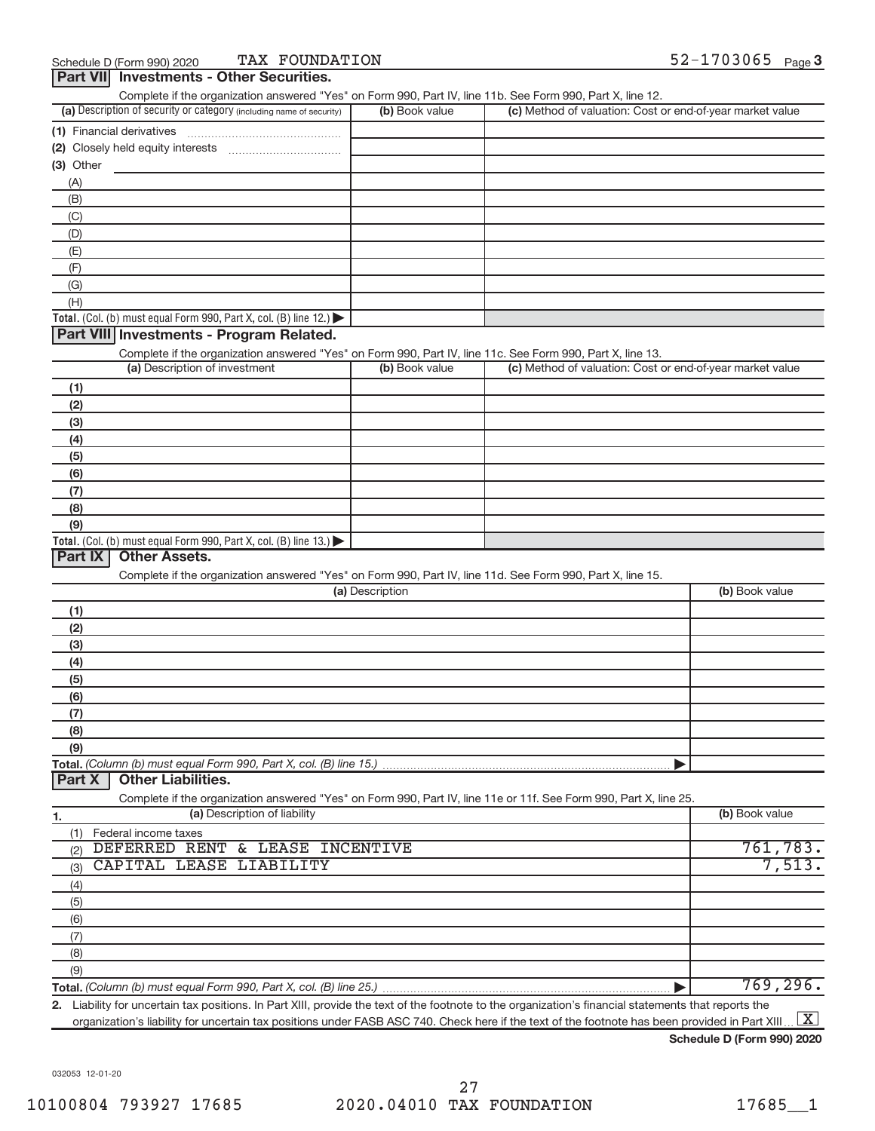TAX FOUNDATION

| Complete if the organization answered "Yes" on Form 990, Part IV, line 11b. See Form 990, Part X, line 12.                                  |                 |                                                           |                |
|---------------------------------------------------------------------------------------------------------------------------------------------|-----------------|-----------------------------------------------------------|----------------|
| (a) Description of security or category (including name of security)                                                                        | (b) Book value  | (c) Method of valuation: Cost or end-of-year market value |                |
| (1) Financial derivatives                                                                                                                   |                 |                                                           |                |
|                                                                                                                                             |                 |                                                           |                |
| $(3)$ Other                                                                                                                                 |                 |                                                           |                |
| (A)                                                                                                                                         |                 |                                                           |                |
| (B)                                                                                                                                         |                 |                                                           |                |
| (C)                                                                                                                                         |                 |                                                           |                |
| (D)                                                                                                                                         |                 |                                                           |                |
| (E)                                                                                                                                         |                 |                                                           |                |
| (F)                                                                                                                                         |                 |                                                           |                |
| (G)                                                                                                                                         |                 |                                                           |                |
| (H)                                                                                                                                         |                 |                                                           |                |
| Total. (Col. (b) must equal Form 990, Part X, col. (B) line 12.)                                                                            |                 |                                                           |                |
| Part VIII Investments - Program Related.                                                                                                    |                 |                                                           |                |
|                                                                                                                                             |                 |                                                           |                |
| Complete if the organization answered "Yes" on Form 990, Part IV, line 11c. See Form 990, Part X, line 13.<br>(a) Description of investment | (b) Book value  | (c) Method of valuation: Cost or end-of-year market value |                |
|                                                                                                                                             |                 |                                                           |                |
| (1)                                                                                                                                         |                 |                                                           |                |
| (2)                                                                                                                                         |                 |                                                           |                |
| (3)                                                                                                                                         |                 |                                                           |                |
| (4)                                                                                                                                         |                 |                                                           |                |
| (5)                                                                                                                                         |                 |                                                           |                |
| (6)                                                                                                                                         |                 |                                                           |                |
| (7)                                                                                                                                         |                 |                                                           |                |
| (8)                                                                                                                                         |                 |                                                           |                |
| (9)                                                                                                                                         |                 |                                                           |                |
| Total. (Col. (b) must equal Form 990, Part X, col. (B) line $13.$ )                                                                         |                 |                                                           |                |
| Part IX<br><b>Other Assets.</b>                                                                                                             |                 |                                                           |                |
| Complete if the organization answered "Yes" on Form 990, Part IV, line 11d. See Form 990, Part X, line 15.                                  |                 |                                                           |                |
|                                                                                                                                             | (a) Description |                                                           | (b) Book value |
| (1)                                                                                                                                         |                 |                                                           |                |
| (2)                                                                                                                                         |                 |                                                           |                |
| (3)                                                                                                                                         |                 |                                                           |                |
| (4)                                                                                                                                         |                 |                                                           |                |
| (5)                                                                                                                                         |                 |                                                           |                |
| (6)                                                                                                                                         |                 |                                                           |                |
| (7)                                                                                                                                         |                 |                                                           |                |
|                                                                                                                                             |                 |                                                           |                |
| (8)                                                                                                                                         |                 |                                                           |                |
| (9)                                                                                                                                         |                 |                                                           |                |
| Total. (Column (b) must equal Form 990, Part X, col. (B) line 15.)<br><b>Other Liabilities.</b><br>Part X                                   |                 |                                                           |                |
|                                                                                                                                             |                 |                                                           |                |
| Complete if the organization answered "Yes" on Form 990, Part IV, line 11e or 11f. See Form 990, Part X, line 25.                           |                 |                                                           |                |
| (a) Description of liability<br>1.                                                                                                          |                 |                                                           | (b) Book value |
| Federal income taxes<br>(1)                                                                                                                 |                 |                                                           |                |
| DEFERRED RENT & LEASE INCENTIVE<br>(2)                                                                                                      |                 |                                                           | 761, 783.      |
| CAPITAL LEASE LIABILITY<br>(3)                                                                                                              |                 |                                                           | 7,513.         |
| (4)                                                                                                                                         |                 |                                                           |                |
| (5)                                                                                                                                         |                 |                                                           |                |
| (6)                                                                                                                                         |                 |                                                           |                |
| (7)                                                                                                                                         |                 |                                                           |                |
| (8)                                                                                                                                         |                 |                                                           |                |
| (9)                                                                                                                                         |                 |                                                           |                |
|                                                                                                                                             |                 |                                                           | 769, 296.      |
|                                                                                                                                             |                 |                                                           |                |

**2.** Liability for uncertain tax positions. In Part XIII, provide the text of the footnote to the organization's financial statements that reports the organization's liability for uncertain tax positions under FASB ASC 740. Check here if the text of the footnote has been provided in Part XIII..  $\boxed{\text{X}}$ 

#### **Schedule D (Form 990) 2020**

032053 12-01-20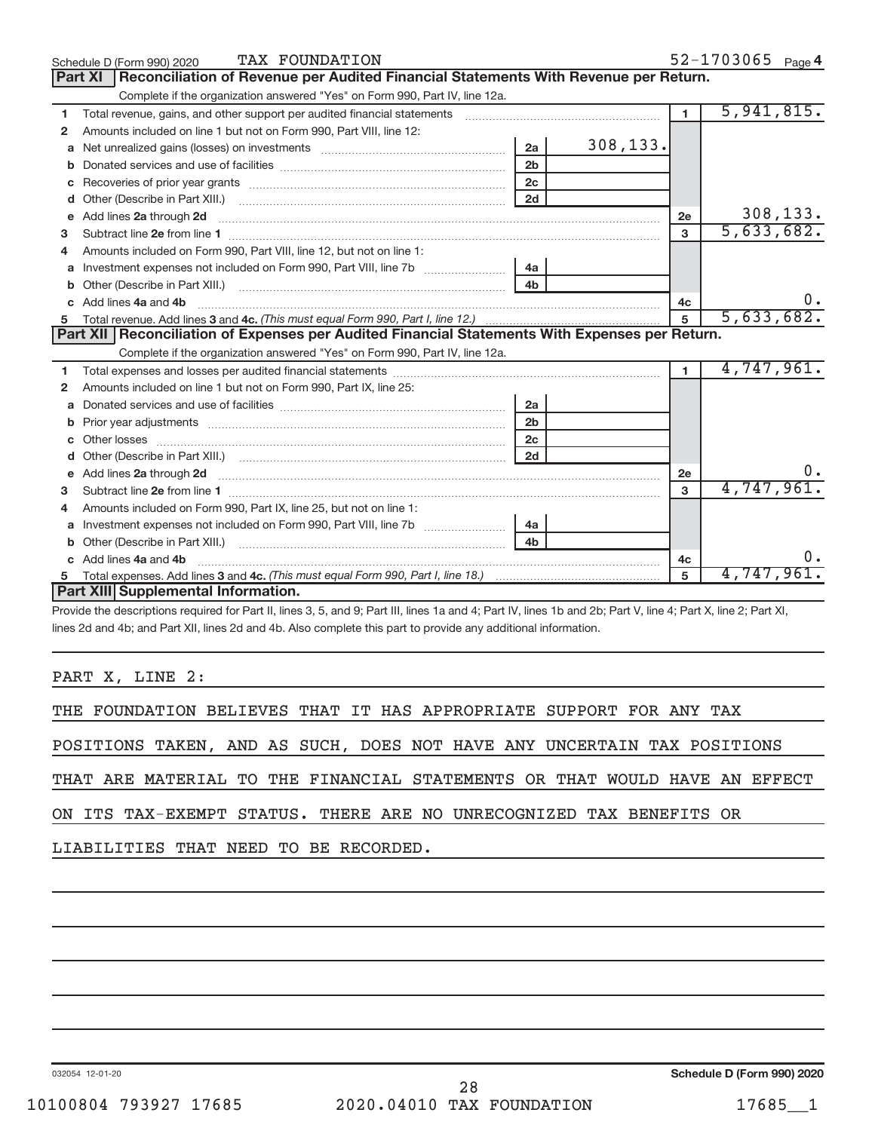|              | <b>TAX FOUNDATION</b><br>Schedule D (Form 990) 2020                                                                                                                                                                                  |                |          |                | 52-1703065 Page 4 |
|--------------|--------------------------------------------------------------------------------------------------------------------------------------------------------------------------------------------------------------------------------------|----------------|----------|----------------|-------------------|
|              | Part XI   Reconciliation of Revenue per Audited Financial Statements With Revenue per Return.                                                                                                                                        |                |          |                |                   |
|              | Complete if the organization answered "Yes" on Form 990, Part IV, line 12a.                                                                                                                                                          |                |          |                |                   |
| 1            | Total revenue, gains, and other support per audited financial statements [[[[[[[[[[[[[[[[[[[[[[[]]]]]]]]]]]]]                                                                                                                        |                |          | 1 <sup>1</sup> | 5,941,815.        |
| 2            | Amounts included on line 1 but not on Form 990, Part VIII, line 12:                                                                                                                                                                  |                |          |                |                   |
| a            |                                                                                                                                                                                                                                      | 2a             | 308,133. |                |                   |
| b            |                                                                                                                                                                                                                                      | 2 <sub>b</sub> |          |                |                   |
| c            |                                                                                                                                                                                                                                      | 2c             |          |                |                   |
| d            |                                                                                                                                                                                                                                      | 2d             |          |                |                   |
| $\mathbf{e}$ | Add lines 2a through 2d <b>Martin Martin Martin Martin Martin Martin Martin Martin Martin Martin Martin Martin Martin Martin Martin Martin Martin Martin Martin Martin Martin Martin Martin Martin Martin Martin Martin Martin M</b> |                |          | 2e             | 308, 133.         |
| 3            |                                                                                                                                                                                                                                      |                |          | $\mathbf{a}$   | 5,633,682.        |
|              | Amounts included on Form 990, Part VIII, line 12, but not on line 1:                                                                                                                                                                 |                |          |                |                   |
| a            |                                                                                                                                                                                                                                      | 4a             |          |                |                   |
|              |                                                                                                                                                                                                                                      | 4 <sub>h</sub> |          |                |                   |
| c.           | Add lines 4a and 4b                                                                                                                                                                                                                  |                |          | 4c             |                   |
| 5            |                                                                                                                                                                                                                                      |                |          | $5^{\circ}$    | 5,633,682.        |
|              | Part XII   Reconciliation of Expenses per Audited Financial Statements With Expenses per Return.                                                                                                                                     |                |          |                |                   |
|              | Complete if the organization answered "Yes" on Form 990, Part IV, line 12a.                                                                                                                                                          |                |          |                |                   |
| 1.           |                                                                                                                                                                                                                                      |                |          | $\blacksquare$ | 4,747,961.        |
| 2            | Amounts included on line 1 but not on Form 990, Part IX, line 25:                                                                                                                                                                    |                |          |                |                   |
| a            |                                                                                                                                                                                                                                      | 2a             |          |                |                   |
|              |                                                                                                                                                                                                                                      | 2 <sub>b</sub> |          |                |                   |
|              |                                                                                                                                                                                                                                      | 2c             |          |                |                   |
|              |                                                                                                                                                                                                                                      | 2d             |          |                |                   |
|              | e Add lines 2a through 2d <b>[10]</b> [10] [10] <b>[10]</b> [10] <b>[10] [10] [10] [10] [10] [10] [10] [10] [10] [10] [10] [10] [10] [10] [10] [10] [10] [10] [10] [10] [10] [10] [10] [10]</b>                                      |                |          | 2e             |                   |
| 3            |                                                                                                                                                                                                                                      |                |          | $\mathbf{a}$   | 4,747,961.        |
| 4            | Amounts included on Form 990, Part IX, line 25, but not on line 1:                                                                                                                                                                   |                |          |                |                   |
| a            |                                                                                                                                                                                                                                      | 4a l           |          |                |                   |
|              |                                                                                                                                                                                                                                      | 4 <sub>h</sub> |          |                |                   |
| $\mathbf{c}$ | Add lines 4a and 4b                                                                                                                                                                                                                  |                |          | 4c             |                   |
|              |                                                                                                                                                                                                                                      |                |          | 5              | 4,747,961.        |
|              | Part XIII Supplemental Information.                                                                                                                                                                                                  |                |          |                |                   |

Provide the descriptions required for Part II, lines 3, 5, and 9; Part III, lines 1a and 4; Part IV, lines 1b and 2b; Part V, line 4; Part X, line 2; Part XI, lines 2d and 4b; and Part XII, lines 2d and 4b. Also complete this part to provide any additional information.

PART X, LINE 2:

|  |  |  |                                       |  | THE FOUNDATION BELIEVES THAT IT HAS APPROPRIATE SUPPORT FOR ANY TAX     |  |  |  |                                                                            |
|--|--|--|---------------------------------------|--|-------------------------------------------------------------------------|--|--|--|----------------------------------------------------------------------------|
|  |  |  |                                       |  | POSITIONS TAKEN, AND AS SUCH, DOES NOT HAVE ANY UNCERTAIN TAX POSITIONS |  |  |  |                                                                            |
|  |  |  |                                       |  |                                                                         |  |  |  | THAT ARE MATERIAL TO THE FINANCIAL STATEMENTS OR THAT WOULD HAVE AN EFFECT |
|  |  |  |                                       |  | ON ITS TAX-EXEMPT STATUS. THERE ARE NO UNRECOGNIZED TAX BENEFITS OR     |  |  |  |                                                                            |
|  |  |  | LIABILITIES THAT NEED TO BE RECORDED. |  |                                                                         |  |  |  |                                                                            |
|  |  |  |                                       |  |                                                                         |  |  |  |                                                                            |

032054 12-01-20

**Schedule D (Form 990) 2020**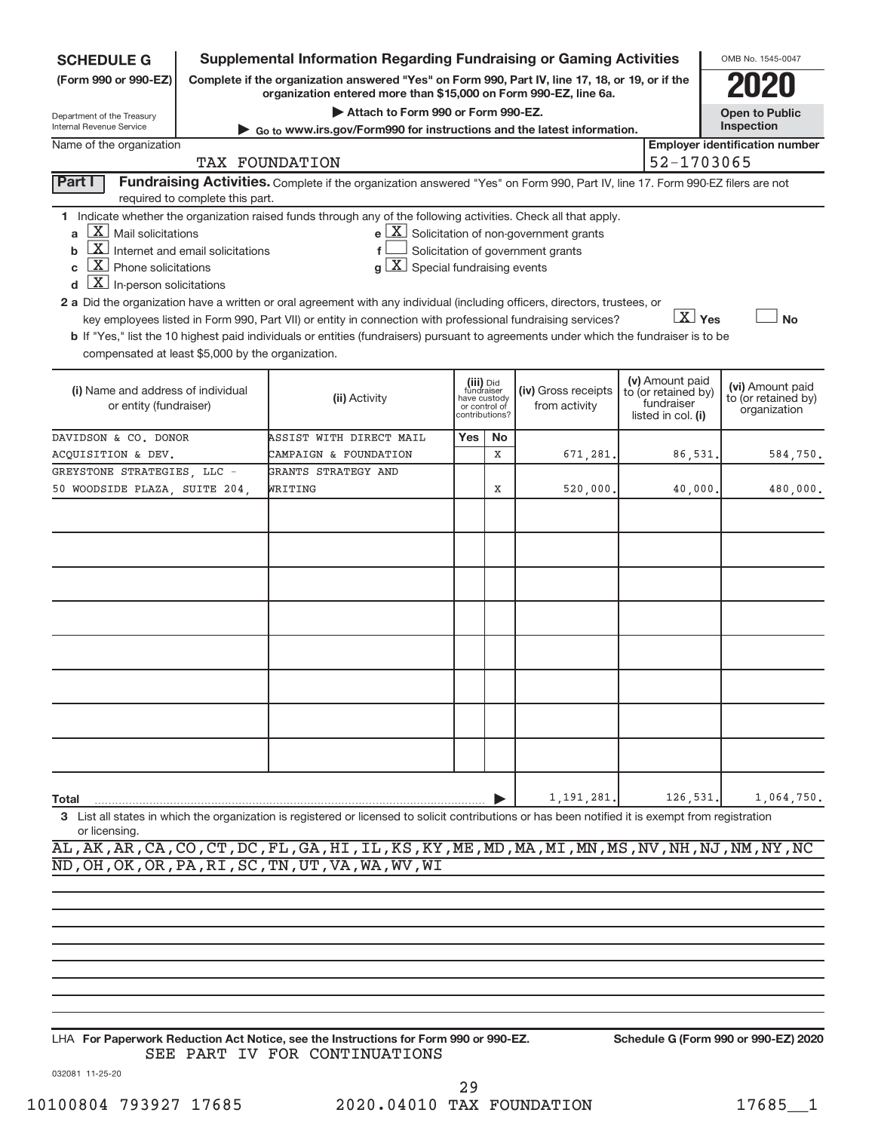| <b>SCHEDULE G</b>                                            |                                  | <b>Supplemental Information Regarding Fundraising or Gaming Activities</b>                                                                                          |     |                                 |                                                              |                                   | OMB No. 1545-0047                     |
|--------------------------------------------------------------|----------------------------------|---------------------------------------------------------------------------------------------------------------------------------------------------------------------|-----|---------------------------------|--------------------------------------------------------------|-----------------------------------|---------------------------------------|
| (Form 990 or 990-EZ)                                         |                                  | Complete if the organization answered "Yes" on Form 990, Part IV, line 17, 18, or 19, or if the<br>organization entered more than \$15,000 on Form 990-EZ, line 6a. |     |                                 |                                                              |                                   |                                       |
| Department of the Treasury                                   |                                  | Attach to Form 990 or Form 990-EZ.                                                                                                                                  |     |                                 |                                                              |                                   | <b>Open to Public</b>                 |
| Internal Revenue Service                                     |                                  | Go to www.irs.gov/Form990 for instructions and the latest information.                                                                                              |     |                                 |                                                              |                                   | Inspection                            |
| Name of the organization                                     |                                  |                                                                                                                                                                     |     |                                 |                                                              |                                   | <b>Employer identification number</b> |
|                                                              |                                  | TAX FOUNDATION                                                                                                                                                      |     |                                 |                                                              | 52-1703065                        |                                       |
| Part I                                                       | required to complete this part.  | Fundraising Activities. Complete if the organization answered "Yes" on Form 990, Part IV, line 17. Form 990-EZ filers are not                                       |     |                                 |                                                              |                                   |                                       |
|                                                              |                                  | 1 Indicate whether the organization raised funds through any of the following activities. Check all that apply.                                                     |     |                                 |                                                              |                                   |                                       |
| $X$ Mail solicitations<br>a                                  |                                  |                                                                                                                                                                     |     |                                 | $e$ $\boxed{\text{X}}$ Solicitation of non-government grants |                                   |                                       |
| $\lfloor x \rfloor$<br>b                                     | Internet and email solicitations |                                                                                                                                                                     |     |                                 | Solicitation of government grants                            |                                   |                                       |
| $\lfloor x \rfloor$ Phone solicitations<br>C                 |                                  | $g\mid X$ Special fundraising events                                                                                                                                |     |                                 |                                                              |                                   |                                       |
| $\lfloor x \rfloor$ In-person solicitations<br>d             |                                  |                                                                                                                                                                     |     |                                 |                                                              |                                   |                                       |
|                                                              |                                  | 2 a Did the organization have a written or oral agreement with any individual (including officers, directors, trustees, or                                          |     |                                 |                                                              |                                   |                                       |
|                                                              |                                  | key employees listed in Form 990, Part VII) or entity in connection with professional fundraising services?                                                         |     |                                 |                                                              | $X \vert Y$ es                    | <b>No</b>                             |
|                                                              |                                  | b If "Yes," list the 10 highest paid individuals or entities (fundraisers) pursuant to agreements under which the fundraiser is to be                               |     |                                 |                                                              |                                   |                                       |
| compensated at least \$5,000 by the organization.            |                                  |                                                                                                                                                                     |     |                                 |                                                              |                                   |                                       |
|                                                              |                                  |                                                                                                                                                                     |     |                                 |                                                              |                                   |                                       |
|                                                              |                                  |                                                                                                                                                                     |     | (iii) Did<br>fundraiser         |                                                              | (v) Amount paid                   | (vi) Amount paid                      |
| (i) Name and address of individual<br>or entity (fundraiser) |                                  | (ii) Activity                                                                                                                                                       |     | have custody                    | (iv) Gross receipts<br>from activity                         | to (or retained by)<br>fundraiser | to (or retained by)                   |
|                                                              |                                  |                                                                                                                                                                     |     | or control of<br>contributions? |                                                              | listed in col. (i)                | organization                          |
| DAVIDSON & CO. DONOR                                         |                                  | ASSIST WITH DIRECT MAIL                                                                                                                                             | Yes | <b>No</b>                       |                                                              |                                   |                                       |
| ACQUISITION & DEV.                                           |                                  | CAMPAIGN & FOUNDATION                                                                                                                                               |     | X                               | 671,281.                                                     | 86,531                            | 584,750.                              |
| GREYSTONE STRATEGIES, LLC -                                  |                                  | GRANTS STRATEGY AND                                                                                                                                                 |     |                                 |                                                              |                                   |                                       |
| 50 WOODSIDE PLAZA, SUITE 204,                                |                                  | WRITING                                                                                                                                                             |     | х                               | 520,000.                                                     | 40,000                            | 480,000.                              |
|                                                              |                                  |                                                                                                                                                                     |     |                                 |                                                              |                                   |                                       |
|                                                              |                                  |                                                                                                                                                                     |     |                                 |                                                              |                                   |                                       |
|                                                              |                                  |                                                                                                                                                                     |     |                                 |                                                              |                                   |                                       |
|                                                              |                                  |                                                                                                                                                                     |     |                                 |                                                              |                                   |                                       |
|                                                              |                                  |                                                                                                                                                                     |     |                                 |                                                              |                                   |                                       |
|                                                              |                                  |                                                                                                                                                                     |     |                                 |                                                              |                                   |                                       |
|                                                              |                                  |                                                                                                                                                                     |     |                                 |                                                              |                                   |                                       |
|                                                              |                                  |                                                                                                                                                                     |     |                                 |                                                              |                                   |                                       |
|                                                              |                                  |                                                                                                                                                                     |     |                                 |                                                              |                                   |                                       |
|                                                              |                                  |                                                                                                                                                                     |     |                                 |                                                              |                                   |                                       |
|                                                              |                                  |                                                                                                                                                                     |     |                                 |                                                              |                                   |                                       |
|                                                              |                                  |                                                                                                                                                                     |     |                                 |                                                              |                                   |                                       |
|                                                              |                                  |                                                                                                                                                                     |     |                                 |                                                              |                                   |                                       |
|                                                              |                                  |                                                                                                                                                                     |     |                                 |                                                              |                                   |                                       |
|                                                              |                                  |                                                                                                                                                                     |     |                                 |                                                              |                                   |                                       |
|                                                              |                                  |                                                                                                                                                                     |     |                                 |                                                              |                                   |                                       |
|                                                              |                                  |                                                                                                                                                                     |     |                                 |                                                              |                                   |                                       |
|                                                              |                                  |                                                                                                                                                                     |     |                                 |                                                              |                                   |                                       |
| Total                                                        |                                  |                                                                                                                                                                     |     |                                 | 1,191,281.                                                   | 126,531.                          | 1,064,750.                            |
|                                                              |                                  | 3 List all states in which the organization is registered or licensed to solicit contributions or has been notified it is exempt from registration                  |     |                                 |                                                              |                                   |                                       |
| or licensing.                                                |                                  |                                                                                                                                                                     |     |                                 |                                                              |                                   |                                       |
|                                                              |                                  | AL, AK, AR, CA, CO, CT, DC, FL, GA, HI, IL, KS, KY, ME, MD, MA, MI, MN, MS, NV, NH, NJ, NM, NY, NC                                                                  |     |                                 |                                                              |                                   |                                       |

ND,OH,OK,OR,PA,RI,SC,TN,UT,VA,WA,WV,WI

**For Paperwork Reduction Act Notice, see the Instructions for Form 990 or 990-EZ. Schedule G (Form 990 or 990-EZ) 2020** LHA SEE PART IV FOR CONTINUATIONS

032081 11-25-20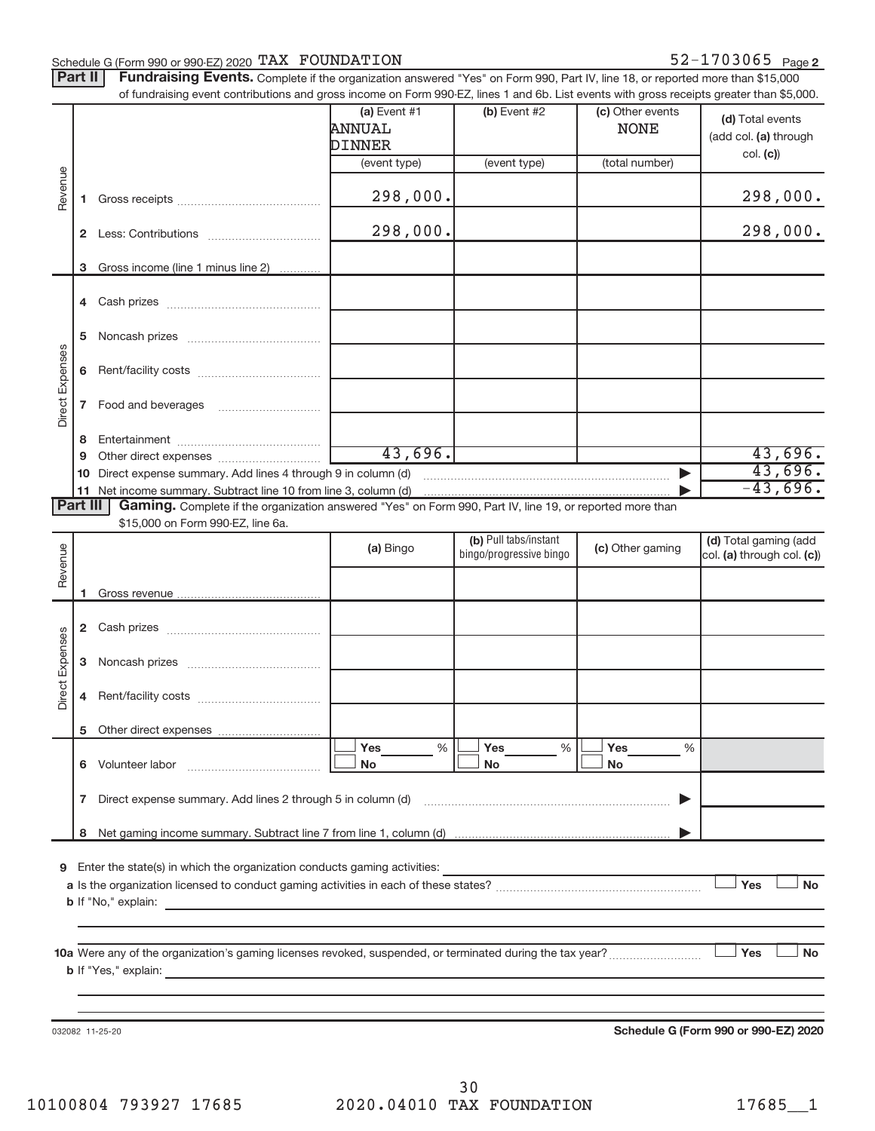#### Schedule G (Form 990 or 990-EZ) 2020  $\texttt{TAX}$   $\texttt{FOUNDATION}$   $\texttt{S2--1703065}$   $\texttt{Page}$

Part II | Fundraising Events. Complete if the organization answered "Yes" on Form 990, Part IV, line 18, or reported more than \$15,000

|                 |              | of fundraising event contributions and gross income on Form 990-EZ, lines 1 and 6b. List events with gross receipts greater than \$5,000.     |                                                |                         |                                 |                                           |
|-----------------|--------------|-----------------------------------------------------------------------------------------------------------------------------------------------|------------------------------------------------|-------------------------|---------------------------------|-------------------------------------------|
|                 |              |                                                                                                                                               | (a) Event #1<br><b>ANNUAL</b><br><b>DINNER</b> | (b) Event #2            | (c) Other events<br><b>NONE</b> | (d) Total events<br>(add col. (a) through |
|                 |              |                                                                                                                                               | (event type)                                   | (event type)            | (total number)                  | col. (c)                                  |
| Revenue         | 1            |                                                                                                                                               | 298,000.                                       |                         |                                 | 298,000.                                  |
|                 | $\mathbf{2}$ |                                                                                                                                               | 298,000.                                       |                         |                                 | 298,000.                                  |
|                 |              |                                                                                                                                               |                                                |                         |                                 |                                           |
|                 | 3            | Gross income (line 1 minus line 2)                                                                                                            |                                                |                         |                                 |                                           |
|                 | 4            |                                                                                                                                               |                                                |                         |                                 |                                           |
|                 | 5            |                                                                                                                                               |                                                |                         |                                 |                                           |
|                 | 6            |                                                                                                                                               |                                                |                         |                                 |                                           |
| Direct Expenses | 7            | Food and beverages                                                                                                                            |                                                |                         |                                 |                                           |
|                 | 8            |                                                                                                                                               |                                                |                         |                                 |                                           |
|                 | 9            |                                                                                                                                               | 43,696.                                        |                         |                                 | 43,696.                                   |
|                 | 10           | Direct expense summary. Add lines 4 through 9 in column (d)                                                                                   |                                                |                         |                                 | 43,696.                                   |
|                 | 11           |                                                                                                                                               |                                                |                         |                                 | $-43,696.$                                |
| <b>Part III</b> |              | Gaming. Complete if the organization answered "Yes" on Form 990, Part IV, line 19, or reported more than<br>\$15,000 on Form 990-EZ, line 6a. |                                                |                         |                                 |                                           |
|                 |              |                                                                                                                                               |                                                | (b) Pull tabs/instant   |                                 | (d) Total gaming (add                     |
| Revenue         |              |                                                                                                                                               | (a) Bingo                                      | bingo/progressive bingo | (c) Other gaming                | col. (a) through col. (c))                |
|                 |              |                                                                                                                                               |                                                |                         |                                 |                                           |
|                 | 1            |                                                                                                                                               |                                                |                         |                                 |                                           |
|                 | 2            |                                                                                                                                               |                                                |                         |                                 |                                           |
| Direct Expenses | 3            |                                                                                                                                               |                                                |                         |                                 |                                           |
|                 | 4            |                                                                                                                                               |                                                |                         |                                 |                                           |
|                 |              |                                                                                                                                               |                                                |                         |                                 |                                           |
|                 |              |                                                                                                                                               | %<br>Yes                                       | Yes<br>%                | Yes<br>$\frac{0}{0}$            |                                           |
|                 | 6.           | Volunteer labor                                                                                                                               | No                                             | <b>No</b>               | No                              |                                           |
|                 | $\mathbf{7}$ | Direct expense summary. Add lines 2 through 5 in column (d)                                                                                   |                                                |                         | ▶                               |                                           |
|                 |              |                                                                                                                                               |                                                |                         |                                 |                                           |
|                 |              |                                                                                                                                               |                                                |                         |                                 |                                           |
| 9               |              | Enter the state(s) in which the organization conducts gaming activities:                                                                      |                                                |                         |                                 | Yes<br><b>No</b>                          |
|                 |              |                                                                                                                                               |                                                |                         |                                 |                                           |
|                 |              |                                                                                                                                               |                                                |                         |                                 |                                           |
|                 |              | 10a Were any of the organization's gaming licenses revoked, suspended, or terminated during the tax year?                                     |                                                |                         |                                 | Yes<br>No                                 |
|                 |              | b If "Yes," explain:                                                                                                                          |                                                |                         |                                 |                                           |
|                 |              |                                                                                                                                               |                                                |                         |                                 |                                           |
|                 |              |                                                                                                                                               |                                                |                         |                                 |                                           |
|                 |              | 032082 11-25-20                                                                                                                               |                                                |                         |                                 | Schedule G (Form 990 or 990-EZ) 2020      |

**Schedule G (Form 990 or 990-EZ) 2020**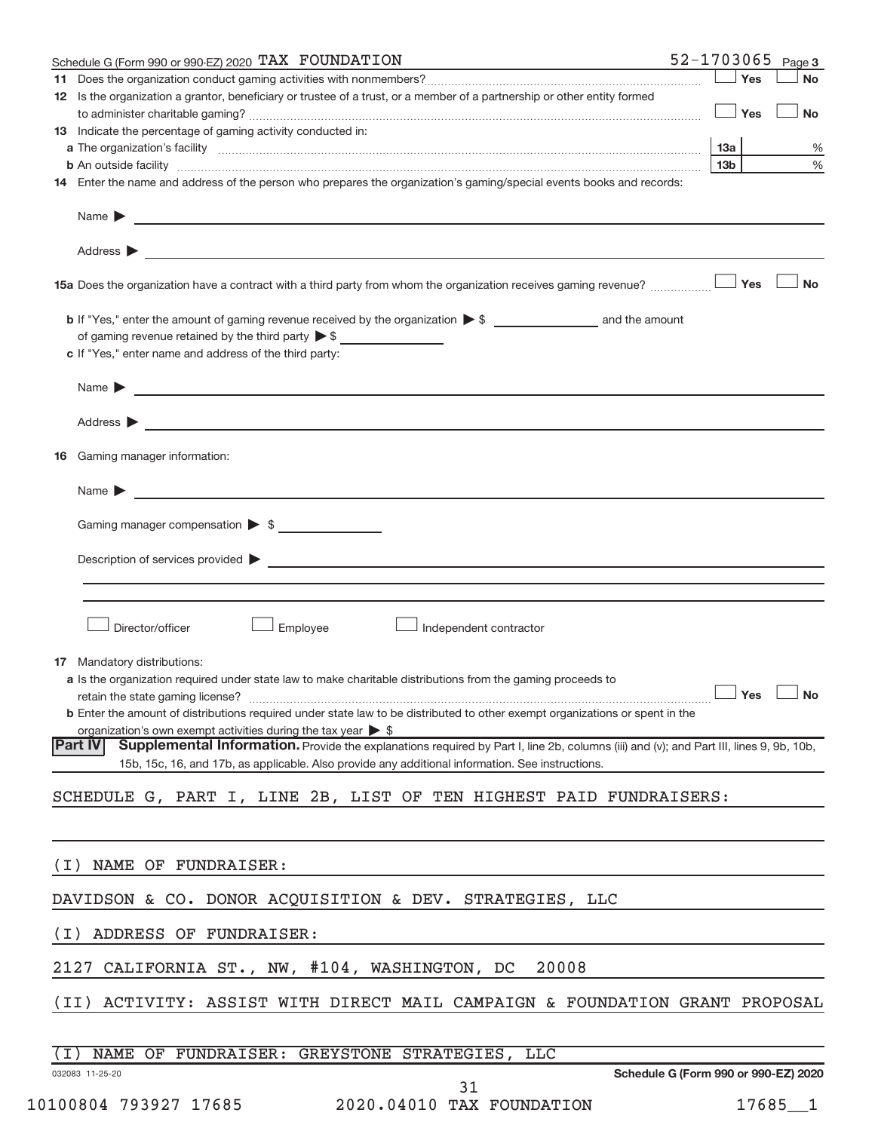|     | Schedule G (Form 990 or 990-EZ) 2020 TAX FOUNDATION                                                                                                                                                                                  | 52-1703065 Page 3                    |           |
|-----|--------------------------------------------------------------------------------------------------------------------------------------------------------------------------------------------------------------------------------------|--------------------------------------|-----------|
|     |                                                                                                                                                                                                                                      | Yes                                  | <b>No</b> |
|     | 12 Is the organization a grantor, beneficiary or trustee of a trust, or a member of a partnership or other entity formed                                                                                                             |                                      |           |
|     |                                                                                                                                                                                                                                      | Yes                                  | <b>No</b> |
|     | 13 Indicate the percentage of gaming activity conducted in:                                                                                                                                                                          |                                      |           |
|     | a The organization's facility www.communication.communications.com/international/                                                                                                                                                    | 13a                                  | %         |
|     | b An outside facility www.communications.com/communications.com/communications.com/communications.com/communications.com/communications.com/communications.com/communications.com/communications.com/communications.com/commun       | 13 <sub>b</sub>                      | $\%$      |
|     | 14 Enter the name and address of the person who prepares the organization's gaming/special events books and records:                                                                                                                 |                                      |           |
|     | Name $\sum_{n=1}^{\infty}$                                                                                                                                                                                                           |                                      |           |
|     |                                                                                                                                                                                                                                      |                                      |           |
|     | 15a Does the organization have a contract with a third party from whom the organization receives gaming revenue?                                                                                                                     | Yes                                  | <b>No</b> |
|     |                                                                                                                                                                                                                                      |                                      |           |
|     | of gaming revenue retained by the third party $\triangleright$ \$                                                                                                                                                                    |                                      |           |
|     | c If "Yes," enter name and address of the third party:                                                                                                                                                                               |                                      |           |
|     | Name $\sum_{n=1}^{\infty}$                                                                                                                                                                                                           |                                      |           |
|     |                                                                                                                                                                                                                                      |                                      |           |
|     | 16 Gaming manager information:                                                                                                                                                                                                       |                                      |           |
|     |                                                                                                                                                                                                                                      |                                      |           |
|     | Name $\blacktriangleright$<br><u> 1989 - Johann Barn, fransk politik amerikansk politik (d. 1989)</u>                                                                                                                                |                                      |           |
|     | Gaming manager compensation > \$                                                                                                                                                                                                     |                                      |           |
|     | Description of services provided <b>Denote the Constantine Constantine Constantine Constantine Constantine Constantine Constantine Constantine Constantine Constantine Constantine Constantine Constantine Constantine Constanti</b> |                                      |           |
|     |                                                                                                                                                                                                                                      |                                      |           |
|     |                                                                                                                                                                                                                                      |                                      |           |
|     | Director/officer<br>Employee<br>$\perp$ Independent contractor                                                                                                                                                                       |                                      |           |
|     |                                                                                                                                                                                                                                      |                                      |           |
|     | 17 Mandatory distributions:                                                                                                                                                                                                          |                                      |           |
|     | a Is the organization required under state law to make charitable distributions from the gaming proceeds to                                                                                                                          |                                      |           |
|     | retain the state gaming license? $\Box$ No<br><b>b</b> Enter the amount of distributions required under state law to be distributed to other exempt organizations or spent in the                                                    |                                      |           |
|     | organization's own exempt activities during the tax year $\triangleright$ \$                                                                                                                                                         |                                      |           |
|     | Supplemental Information. Provide the explanations required by Part I, line 2b, columns (iii) and (v); and Part III, lines 9, 9b, 10b,<br><b>Part IV</b>                                                                             |                                      |           |
|     | 15b, 15c, 16, and 17b, as applicable. Also provide any additional information. See instructions.                                                                                                                                     |                                      |           |
|     | SCHEDULE G, PART I, LINE 2B, LIST OF TEN HIGHEST PAID FUNDRAISERS:                                                                                                                                                                   |                                      |           |
|     |                                                                                                                                                                                                                                      |                                      |           |
|     | (I) NAME OF FUNDRAISER:                                                                                                                                                                                                              |                                      |           |
|     | DAVIDSON & CO. DONOR ACQUISITION & DEV. STRATEGIES, LLC                                                                                                                                                                              |                                      |           |
| (T) | ADDRESS OF FUNDRAISER:                                                                                                                                                                                                               |                                      |           |
|     | 2127 CALIFORNIA ST., NW, #104, WASHINGTON, DC<br>20008                                                                                                                                                                               |                                      |           |
|     |                                                                                                                                                                                                                                      |                                      |           |
|     | ACTIVITY: ASSIST WITH DIRECT MAIL CAMPAIGN & FOUNDATION GRANT PROPOSAL<br>(TI)                                                                                                                                                       |                                      |           |
| (I  | OF FUNDRAISER: GREYSTONE STRATEGIES, LLC<br><b>NAME</b>                                                                                                                                                                              |                                      |           |
|     | 032083 11-25-20                                                                                                                                                                                                                      | Schedule G (Form 990 or 990-EZ) 2020 |           |
|     | 31                                                                                                                                                                                                                                   |                                      |           |

<sup>10100804 793927 17685 2020.04010</sup> TAX FOUNDATION 17685\_\_1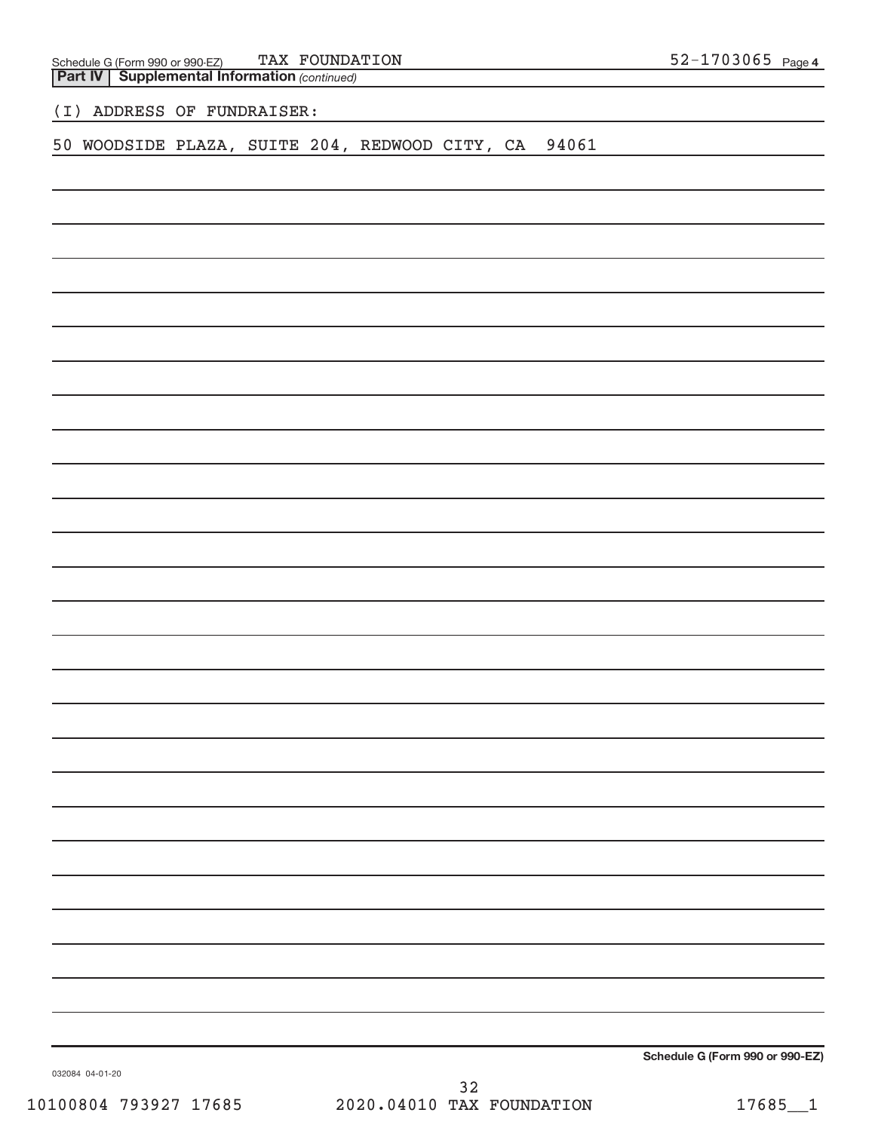| Schedule G (Form 990 or 990-EZ) | TAX | FOUNDATION | 703065<br>∵ – ∠ ر | Page 4 |
|---------------------------------|-----|------------|-------------------|--------|
|                                 |     |            |                   |        |

**Part IV** | Supplemental Information (continued)

(I) ADDRESS OF FUNDRAISER:

50 WOODSIDE PLAZA, SUITE 204, REDWOOD CITY, CA 94061

**Schedule G (Form 990 or 990-EZ)**

032084 04-01-20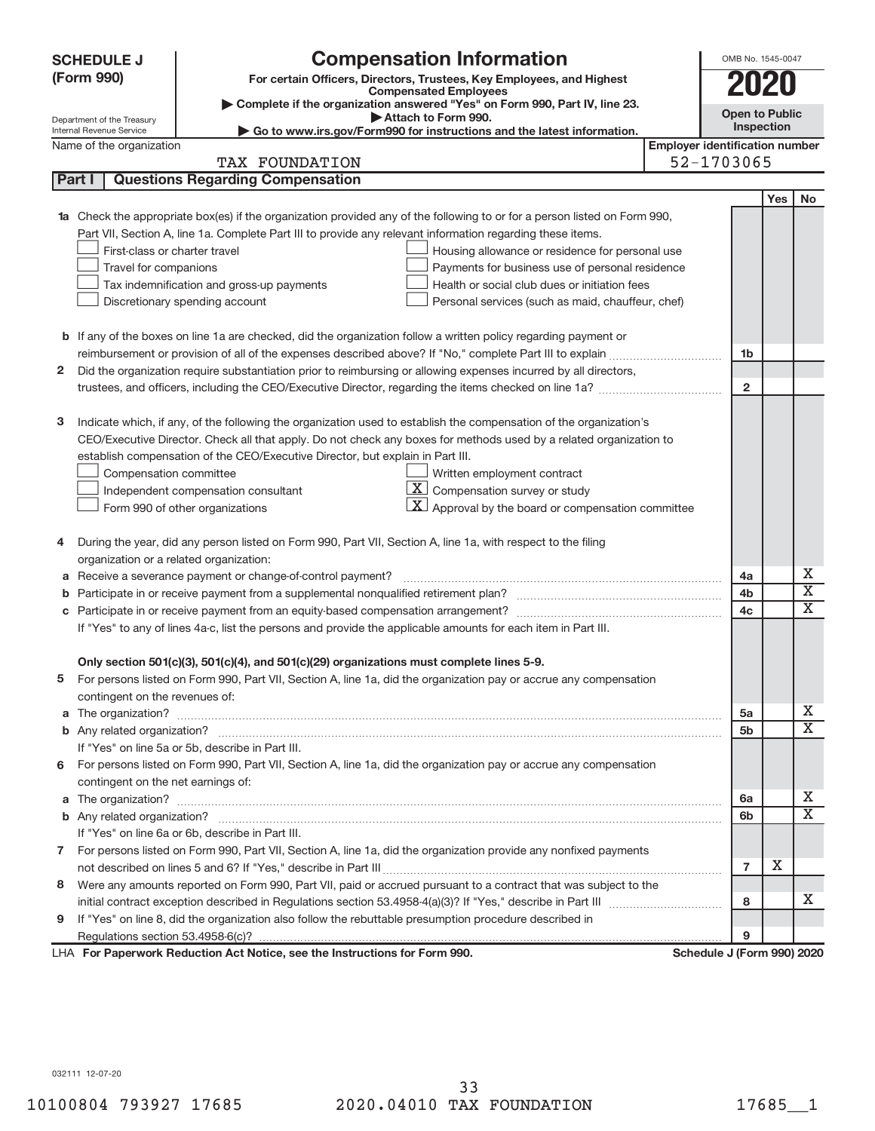|              | <b>SCHEDULE J</b>                       | <b>Compensation Information</b>                                                                                           |                                       | OMB No. 1545-0047          |     |                         |
|--------------|-----------------------------------------|---------------------------------------------------------------------------------------------------------------------------|---------------------------------------|----------------------------|-----|-------------------------|
|              | (Form 990)                              | For certain Officers, Directors, Trustees, Key Employees, and Highest                                                     |                                       |                            |     |                         |
|              |                                         | <b>Compensated Employees</b><br>Complete if the organization answered "Yes" on Form 990, Part IV, line 23.                |                                       |                            |     |                         |
|              | Department of the Treasury              | Attach to Form 990.                                                                                                       |                                       | <b>Open to Public</b>      |     |                         |
|              | Internal Revenue Service                | Go to www.irs.gov/Form990 for instructions and the latest information.                                                    |                                       | <b>Inspection</b>          |     |                         |
|              | Name of the organization                |                                                                                                                           | <b>Employer identification number</b> |                            |     |                         |
|              |                                         | TAX FOUNDATION                                                                                                            |                                       | 52-1703065                 |     |                         |
|              | Part I                                  | <b>Questions Regarding Compensation</b>                                                                                   |                                       |                            |     |                         |
|              |                                         |                                                                                                                           |                                       |                            | Yes | No                      |
|              |                                         | 1a Check the appropriate box(es) if the organization provided any of the following to or for a person listed on Form 990, |                                       |                            |     |                         |
|              |                                         | Part VII, Section A, line 1a. Complete Part III to provide any relevant information regarding these items.                |                                       |                            |     |                         |
|              | First-class or charter travel           | Housing allowance or residence for personal use                                                                           |                                       |                            |     |                         |
|              | Travel for companions                   | Payments for business use of personal residence                                                                           |                                       |                            |     |                         |
|              |                                         | Health or social club dues or initiation fees<br>Tax indemnification and gross-up payments                                |                                       |                            |     |                         |
|              |                                         | Discretionary spending account<br>Personal services (such as maid, chauffeur, chef)                                       |                                       |                            |     |                         |
|              |                                         |                                                                                                                           |                                       |                            |     |                         |
|              |                                         | <b>b</b> If any of the boxes on line 1a are checked, did the organization follow a written policy regarding payment or    |                                       |                            |     |                         |
|              |                                         |                                                                                                                           |                                       | 1 <sub>b</sub>             |     |                         |
| $\mathbf{2}$ |                                         | Did the organization require substantiation prior to reimbursing or allowing expenses incurred by all directors,          |                                       |                            |     |                         |
|              |                                         |                                                                                                                           |                                       | $\overline{2}$             |     |                         |
|              |                                         |                                                                                                                           |                                       |                            |     |                         |
| 3            |                                         | Indicate which, if any, of the following the organization used to establish the compensation of the organization's        |                                       |                            |     |                         |
|              |                                         | CEO/Executive Director. Check all that apply. Do not check any boxes for methods used by a related organization to        |                                       |                            |     |                         |
|              |                                         | establish compensation of the CEO/Executive Director, but explain in Part III.                                            |                                       |                            |     |                         |
|              | Compensation committee                  | Written employment contract                                                                                               |                                       |                            |     |                         |
|              |                                         | $ \mathbf{X} $ Compensation survey or study<br>Independent compensation consultant                                        |                                       |                            |     |                         |
|              |                                         | $ \mathbf{X} $ Approval by the board or compensation committee<br>Form 990 of other organizations                         |                                       |                            |     |                         |
|              |                                         |                                                                                                                           |                                       |                            |     |                         |
| 4            |                                         | During the year, did any person listed on Form 990, Part VII, Section A, line 1a, with respect to the filing              |                                       |                            |     |                         |
|              | organization or a related organization: |                                                                                                                           |                                       |                            |     |                         |
| а            |                                         | Receive a severance payment or change of control payment?                                                                 |                                       | 4a                         |     | х                       |
| b            |                                         |                                                                                                                           |                                       | 4b                         |     | $\overline{\textbf{X}}$ |
| С            |                                         |                                                                                                                           |                                       | 4c                         |     | $\overline{\text{X}}$   |
|              |                                         | If "Yes" to any of lines 4a-c, list the persons and provide the applicable amounts for each item in Part III.             |                                       |                            |     |                         |
|              |                                         |                                                                                                                           |                                       |                            |     |                         |
|              |                                         | Only section 501(c)(3), 501(c)(4), and 501(c)(29) organizations must complete lines 5-9.                                  |                                       |                            |     |                         |
|              |                                         | For persons listed on Form 990, Part VII, Section A, line 1a, did the organization pay or accrue any compensation         |                                       |                            |     |                         |
|              | contingent on the revenues of:          |                                                                                                                           |                                       |                            |     |                         |
|              |                                         |                                                                                                                           |                                       | 5a                         |     | х                       |
|              |                                         |                                                                                                                           |                                       | 5b                         |     | X                       |
|              |                                         | If "Yes" on line 5a or 5b, describe in Part III.                                                                          |                                       |                            |     |                         |
| 6            |                                         | For persons listed on Form 990, Part VII, Section A, line 1a, did the organization pay or accrue any compensation         |                                       |                            |     |                         |
|              | contingent on the net earnings of:      |                                                                                                                           |                                       |                            |     |                         |
|              |                                         |                                                                                                                           |                                       | 6a                         |     | х                       |
|              |                                         |                                                                                                                           |                                       | 6b                         |     | $\overline{\mathbf{X}}$ |
|              |                                         | If "Yes" on line 6a or 6b, describe in Part III.                                                                          |                                       |                            |     |                         |
|              |                                         | 7 For persons listed on Form 990, Part VII, Section A, line 1a, did the organization provide any nonfixed payments        |                                       |                            |     |                         |
|              |                                         |                                                                                                                           |                                       | $\overline{7}$             | Χ   |                         |
|              |                                         | 8 Were any amounts reported on Form 990, Part VII, paid or accrued pursuant to a contract that was subject to the         |                                       |                            |     |                         |
|              |                                         |                                                                                                                           |                                       | 8                          |     | x                       |
| 9            |                                         | If "Yes" on line 8, did the organization also follow the rebuttable presumption procedure described in                    |                                       |                            |     |                         |
|              |                                         |                                                                                                                           |                                       | 9                          |     |                         |
|              |                                         | LHA For Paperwork Reduction Act Notice, see the Instructions for Form 990.                                                |                                       | Schedule J (Form 990) 2020 |     |                         |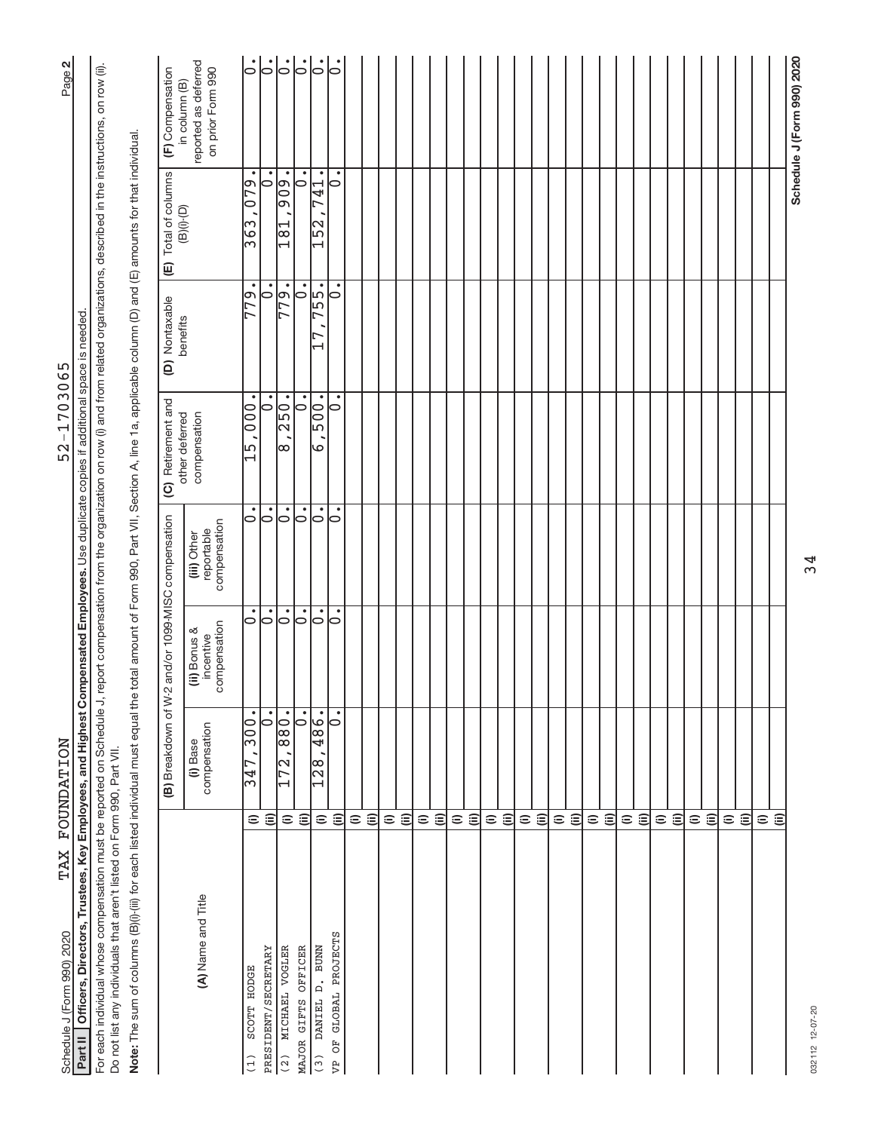| Schedule J (Form 990) 2020                                                                                                                                                                              |                    | TAX FOUNDATION                                   |                                                    |                                                 | 52-1703065                                                                                                         |                            |                                                 | $\mathbf{N}$<br>Page:                     |
|---------------------------------------------------------------------------------------------------------------------------------------------------------------------------------------------------------|--------------------|--------------------------------------------------|----------------------------------------------------|-------------------------------------------------|--------------------------------------------------------------------------------------------------------------------|----------------------------|-------------------------------------------------|-------------------------------------------|
| Officers, Directors, Trustees, Key Employees, and Highest Compensated Employees. Use duplicate copies if additional space is needed<br>PartII                                                           |                    |                                                  |                                                    |                                                 |                                                                                                                    |                            |                                                 |                                           |
| For each individual whose compensation must be reported on Schedule J, report compensation from the organization on row (i) and from related organizations, described in the instructions, on row (ii). |                    |                                                  |                                                    |                                                 |                                                                                                                    |                            |                                                 |                                           |
| Note: The sum of columns (B)(i)-(iii) for each listed individual must equal the<br>Do not list any individuals that aren't listed on Form 990, Part VII.                                                |                    |                                                  |                                                    |                                                 | total amount of Form 990, Part VII, Section A, line 1a, applicable column (D) and (E) amounts for that individual. |                            |                                                 |                                           |
|                                                                                                                                                                                                         |                    |                                                  |                                                    |                                                 |                                                                                                                    |                            |                                                 |                                           |
|                                                                                                                                                                                                         |                    |                                                  | (B) Breakdown of W-2 and/or 1099-MISC compensation |                                                 | (C) Retirement and<br>other deferred                                                                               | (D) Nontaxable<br>benefits | <b>(E)</b> Total of columns<br>$(B)(i)$ - $(D)$ | (F) Compensation<br>in column (B)         |
| (A) Name and Title                                                                                                                                                                                      |                    | compensation<br>(i) Base                         | compensation<br>(ii) Bonus &<br>incentive          | compensation<br>reportable<br>(iii) Other       | compensation                                                                                                       |                            |                                                 | reported as deferred<br>on prior Form 990 |
| SCOTT HODGE<br>(1)                                                                                                                                                                                      | $\widehat{=}$      | $\overline{300}$ .<br>347,                       | $\bullet$<br>0                                     | $\bullet$<br>0                                  | 15,000.                                                                                                            | $\bullet$<br>779           | 079<br>363                                      | $\dot{\overline{6}}$                      |
| PRESIDENT/SECRETARY                                                                                                                                                                                     | $\widehat{\equiv}$ | $\dot{\circ}$                                    | $\dot{\circ}$                                      | $\overline{\overline{\cdot}}$                   | $\overline{\phantom{0}}$                                                                                           | $\dot{\circ}$              | $\dot{\circ}$                                   | $  \cdot \rangle$                         |
| MICHAEL VOGLER<br>(2)                                                                                                                                                                                   | $\widehat{=}$      | $\overline{\phantom{0}880}$ .<br>$\overline{72}$ | $\dot{\circ}$                                      | $\ddot{\circ}$                                  | 250.<br>l∞                                                                                                         | 79.                        | $-606$<br>181                                   | $ \cdot $                                 |
| MAJOR GIFTS OFFICER                                                                                                                                                                                     | $\widehat{\equiv}$ | $ .\rangle$                                      | $\overline{\cdot}$                                 | $\dot{\circ}$                                   | $\bullet$<br>0                                                                                                     | $\frac{1}{\circ}$          | $\overline{\bullet}$                            |                                           |
| DANIEL D. BUNN<br>(3)                                                                                                                                                                                   | $\widehat{=}$      | 486.<br>$\frac{18}{3}$                           | $\dot{\circ}$                                      | $\overline{\overline{\overline{}}\overline{0}}$ | 500.<br>ما                                                                                                         | 755.                       | 741.<br>152                                     | $\dot{\circ}$                             |
| VP OF GLOBAL PROJECTS                                                                                                                                                                                   | $\widehat{\equiv}$ | $\bullet$<br>0                                   | 10                                                 | $\bullet$<br>10                                 | $\bullet$<br>0                                                                                                     | 0                          | 0                                               | 10                                        |
|                                                                                                                                                                                                         | $\widehat{=}$      |                                                  |                                                    |                                                 |                                                                                                                    |                            |                                                 |                                           |
|                                                                                                                                                                                                         | $\widehat{\equiv}$ |                                                  |                                                    |                                                 |                                                                                                                    |                            |                                                 |                                           |
|                                                                                                                                                                                                         | $\widehat{=}$      |                                                  |                                                    |                                                 |                                                                                                                    |                            |                                                 |                                           |
|                                                                                                                                                                                                         | $\widehat{\equiv}$ |                                                  |                                                    |                                                 |                                                                                                                    |                            |                                                 |                                           |
|                                                                                                                                                                                                         | $\widehat{=}$      |                                                  |                                                    |                                                 |                                                                                                                    |                            |                                                 |                                           |
|                                                                                                                                                                                                         | $\widehat{\equiv}$ |                                                  |                                                    |                                                 |                                                                                                                    |                            |                                                 |                                           |
|                                                                                                                                                                                                         | $\widehat{=}$      |                                                  |                                                    |                                                 |                                                                                                                    |                            |                                                 |                                           |
|                                                                                                                                                                                                         | $\widehat{\equiv}$ |                                                  |                                                    |                                                 |                                                                                                                    |                            |                                                 |                                           |
|                                                                                                                                                                                                         | $\widehat{=}$      |                                                  |                                                    |                                                 |                                                                                                                    |                            |                                                 |                                           |
|                                                                                                                                                                                                         | $\widehat{\equiv}$ |                                                  |                                                    |                                                 |                                                                                                                    |                            |                                                 |                                           |
|                                                                                                                                                                                                         | $\widehat{=}$      |                                                  |                                                    |                                                 |                                                                                                                    |                            |                                                 |                                           |
|                                                                                                                                                                                                         | $\widehat{\Xi}$    |                                                  |                                                    |                                                 |                                                                                                                    |                            |                                                 |                                           |
|                                                                                                                                                                                                         | $\widehat{=}$      |                                                  |                                                    |                                                 |                                                                                                                    |                            |                                                 |                                           |
|                                                                                                                                                                                                         | $\widehat{\equiv}$ |                                                  |                                                    |                                                 |                                                                                                                    |                            |                                                 |                                           |
|                                                                                                                                                                                                         | $\widehat{=}$      |                                                  |                                                    |                                                 |                                                                                                                    |                            |                                                 |                                           |
|                                                                                                                                                                                                         | $\widehat{\equiv}$ |                                                  |                                                    |                                                 |                                                                                                                    |                            |                                                 |                                           |
|                                                                                                                                                                                                         | $\widehat{=}$      |                                                  |                                                    |                                                 |                                                                                                                    |                            |                                                 |                                           |
|                                                                                                                                                                                                         | $\widehat{\equiv}$ |                                                  |                                                    |                                                 |                                                                                                                    |                            |                                                 |                                           |
|                                                                                                                                                                                                         | $\widehat{=}$      |                                                  |                                                    |                                                 |                                                                                                                    |                            |                                                 |                                           |
|                                                                                                                                                                                                         | $\widehat{\equiv}$ |                                                  |                                                    |                                                 |                                                                                                                    |                            |                                                 |                                           |
|                                                                                                                                                                                                         | $\widehat{=}$      |                                                  |                                                    |                                                 |                                                                                                                    |                            |                                                 |                                           |
|                                                                                                                                                                                                         | $\widehat{\equiv}$ |                                                  |                                                    |                                                 |                                                                                                                    |                            |                                                 |                                           |
|                                                                                                                                                                                                         | $\widehat{=}$      |                                                  |                                                    |                                                 |                                                                                                                    |                            |                                                 |                                           |
|                                                                                                                                                                                                         | $\widehat{\equiv}$ |                                                  |                                                    |                                                 |                                                                                                                    |                            |                                                 |                                           |
|                                                                                                                                                                                                         | $\widehat{=}$      |                                                  |                                                    |                                                 |                                                                                                                    |                            |                                                 |                                           |
|                                                                                                                                                                                                         | $\widehat{\equiv}$ |                                                  |                                                    |                                                 |                                                                                                                    |                            |                                                 |                                           |
|                                                                                                                                                                                                         |                    |                                                  |                                                    |                                                 |                                                                                                                    |                            |                                                 | Schedule J (Form 990) 2020                |

34

032112 12-07-20 032112 12-07-20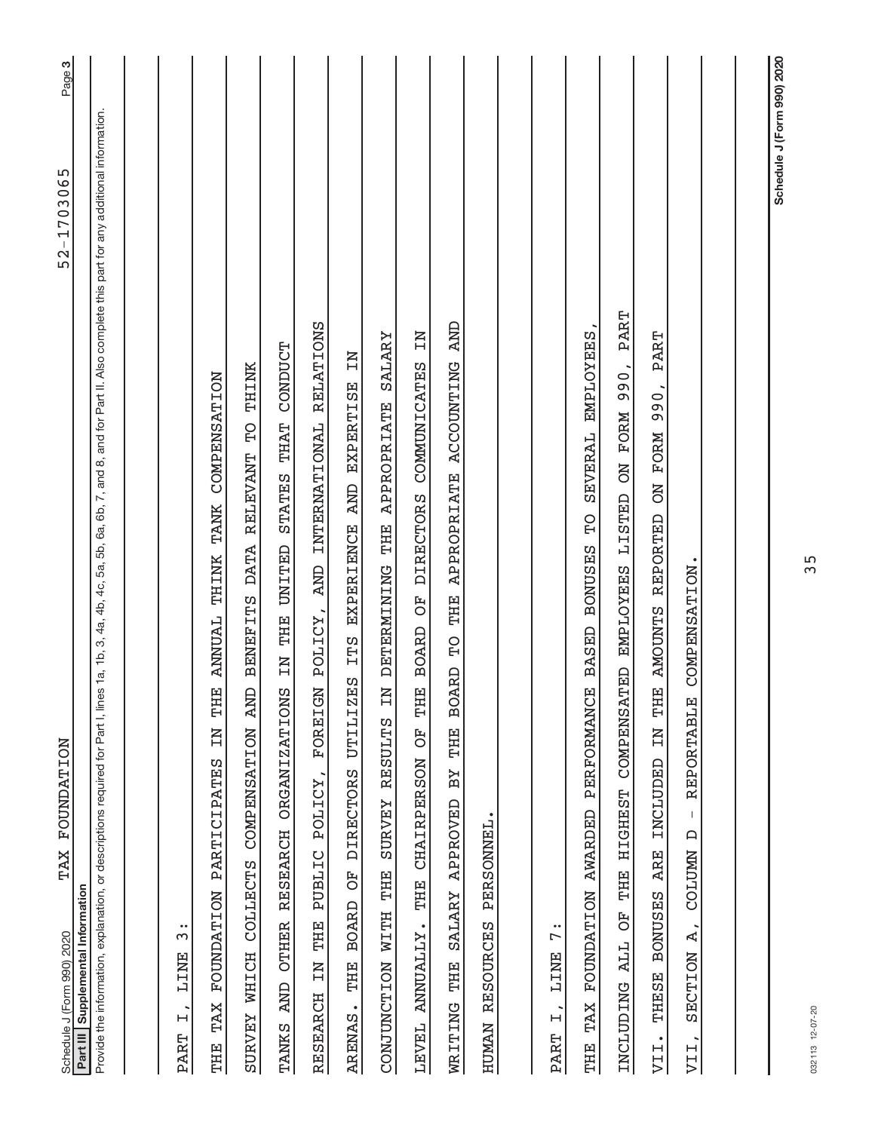| <b>NOINDATION</b><br>TAX<br>Schedule J (Form 990) 2020                                                                                                                                                                                             | Page 3<br>1703065<br>$\mathbf{I}$<br>$\overline{N}$<br>ഥ |
|----------------------------------------------------------------------------------------------------------------------------------------------------------------------------------------------------------------------------------------------------|----------------------------------------------------------|
| 1a, 1b, 3, 4a, 4b, 4c, 5a, 5b, 6a, 6b, 7, and 8, and for Part II. Also complete this part for any additional information.<br>Provide the information, explanation, or descriptions required for Part I, lines<br>Part III Supplemental Information |                                                          |
|                                                                                                                                                                                                                                                    |                                                          |
| $\bullet$<br>$\infty$<br>LINE<br>$\overrightarrow{H}$<br>PART                                                                                                                                                                                      |                                                          |
| ANNUAL THINK TANK COMPENSATION<br>THE<br>ΣI<br>FOUNDATION PARTICIPATES<br>TAX<br>THE                                                                                                                                                               |                                                          |
| THINK<br>$\Omega$<br><b>RELEVANT</b><br><b>DATA</b><br><b>BENEFITS</b><br><b>AND</b><br>COMPENSATION<br>COLLECTS<br><b>WHICH</b><br><b>SURVEY</b>                                                                                                  |                                                          |
| CONDUCT<br>THAT<br>UNITED STATES<br>IN THE<br><b>ORGANIZATIONS</b><br><b>RESEARCH</b><br><b>OTHER</b><br><b>AND</b><br><b>TANKS</b>                                                                                                                |                                                          |
| <b>RELATIONS</b><br><b>INTERNATIONAL</b><br><b>AND</b><br>POLICY,<br>FOREIGN<br>POLICY,<br>PUBLIC<br>THE<br>ΣZ<br><b>RESEARCH</b>                                                                                                                  |                                                          |
| ΣI<br>AND EXPERTISE<br>EXPERIENCE<br><b>TTS</b><br>CΩ<br>DIRECTORS UTILIZE<br>FO<br><b>BOARD</b><br>THE<br>ARENAS.                                                                                                                                 |                                                          |
| SALARY<br><b>APPROPRIATE</b><br>THE<br>DETERMINING<br>ΣZ<br><b>RESULTS</b><br><b>SURVEY</b><br>THE<br><b>HILM NOILON MILH</b>                                                                                                                      |                                                          |
| ΣZ<br>DIRECTORS COMMUNICATES<br>FIO<br><b>BOARD</b><br>THE<br>FO<br>O<br><b>CHAIRPERSON</b><br>THE<br>ANNUALLY.<br>LEVEL                                                                                                                           |                                                          |
| <b>AND</b><br>APPROPRIATE ACCOUNTING<br>BOARD TO THE<br>THE<br>ВY<br><b>APPROVED</b><br>SALARY<br>THE<br>WRITTING                                                                                                                                  |                                                          |
| PERSONNEL<br><b>RESOURCES</b><br><b>NAMOH</b>                                                                                                                                                                                                      |                                                          |
|                                                                                                                                                                                                                                                    |                                                          |
| $\ddot{ }$ .<br>LINE<br>$\overline{H}$<br>PART                                                                                                                                                                                                     |                                                          |
| SEVERAL EMPLOYEES<br>$\overline{C}$<br><b>BONUSES</b><br><b>BASED</b><br>PERFORMANCE<br><b>AWARDED</b><br><b>FOUNDATION</b><br>TAX<br>THE                                                                                                          |                                                          |
| PART<br>990,<br><b>FORM</b><br><b>NO GRISIT</b><br><b>EMPLOYEES</b><br>日<br>COMPENSAT<br><b>HIGHEST</b><br>THE<br>FO<br>O<br>ALL<br><b>INCLUDING</b>                                                                                               |                                                          |
| PART<br>990,<br><b>FORM</b><br>NO<br><b>REPORTED</b><br><b>AMOUNTS</b><br>THE<br>ΣZ<br>INCLUDED<br><b>ARE</b><br><b>BONUSES</b><br>THESE<br>$\bullet$<br>VII                                                                                       |                                                          |
| COMPENSATION.<br>REPORTABLE<br>$\mathsf{L}$<br>$\Box$<br><b>COLUMN</b><br>$\mathbb{A}$ ,<br><b>NATION</b><br><b>LIA</b>                                                                                                                            |                                                          |
|                                                                                                                                                                                                                                                    |                                                          |
|                                                                                                                                                                                                                                                    |                                                          |
|                                                                                                                                                                                                                                                    | Schedule J (Form 990) 2020                               |

35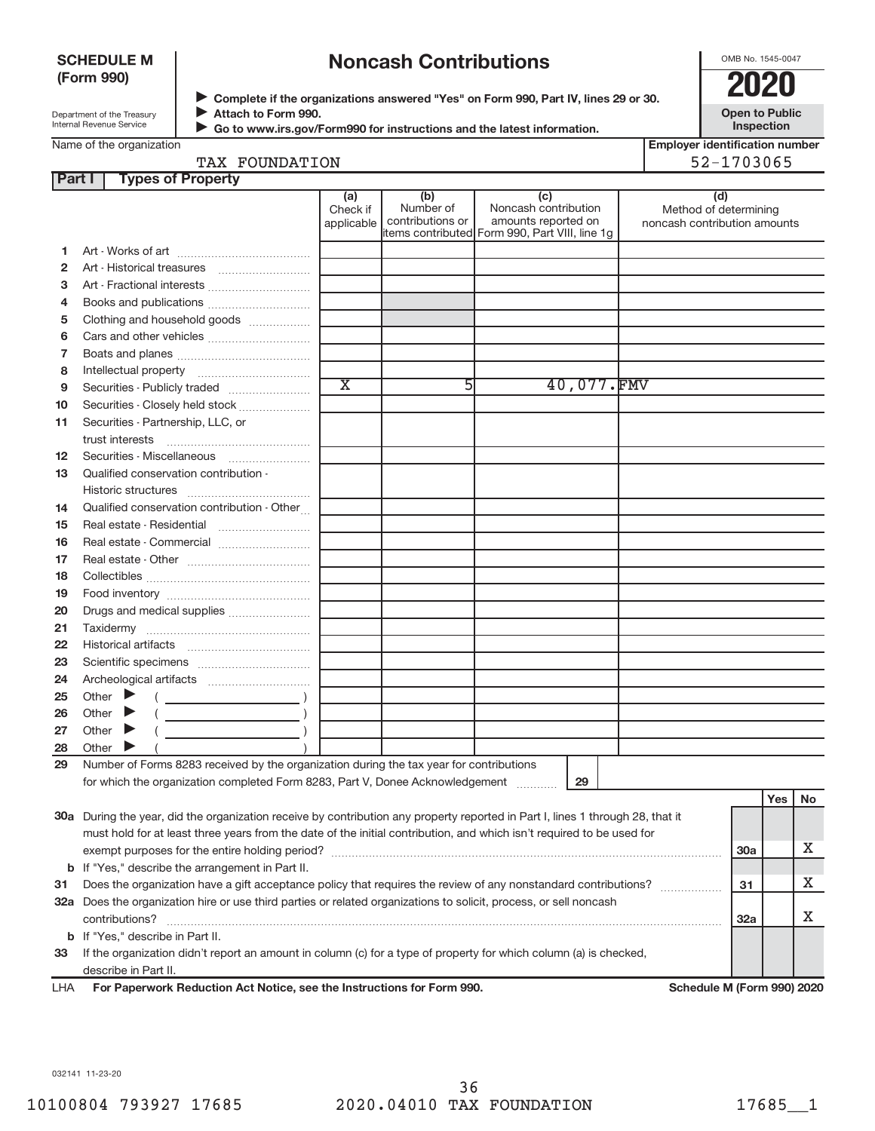#### **SCHEDULE M (Form 990)**

## **Noncash Contributions**

OMB No. 1545-0047

**Employer identification number**

Department of the Treasury Internal Revenue Service

◆ Complete if the organizations answered "Yes" on Form 990, Part IV, lines 29 or 30.<br>● Complete if the organizations answered "Yes" on Form 990, Part IV, lines 29 or 30. **Attach to Form 990.**  $\blacktriangleright$ 

 **Go to www.irs.gov/Form990 for instructions and the latest information.**

**Open to Public Inspection**

Name of the organization

#### TAX FOUNDATION 52-1703065

 $\blacktriangleright$ 

| Part I | <b>Types of Property</b>                                                                                                                                                                                                                  |                               |                                      |                                                    |                                                              |     |     |    |  |
|--------|-------------------------------------------------------------------------------------------------------------------------------------------------------------------------------------------------------------------------------------------|-------------------------------|--------------------------------------|----------------------------------------------------|--------------------------------------------------------------|-----|-----|----|--|
|        |                                                                                                                                                                                                                                           | (a)<br>Check if<br>applicable | (b)<br>Number of<br>contributions or | (c)<br>Noncash contribution<br>amounts reported on | (d)<br>Method of determining<br>noncash contribution amounts |     |     |    |  |
|        |                                                                                                                                                                                                                                           |                               |                                      | items contributed Form 990, Part VIII, line 1g     |                                                              |     |     |    |  |
| 1.     |                                                                                                                                                                                                                                           |                               |                                      |                                                    |                                                              |     |     |    |  |
| 2      |                                                                                                                                                                                                                                           |                               |                                      |                                                    |                                                              |     |     |    |  |
| з      | Art - Fractional interests                                                                                                                                                                                                                |                               |                                      |                                                    |                                                              |     |     |    |  |
| 4      | Books and publications                                                                                                                                                                                                                    |                               |                                      |                                                    |                                                              |     |     |    |  |
| 5      | Clothing and household goods                                                                                                                                                                                                              |                               |                                      |                                                    |                                                              |     |     |    |  |
| 6      | Cars and other vehicles                                                                                                                                                                                                                   |                               |                                      |                                                    |                                                              |     |     |    |  |
| 7      |                                                                                                                                                                                                                                           |                               |                                      |                                                    |                                                              |     |     |    |  |
| 8      |                                                                                                                                                                                                                                           | $\overline{\textnormal{x}}$   | 5                                    | 40,077.FMV                                         |                                                              |     |     |    |  |
| 9      | Securities - Publicly traded                                                                                                                                                                                                              |                               |                                      |                                                    |                                                              |     |     |    |  |
| 10     | Securities - Closely held stock                                                                                                                                                                                                           |                               |                                      |                                                    |                                                              |     |     |    |  |
| 11     | Securities - Partnership, LLC, or<br>trust interests                                                                                                                                                                                      |                               |                                      |                                                    |                                                              |     |     |    |  |
| 12     |                                                                                                                                                                                                                                           |                               |                                      |                                                    |                                                              |     |     |    |  |
| 13     | Qualified conservation contribution -                                                                                                                                                                                                     |                               |                                      |                                                    |                                                              |     |     |    |  |
|        |                                                                                                                                                                                                                                           |                               |                                      |                                                    |                                                              |     |     |    |  |
| 14     | Qualified conservation contribution - Other                                                                                                                                                                                               |                               |                                      |                                                    |                                                              |     |     |    |  |
| 15     | Real estate - Residential                                                                                                                                                                                                                 |                               |                                      |                                                    |                                                              |     |     |    |  |
| 16     | Real estate - Commercial                                                                                                                                                                                                                  |                               |                                      |                                                    |                                                              |     |     |    |  |
| 17     |                                                                                                                                                                                                                                           |                               |                                      |                                                    |                                                              |     |     |    |  |
| 18     |                                                                                                                                                                                                                                           |                               |                                      |                                                    |                                                              |     |     |    |  |
| 19     |                                                                                                                                                                                                                                           |                               |                                      |                                                    |                                                              |     |     |    |  |
| 20     | Drugs and medical supplies                                                                                                                                                                                                                |                               |                                      |                                                    |                                                              |     |     |    |  |
| 21     |                                                                                                                                                                                                                                           |                               |                                      |                                                    |                                                              |     |     |    |  |
| 22     |                                                                                                                                                                                                                                           |                               |                                      |                                                    |                                                              |     |     |    |  |
| 23     |                                                                                                                                                                                                                                           |                               |                                      |                                                    |                                                              |     |     |    |  |
| 24     |                                                                                                                                                                                                                                           |                               |                                      |                                                    |                                                              |     |     |    |  |
| 25     | Other $\blacktriangleright$                                                                                                                                                                                                               |                               |                                      |                                                    |                                                              |     |     |    |  |
| 26     | Other                                                                                                                                                                                                                                     |                               |                                      |                                                    |                                                              |     |     |    |  |
| 27     | Other                                                                                                                                                                                                                                     |                               |                                      |                                                    |                                                              |     |     |    |  |
| 28     | Other                                                                                                                                                                                                                                     |                               |                                      |                                                    |                                                              |     |     |    |  |
| 29     | Number of Forms 8283 received by the organization during the tax year for contributions                                                                                                                                                   |                               |                                      |                                                    |                                                              |     |     |    |  |
|        | for which the organization completed Form 8283, Part V, Donee Acknowledgement                                                                                                                                                             |                               |                                      | 29                                                 |                                                              |     |     |    |  |
|        |                                                                                                                                                                                                                                           |                               |                                      |                                                    |                                                              |     | Yes | No |  |
|        | 30a During the year, did the organization receive by contribution any property reported in Part I, lines 1 through 28, that it                                                                                                            |                               |                                      |                                                    |                                                              |     |     |    |  |
|        | must hold for at least three years from the date of the initial contribution, and which isn't required to be used for                                                                                                                     |                               |                                      |                                                    |                                                              |     |     |    |  |
|        |                                                                                                                                                                                                                                           |                               |                                      |                                                    |                                                              | 30a |     | x  |  |
|        | <b>b</b> If "Yes," describe the arrangement in Part II.                                                                                                                                                                                   |                               |                                      |                                                    |                                                              |     |     | x  |  |
| 31     | Does the organization have a gift acceptance policy that requires the review of any nonstandard contributions?<br>31<br>32a Does the organization hire or use third parties or related organizations to solicit, process, or sell noncash |                               |                                      |                                                    |                                                              |     |     |    |  |
|        | contributions?                                                                                                                                                                                                                            |                               |                                      |                                                    |                                                              | 32a |     | х  |  |
|        | b If "Yes," describe in Part II.                                                                                                                                                                                                          |                               |                                      |                                                    |                                                              |     |     |    |  |
|        |                                                                                                                                                                                                                                           |                               |                                      |                                                    |                                                              |     |     |    |  |

**33** If the organization didn't report an amount in column (c) for a type of property for which column (a) is checked, describe in Part II.

**For Paperwork Reduction Act Notice, see the Instructions for Form 990. Schedule M (Form 990) 2020** LHA

032141 11-23-20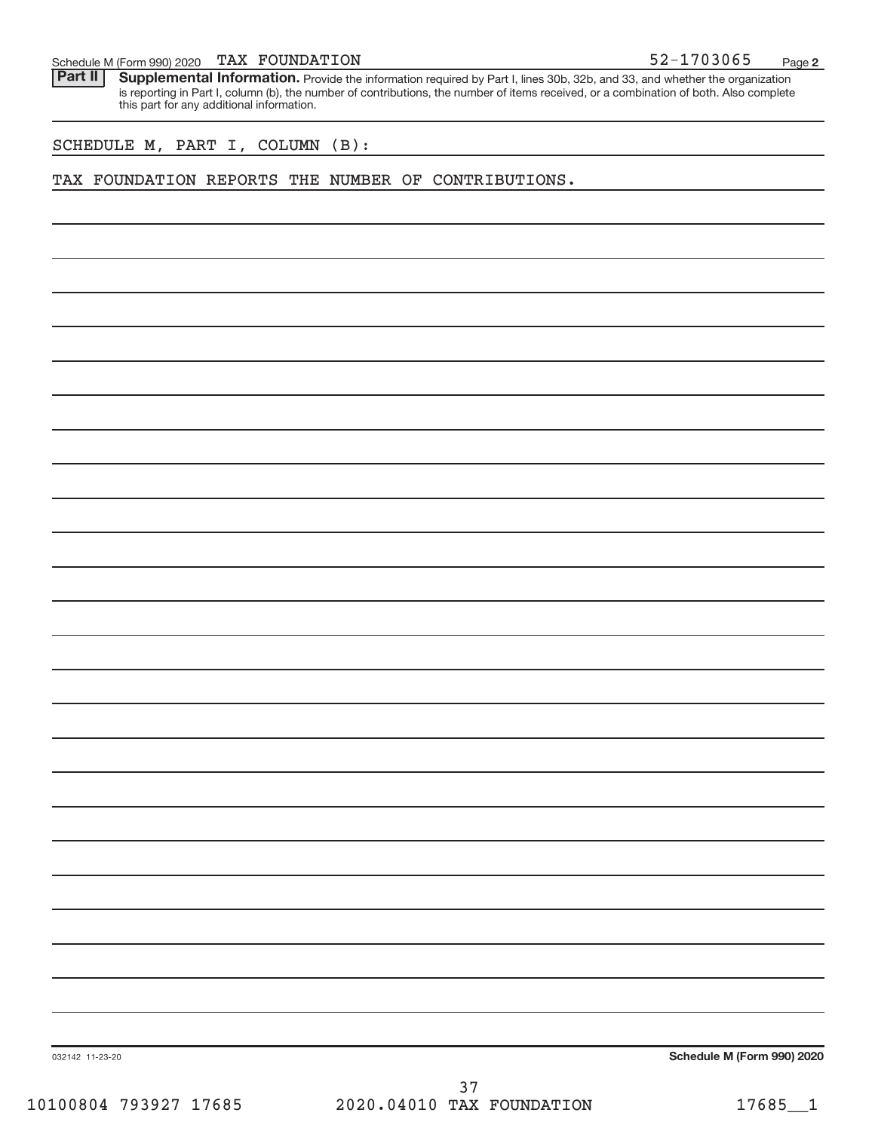| Schedule M (Form 990) 2020 |  |  | TAX FOUNDATION | $-1703065$<br>$52 - 1$ | Page |  |
|----------------------------|--|--|----------------|------------------------|------|--|
|----------------------------|--|--|----------------|------------------------|------|--|

Part II | Supplemental Information. Provide the information required by Part I, lines 30b, 32b, and 33, and whether the organization is reporting in Part I, column (b), the number of contributions, the number of items received, or a combination of both. Also complete this part for any additional information.

SCHEDULE M, PART I, COLUMN (B):

#### TAX FOUNDATION REPORTS THE NUMBER OF CONTRIBUTIONS.

**Schedule M (Form 990) 2020**

032142 11-23-20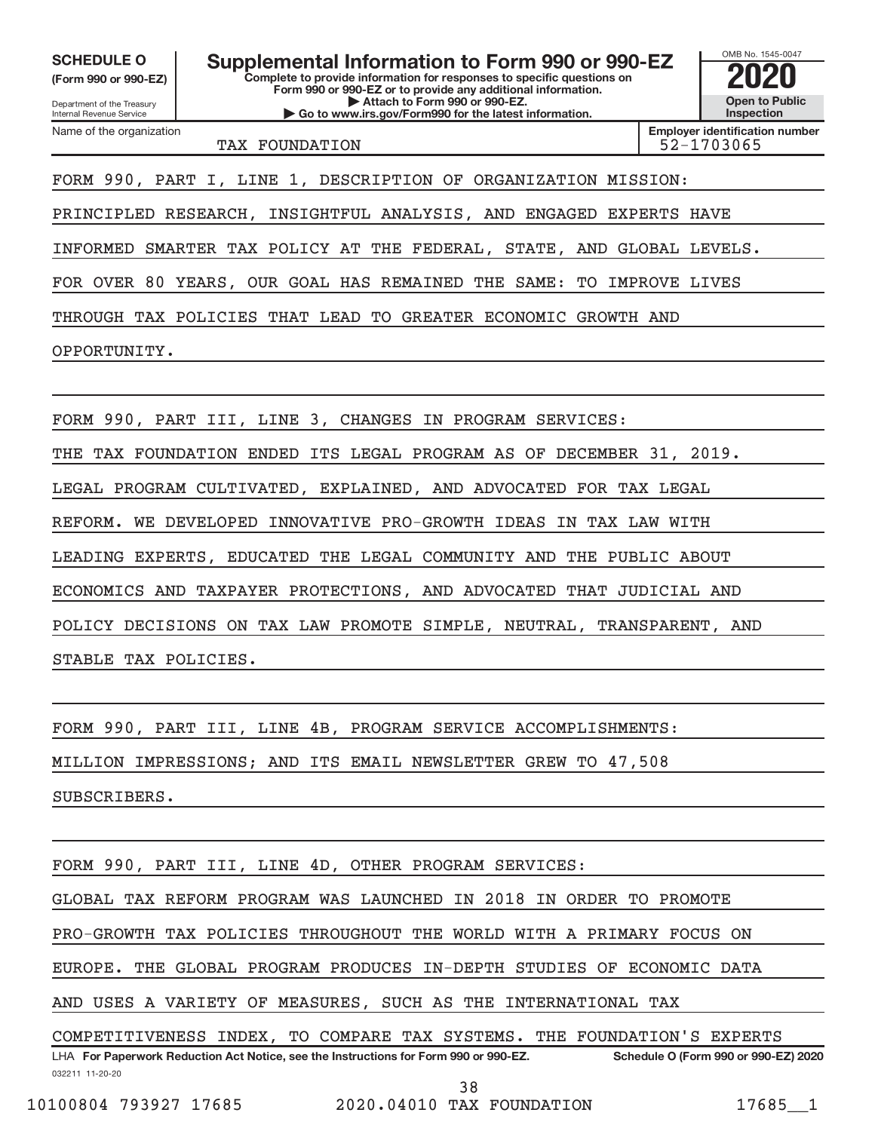Department of the Treasury **(Form 990 or 990-EZ)**

Name of the organization

Internal Revenue Service

**Complete to provide information for responses to specific questions on Form 990 or 990-EZ or to provide any additional information. | Attach to Form 990 or 990-EZ. | Go to www.irs.gov/Form990 for the latest information. SCHEDULE O Supplemental Information to Form 990 or 990-EZ 2020**<br>(Form 990 or 990-EZ) **2020** 

TAX FOUNDATION 52-1703065

**Employer identification number**

OMB No. 1545-0047

**Open to Public Inspection**

FORM 990, PART I, LINE 1, DESCRIPTION OF ORGANIZATION MISSION:

PRINCIPLED RESEARCH, INSIGHTFUL ANALYSIS, AND ENGAGED EXPERTS HAVE

INFORMED SMARTER TAX POLICY AT THE FEDERAL, STATE, AND GLOBAL LEVELS.

FOR OVER 80 YEARS, OUR GOAL HAS REMAINED THE SAME: TO IMPROVE LIVES

THROUGH TAX POLICIES THAT LEAD TO GREATER ECONOMIC GROWTH AND

OPPORTUNITY.

FORM 990, PART III, LINE 3, CHANGES IN PROGRAM SERVICES:

THE TAX FOUNDATION ENDED ITS LEGAL PROGRAM AS OF DECEMBER 31, 2019.

LEGAL PROGRAM CULTIVATED, EXPLAINED, AND ADVOCATED FOR TAX LEGAL

REFORM. WE DEVELOPED INNOVATIVE PRO-GROWTH IDEAS IN TAX LAW WITH

LEADING EXPERTS, EDUCATED THE LEGAL COMMUNITY AND THE PUBLIC ABOUT

ECONOMICS AND TAXPAYER PROTECTIONS, AND ADVOCATED THAT JUDICIAL AND

POLICY DECISIONS ON TAX LAW PROMOTE SIMPLE, NEUTRAL, TRANSPARENT, AND

STABLE TAX POLICIES.

FORM 990, PART III, LINE 4B, PROGRAM SERVICE ACCOMPLISHMENTS:

MILLION IMPRESSIONS; AND ITS EMAIL NEWSLETTER GREW TO 47,508

SUBSCRIBERS.

FORM 990, PART III, LINE 4D, OTHER PROGRAM SERVICES:

GLOBAL TAX REFORM PROGRAM WAS LAUNCHED IN 2018 IN ORDER TO PROMOTE

PRO-GROWTH TAX POLICIES THROUGHOUT THE WORLD WITH A PRIMARY FOCUS ON

EUROPE. THE GLOBAL PROGRAM PRODUCES IN-DEPTH STUDIES OF ECONOMIC DATA

AND USES A VARIETY OF MEASURES, SUCH AS THE INTERNATIONAL TAX

**For Paperwork Reduction Act Notice, see the Instructions for Form 990 or 990-EZ. Schedule O (Form 990 or 990-EZ) 2020** LHA COMPETITIVENESS INDEX, TO COMPARE TAX SYSTEMS. THE FOUNDATION'S EXPERTS

032211 11-20-20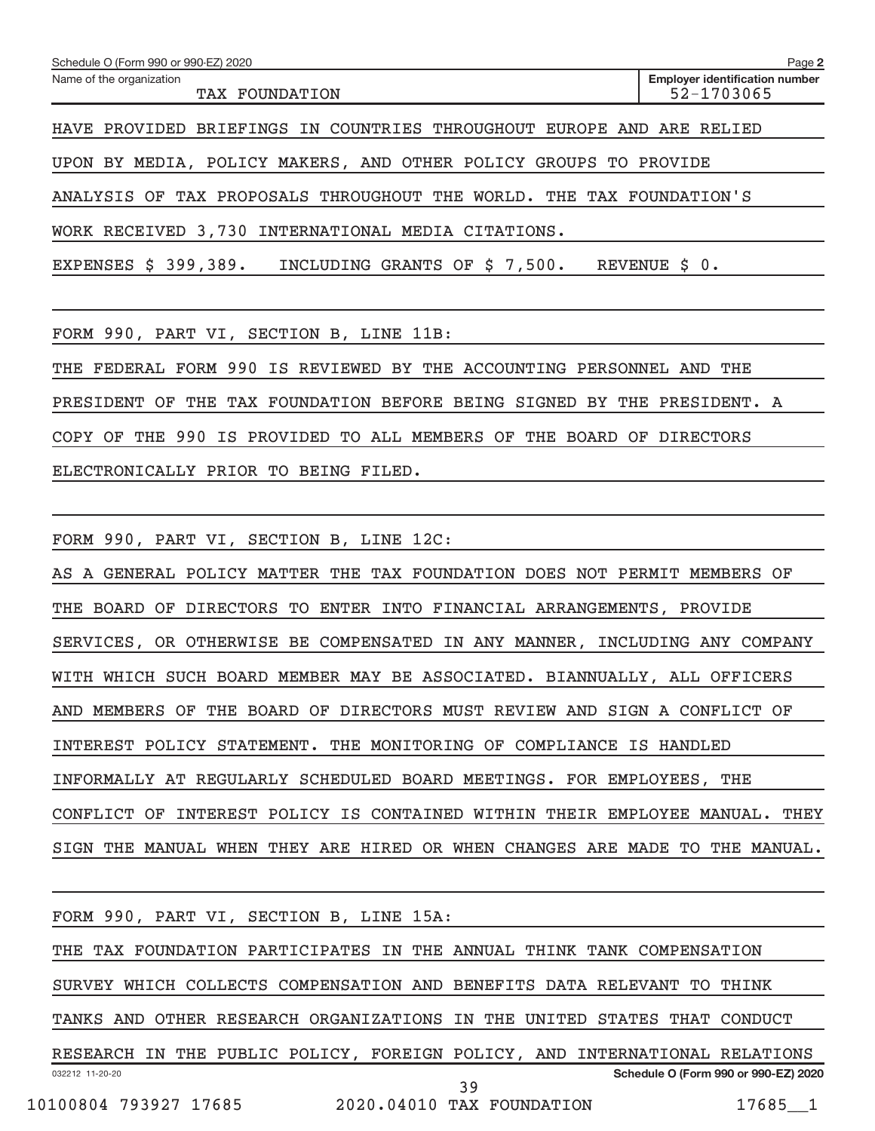| Schedule O (Form 990 or 990-EZ) 2020                                  | Page 2                                              |
|-----------------------------------------------------------------------|-----------------------------------------------------|
| Name of the organization<br>TAX FOUNDATION                            | <b>Employer identification number</b><br>52-1703065 |
| HAVE PROVIDED BRIEFINGS IN COUNTRIES THROUGHOUT EUROPE AND ARE RELIED |                                                     |
| UPON BY MEDIA, POLICY MAKERS, AND OTHER POLICY GROUPS TO PROVIDE      |                                                     |
| ANALYSIS OF TAX PROPOSALS THROUGHOUT THE WORLD. THE TAX FOUNDATION'S  |                                                     |
| WORK RECEIVED 3,730 INTERNATIONAL MEDIA CITATIONS.                    |                                                     |
| EXPENSES \$ 399,389.<br>INCLUDING GRANTS OF \$7,500.                  | REVENUE \$ 0.                                       |
|                                                                       |                                                     |

FORM 990, PART VI, SECTION B, LINE 11B:

THE FEDERAL FORM 990 IS REVIEWED BY THE ACCOUNTING PERSONNEL AND THE PRESIDENT OF THE TAX FOUNDATION BEFORE BEING SIGNED BY THE PRESIDENT. A COPY OF THE 990 IS PROVIDED TO ALL MEMBERS OF THE BOARD OF DIRECTORS ELECTRONICALLY PRIOR TO BEING FILED.

FORM 990, PART VI, SECTION B, LINE 12C:

AS A GENERAL POLICY MATTER THE TAX FOUNDATION DOES NOT PERMIT MEMBERS OF THE BOARD OF DIRECTORS TO ENTER INTO FINANCIAL ARRANGEMENTS, PROVIDE SERVICES, OR OTHERWISE BE COMPENSATED IN ANY MANNER, INCLUDING ANY COMPANY WITH WHICH SUCH BOARD MEMBER MAY BE ASSOCIATED. BIANNUALLY, ALL OFFICERS AND MEMBERS OF THE BOARD OF DIRECTORS MUST REVIEW AND SIGN A CONFLICT OF INTEREST POLICY STATEMENT. THE MONITORING OF COMPLIANCE IS HANDLED INFORMALLY AT REGULARLY SCHEDULED BOARD MEETINGS. FOR EMPLOYEES, THE CONFLICT OF INTEREST POLICY IS CONTAINED WITHIN THEIR EMPLOYEE MANUAL. THEY SIGN THE MANUAL WHEN THEY ARE HIRED OR WHEN CHANGES ARE MADE TO THE MANUAL.

| FORM 990, PART VI, SECTION B, LINE 15A:                                |  |  |  |  |    |                           |  |                                                                            |  |
|------------------------------------------------------------------------|--|--|--|--|----|---------------------------|--|----------------------------------------------------------------------------|--|
| THE TAX FOUNDATION PARTICIPATES IN THE ANNUAL THINK TANK COMPENSATION  |  |  |  |  |    |                           |  |                                                                            |  |
| SURVEY WHICH COLLECTS COMPENSATION AND BENEFITS DATA RELEVANT TO THINK |  |  |  |  |    |                           |  |                                                                            |  |
|                                                                        |  |  |  |  |    |                           |  | TANKS AND OTHER RESEARCH ORGANIZATIONS IN THE UNITED STATES THAT CONDUCT   |  |
|                                                                        |  |  |  |  |    |                           |  | RESEARCH IN THE PUBLIC POLICY, FOREIGN POLICY, AND INTERNATIONAL RELATIONS |  |
| 032212 11-20-20                                                        |  |  |  |  |    |                           |  | Schedule O (Form 990 or 990-EZ) 2020                                       |  |
| 10100804 793927 17685                                                  |  |  |  |  | 39 | 2020.04010 TAX FOUNDATION |  | 17685 1                                                                    |  |